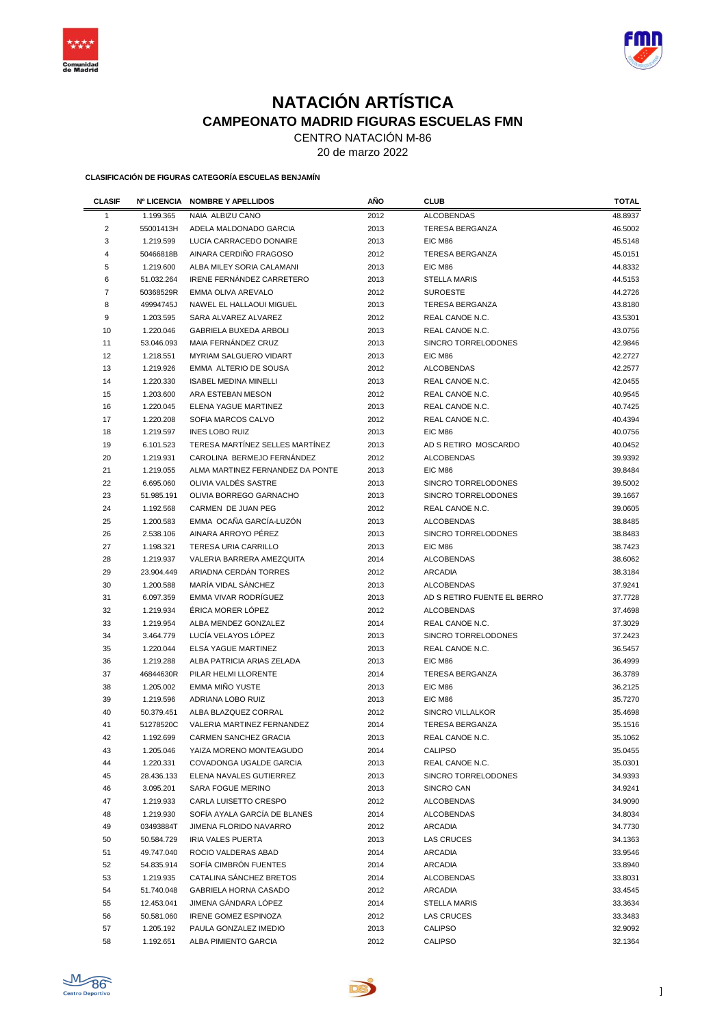



# **NATACIÓN ARTÍSTICA CAMPEONATO MADRID FIGURAS ESCUELAS FMN**

CENTRO NATACIÓN M-86

20 de marzo 2022

**CLASIFICACIÓN DE FIGURAS CATEGORÍA ESCUELAS BENJAMÍN**

| <b>CLASIF</b>           | Nº LICENCIA | <b>NOMBRE Y APELLIDOS</b>        | AÑO  | <b>CLUB</b>                 | <b>TOTAL</b> |
|-------------------------|-------------|----------------------------------|------|-----------------------------|--------------|
| 1                       | 1.199.365   | NAIA ALBIZU CANO                 | 2012 | <b>ALCOBENDAS</b>           | 48.8937      |
| $\overline{\mathbf{c}}$ | 55001413H   | ADELA MALDONADO GARCIA           | 2013 | <b>TERESA BERGANZA</b>      | 46.5002      |
| 3                       | 1.219.599   | LUCÍA CARRACEDO DONAIRE          | 2013 | EIC M86                     | 45.5148      |
| 4                       | 50466818B   | AINARA CERDIÑO FRAGOSO           | 2012 | <b>TERESA BERGANZA</b>      | 45.0151      |
| 5                       | 1.219.600   | ALBA MILEY SORIA CALAMANI        | 2013 | EIC M86                     | 44.8332      |
| 6                       | 51.032.264  | <b>IRENE FERNANDEZ CARRETERO</b> | 2013 | <b>STELLA MARIS</b>         | 44.5153      |
| $\overline{7}$          | 50368529R   | EMMA OLIVA AREVALO               | 2012 | <b>SUROESTE</b>             | 44.2726      |
| 8                       | 49994745J   | NAWEL EL HALLAOUI MIGUEL         | 2013 | <b>TERESA BERGANZA</b>      | 43.8180      |
| 9                       | 1.203.595   | SARA ALVAREZ ALVAREZ             | 2012 | REAL CANOE N.C.             | 43.5301      |
| 10                      | 1.220.046   | <b>GABRIELA BUXEDA ARBOLI</b>    | 2013 | REAL CANOE N.C.             | 43.0756      |
| 11                      | 53.046.093  | MAIA FERNÁNDEZ CRUZ              | 2013 | SINCRO TORRELODONES         | 42.9846      |
| 12                      | 1.218.551   | <b>MYRIAM SALGUERO VIDART</b>    | 2013 | EIC M86                     | 42.2727      |
| 13                      | 1.219.926   | EMMA ALTERIO DE SOUSA            | 2012 | <b>ALCOBENDAS</b>           | 42.2577      |
| 14                      | 1.220.330   | <b>ISABEL MEDINA MINELLI</b>     | 2013 | REAL CANOE N.C.             | 42.0455      |
| 15                      | 1.203.600   | ARA ESTEBAN MESON                | 2012 | REAL CANOE N.C.             | 40.9545      |
| 16                      | 1.220.045   | ELENA YAGUE MARTINEZ             | 2013 | REAL CANOE N.C.             | 40.7425      |
| 17                      | 1.220.208   | SOFIA MARCOS CALVO               | 2012 | REAL CANOE N.C.             | 40.4394      |
| 18                      | 1.219.597   | <b>INES LOBO RUIZ</b>            | 2013 | EIC M86                     | 40.0756      |
| 19                      | 6.101.523   | TERESA MARTÍNEZ SELLES MARTÍNEZ  | 2013 | AD S RETIRO MOSCARDO        | 40.0452      |
| 20                      | 1.219.931   | CAROLINA BERMEJO FERNÁNDEZ       | 2012 | <b>ALCOBENDAS</b>           | 39.9392      |
| 21                      | 1.219.055   | ALMA MARTINEZ FERNANDEZ DA PONTE | 2013 | EIC M86                     | 39.8484      |
| 22                      | 6.695.060   | OLIVIA VALDES SASTRE             | 2013 | SINCRO TORRELODONES         | 39.5002      |
| 23                      | 51.985.191  | OLIVIA BORREGO GARNACHO          | 2013 | SINCRO TORRELODONES         | 39.1667      |
| 24                      | 1.192.568   | CARMEN DE JUAN PEG               | 2012 | REAL CANOE N.C.             | 39.0605      |
| 25                      | 1.200.583   | EMMA OCAÑA GARCÍA-LUZÓN          | 2013 | <b>ALCOBENDAS</b>           | 38.8485      |
| 26                      | 2.538.106   | AINARA ARROYO PÉREZ              | 2013 | SINCRO TORRELODONES         | 38.8483      |
| 27                      | 1.198.321   | <b>TERESA URIA CARRILLO</b>      | 2013 | EIC M86                     | 38.7423      |
| 28                      | 1.219.937   | VALERIA BARRERA AMEZQUITA        | 2014 | <b>ALCOBENDAS</b>           | 38.6062      |
| 29                      | 23.904.449  | ARIADNA CERDAN TORRES            | 2012 | <b>ARCADIA</b>              | 38.3184      |
| 30                      | 1.200.588   | MARÍA VIDAL SÁNCHEZ              | 2013 | <b>ALCOBENDAS</b>           | 37.9241      |
| 31                      | 6.097.359   | EMMA VIVAR RODRÍGUEZ             | 2013 | AD S RETIRO FUENTE EL BERRO | 37.7728      |
| 32                      | 1.219.934   | ÉRICA MORER LÓPEZ                | 2012 | <b>ALCOBENDAS</b>           | 37.4698      |
| 33                      | 1.219.954   | ALBA MENDEZ GONZALEZ             | 2014 | REAL CANOE N.C.             | 37.3029      |
| 34                      | 3.464.779   | LUCÍA VELAYOS LÓPEZ              | 2013 | SINCRO TORRELODONES         | 37.2423      |
| 35                      | 1.220.044   | ELSA YAGUE MARTINEZ              | 2013 | REAL CANOE N.C.             | 36.5457      |
| 36                      | 1.219.288   | ALBA PATRICIA ARIAS ZELADA       | 2013 | EIC M86                     | 36.4999      |
| 37                      | 46844630R   | PILAR HELMI LLORENTE             | 2014 | <b>TERESA BERGANZA</b>      | 36.3789      |
| 38                      | 1.205.002   | EMMA MIÑO YUSTE                  | 2013 | EIC M86                     | 36.2125      |
| 39                      | 1.219.596   | ADRIANA LOBO RUIZ                | 2013 | EIC M86                     | 35.7270      |
| 40                      | 50.379.451  | ALBA BLAZQUEZ CORRAL             | 2012 | SINCRO VILLALKOR            | 35.4698      |
| 41                      | 51278520C   | VALERIA MARTINEZ FERNANDEZ       | 2014 | <b>TERESA BERGANZA</b>      | 35.1516      |
| 42                      | 1.192.699   | <b>CARMEN SANCHEZ GRACIA</b>     | 2013 | REAL CANOE N.C.             | 35.1062      |
| 43                      | 1.205.046   | YAIZA MORENO MONTEAGUDO          | 2014 | <b>CALIPSO</b>              | 35.0455      |
| 44                      | 1.220.331   | COVADONGA UGALDE GARCIA          | 2013 | REAL CANOE N.C.             | 35.0301      |
| 45                      | 28.436.133  | ELENA NAVALES GUTIERREZ          | 2013 | SINCRO TORRELODONES         | 34.9393      |
| 46                      | 3.095.201   | SARA FOGUE MERINO                | 2013 | SINCRO CAN                  | 34.9241      |
| 47                      | 1.219.933   | CARLA LUISETTO CRESPO            | 2012 | ALCOBENDAS                  | 34.9090      |
| 48                      | 1.219.930   | SOFÍA AYALA GARCÍA DE BLANES     | 2014 | <b>ALCOBENDAS</b>           | 34.8034      |
| 49                      | 03493884T   | JIMENA FLORIDO NAVARRO           | 2012 | <b>ARCADIA</b>              | 34.7730      |
| 50                      | 50.584.729  | <b>IRIA VALES PUERTA</b>         | 2013 | LAS CRUCES                  | 34.1363      |
| 51                      | 49.747.040  | ROCIO VALDERAS ABAD              | 2014 | <b>ARCADIA</b>              | 33.9546      |
| 52                      | 54.835.914  | SOFÍA CIMBRÓN FUENTES            | 2014 | <b>ARCADIA</b>              | 33.8940      |
| 53                      | 1.219.935   | CATALINA SÁNCHEZ BRETOS          | 2014 | <b>ALCOBENDAS</b>           | 33.8031      |
| 54                      | 51.740.048  | GABRIELA HORNA CASADO            | 2012 | <b>ARCADIA</b>              | 33.4545      |
| 55                      | 12.453.041  | JIMENA GANDARA LOPEZ             | 2014 | <b>STELLA MARIS</b>         | 33.3634      |
| 56                      | 50.581.060  | <b>IRENE GOMEZ ESPINOZA</b>      | 2012 | LAS CRUCES                  | 33.3483      |
| 57                      | 1.205.192   | PAULA GONZALEZ IMEDIO            | 2013 | <b>CALIPSO</b>              | 32.9092      |
| 58                      | 1.192.651   | ALBA PIMIENTO GARCIA             | 2012 | <b>CALIPSO</b>              | 32.1364      |

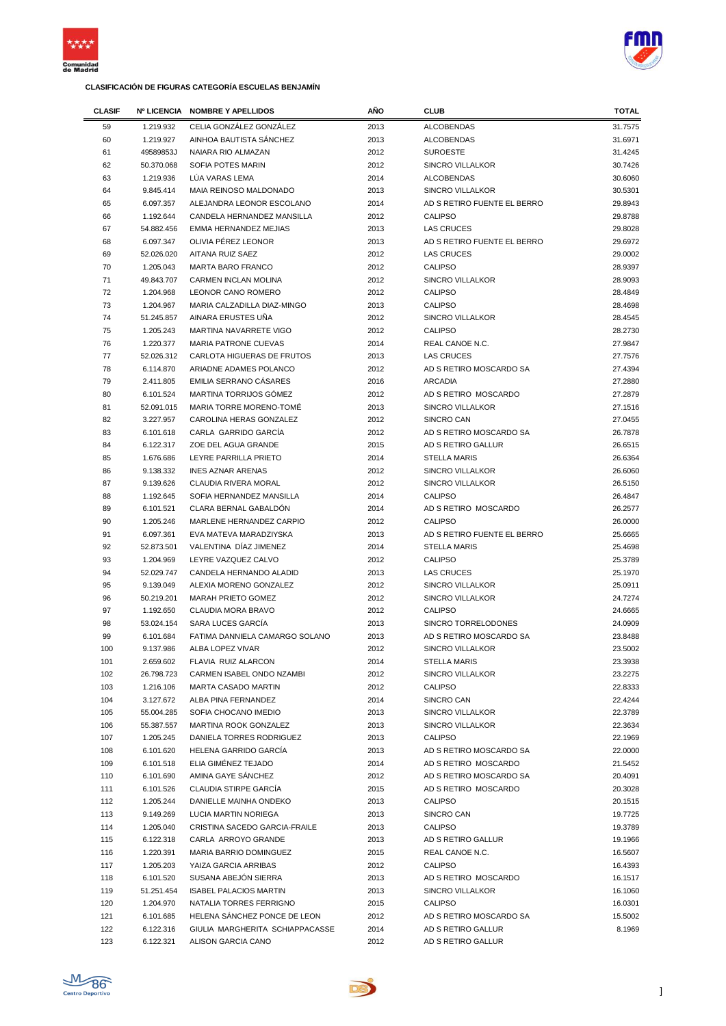

i.

### **CLASIFICACIÓN DE FIGURAS CATEGORÍA ESCUELAS BENJAMÍN**



| <b>CLASIF</b> | <b>Nº LICENCIA</b> | <b>NOMBRE Y APELLIDOS</b>       | <b>AÑO</b> | <b>CLUB</b>                 | <b>TOTAL</b> |
|---------------|--------------------|---------------------------------|------------|-----------------------------|--------------|
| 59            | 1.219.932          | CELIA GONZÁLEZ GONZÁLEZ         | 2013       | <b>ALCOBENDAS</b>           | 31.7575      |
| 60            | 1.219.927          | AINHOA BAUTISTA SÁNCHEZ         | 2013       | <b>ALCOBENDAS</b>           | 31.6971      |
| 61            | 49589853J          | NAIARA RIO ALMAZAN              | 2012       | <b>SUROESTE</b>             | 31.4245      |
| 62            | 50.370.068         | <b>SOFIA POTES MARIN</b>        | 2012       | <b>SINCRO VILLALKOR</b>     | 30.7426      |
| 63            | 1.219.936          | LÚA VARAS LEMA                  | 2014       | <b>ALCOBENDAS</b>           | 30.6060      |
| 64            | 9.845.414          | MAIA REINOSO MALDONADO          | 2013       | <b>SINCRO VILLALKOR</b>     | 30.5301      |
| 65            | 6.097.357          | ALEJANDRA LEONOR ESCOLANO       | 2014       | AD S RETIRO FUENTE EL BERRO | 29.8943      |
| 66            | 1.192.644          | CANDELA HERNANDEZ MANSILLA      | 2012       | <b>CALIPSO</b>              | 29.8788      |
| 67            | 54.882.456         | <b>EMMA HERNANDEZ MEJIAS</b>    | 2013       | <b>LAS CRUCES</b>           | 29.8028      |
| 68            | 6.097.347          | OLIVIA PÉREZ LEONOR             | 2013       | AD S RETIRO FUENTE EL BERRO | 29.6972      |
| 69            | 52.026.020         | AITANA RUIZ SAEZ                | 2012       | <b>LAS CRUCES</b>           | 29.0002      |
| 70            | 1.205.043          | <b>MARTA BARO FRANCO</b>        | 2012       | <b>CALIPSO</b>              | 28.9397      |
| 71            | 49.843.707         | CARMEN INCLAN MOLINA            | 2012       | <b>SINCRO VILLALKOR</b>     | 28.9093      |
| 72            | 1.204.968          | LEONOR CANO ROMERO              | 2012       | <b>CALIPSO</b>              | 28.4849      |
| 73            | 1.204.967          | MARIA CALZADILLA DIAZ-MINGO     | 2013       | <b>CALIPSO</b>              | 28.4698      |
| 74            | 51.245.857         | AINARA ERUSTES UÑA              | 2012       | SINCRO VILLALKOR            | 28.4545      |
| 75            | 1.205.243          | MARTINA NAVARRETE VIGO          | 2012       | <b>CALIPSO</b>              | 28.2730      |
| 76            | 1.220.377          | <b>MARIA PATRONE CUEVAS</b>     | 2014       | <b>REAL CANOE N.C.</b>      | 27.9847      |
| 77            | 52.026.312         | CARLOTA HIGUERAS DE FRUTOS      | 2013       | <b>LAS CRUCES</b>           | 27.7576      |
| 78            | 6.114.870          | ARIADNE ADAMES POLANCO          | 2012       | AD S RETIRO MOSCARDO SA     | 27.4394      |
| 79            | 2.411.805          | EMILIA SERRANO CÁSARES          | 2016       | <b>ARCADIA</b>              | 27.2880      |
| 80            | 6.101.524          | MARTINA TORRIJOS GÓMEZ          | 2012       | AD S RETIRO MOSCARDO        | 27.2879      |
| 81            | 52.091.015         | <b>MARIA TORRE MORENO-TOME</b>  | 2013       | <b>SINCRO VILLALKOR</b>     | 27.1516      |
| 82            | 3.227.957          | CAROLINA HERAS GONZALEZ         | 2012       | SINCRO CAN                  | 27.0455      |
| 83            | 6.101.618          | CARLA GARRIDO GARCÍA            | 2012       | AD S RETIRO MOSCARDO SA     | 26.7878      |
| 84            | 6.122.317          | ZOE DEL AGUA GRANDE             | 2015       | AD S RETIRO GALLUR          | 26.6515      |
| 85            | 1.676.686          | LEYRE PARRILLA PRIETO           | 2014       | <b>STELLA MARIS</b>         | 26.6364      |
| 86            | 9.138.332          | <b>INES AZNAR ARENAS</b>        | 2012       | <b>SINCRO VILLALKOR</b>     | 26.6060      |
| 87            | 9.139.626          | CLAUDIA RIVERA MORAL            | 2012       | <b>SINCRO VILLALKOR</b>     | 26.5150      |
| 88            | 1.192.645          | SOFIA HERNANDEZ MANSILLA        | 2014       | <b>CALIPSO</b>              | 26.4847      |
| 89            | 6.101.521          | CLARA BERNAL GABALDON           | 2014       | AD S RETIRO MOSCARDO        | 26.2577      |
| 90            | 1.205.246          | MARLENE HERNANDEZ CARPIO        | 2012       | <b>CALIPSO</b>              | 26.0000      |
| 91            | 6.097.361          | EVA MATEVA MARADZIYSKA          | 2013       | AD S RETIRO FUENTE EL BERRO | 25.6665      |
| 92            | 52.873.501         | VALENTINA DÍAZ JIMENEZ          | 2014       | <b>STELLA MARIS</b>         | 25.4698      |
| 93            | 1.204.969          | LEYRE VAZQUEZ CALVO             | 2012       | <b>CALIPSO</b>              | 25.3789      |
| 94            | 52.029.747         | CANDELA HERNANDO ALADID         | 2013       | <b>LAS CRUCES</b>           | 25.1970      |
| 95            | 9.139.049          | ALEXIA MORENO GONZALEZ          | 2012       | <b>SINCRO VILLALKOR</b>     | 25.0911      |
| 96            | 50.219.201         | <b>MARAH PRIETO GOMEZ</b>       | 2012       | SINCRO VILLALKOR            | 24.7274      |
| 97            | 1.192.650          | <b>CLAUDIA MORA BRAVO</b>       | 2012       | <b>CALIPSO</b>              | 24.6665      |
| 98            | 53.024.154         | SARA LUCES GARCÍA               | 2013       | SINCRO TORRELODONES         | 24.0909      |
| 99            | 6.101.684          | FATIMA DANNIELA CAMARGO SOLANO  | 2013       | AD S RETIRO MOSCARDO SA     | 23.8488      |
| 100           | 9.137.986          | ALBA LOPEZ VIVAR                | 2012       | SINCRO VILLALKOR            | 23.5002      |
| 101           | 2.659.602          | FLAVIA RUIZ ALARCON             | 2014       | <b>STELLA MARIS</b>         | 23.3938      |
| 102           | 26.798.723         | CARMEN ISABEL ONDO NZAMBI       | 2012       | SINCRO VILLALKOR            | 23.2275      |
| 103           | 1.216.106          | MARTA CASADO MARTIN             | 2012       | <b>CALIPSO</b>              | 22.8333      |
| 104           | 3.127.672          | ALBA PINA FERNANDEZ             | 2014       | SINCRO CAN                  | 22.4244      |
| 105           | 55.004.285         | SOFIA CHOCANO IMEDIO            | 2013       | SINCRO VILLALKOR            | 22.3789      |
| 106           | 55.387.557         | MARTINA ROOK GONZALEZ           | 2013       | <b>SINCRO VILLALKOR</b>     | 22.3634      |
| 107           | 1.205.245          | DANIELA TORRES RODRIGUEZ        | 2013       | <b>CALIPSO</b>              | 22.1969      |
| 108           | 6.101.620          | HELENA GARRIDO GARCÍA           | 2013       | AD S RETIRO MOSCARDO SA     | 22.0000      |
| 109           | 6.101.518          | ELIA GIMÉNEZ TEJADO             | 2014       | AD S RETIRO MOSCARDO        | 21.5452      |
| 110           | 6.101.690          | AMINA GAYE SANCHEZ              | 2012       | AD S RETIRO MOSCARDO SA     | 20.4091      |
| 111           | 6.101.526          | CLAUDIA STIRPE GARCÍA           | 2015       | AD S RETIRO MOSCARDO        | 20.3028      |
| 112           | 1.205.244          | DANIELLE MAINHA ONDEKO          | 2013       | <b>CALIPSO</b>              | 20.1515      |
| 113           | 9.149.269          | LUCIA MARTIN NORIEGA            | 2013       | SINCRO CAN                  | 19.7725      |
| 114           | 1.205.040          | CRISTINA SACEDO GARCIA-FRAILE   | 2013       | <b>CALIPSO</b>              | 19.3789      |
| 115           | 6.122.318          | CARLA ARROYO GRANDE             | 2013       | AD S RETIRO GALLUR          | 19.1966      |
| 116           | 1.220.391          | MARIA BARRIO DOMINGUEZ          | 2015       | REAL CANOE N.C.             | 16.5607      |
| 117           | 1.205.203          | YAIZA GARCIA ARRIBAS            | 2012       | <b>CALIPSO</b>              | 16.4393      |
| 118           | 6.101.520          | SUSANA ABEJÓN SIERRA            | 2013       | AD S RETIRO MOSCARDO        | 16.1517      |
| 119           | 51.251.454         | <b>ISABEL PALACIOS MARTIN</b>   | 2013       | SINCRO VILLALKOR            | 16.1060      |
| 120           | 1.204.970          | NATALIA TORRES FERRIGNO         | 2015       | CALIPSO                     | 16.0301      |
| 121           | 6.101.685          | HELENA SÁNCHEZ PONCE DE LEON    | 2012       | AD S RETIRO MOSCARDO SA     | 15.5002      |
| 122           | 6.122.316          | GIULIA MARGHERITA SCHIAPPACASSE | 2014       | AD S RETIRO GALLUR          | 8.1969       |
| 123           | 6.122.321          | ALISON GARCIA CANO              | 2012       | AD S RETIRO GALLUR          |              |



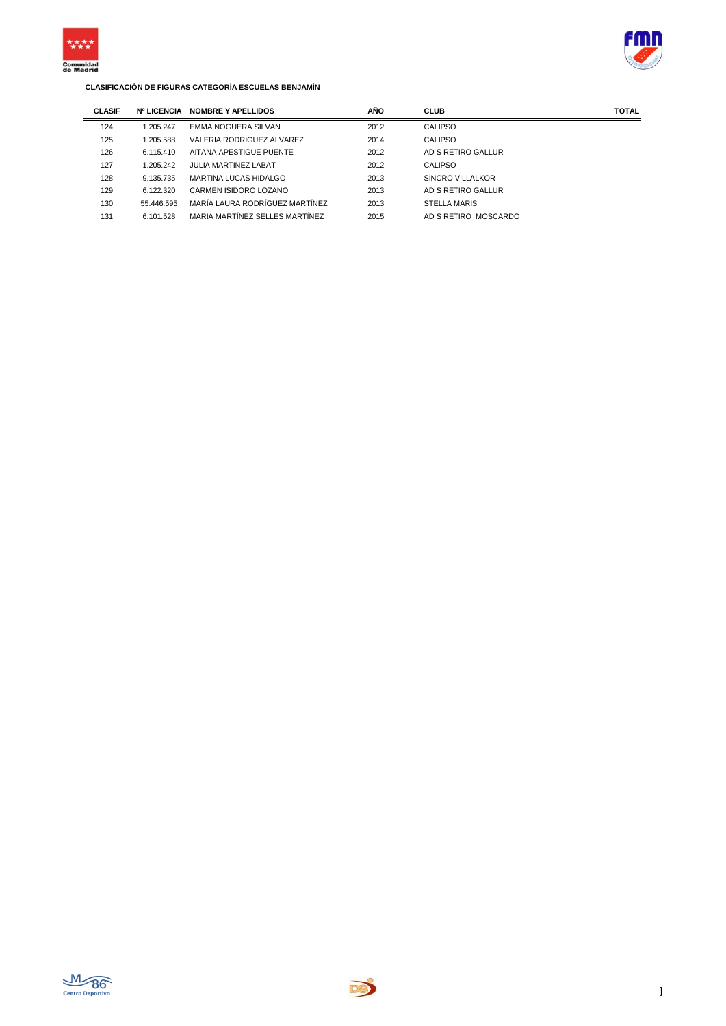



| <b>CLASIF</b> | <b>Nº LICENCIA</b> | <b>NOMBRE Y APELLIDOS</b>      | AÑO  | <b>CLUB</b>          | <b>TOTAL</b> |
|---------------|--------------------|--------------------------------|------|----------------------|--------------|
| 124           | 1.205.247          | EMMA NOGUERA SILVAN            | 2012 | CALIPSO              |              |
| 125           | 1.205.588          | VALERIA RODRIGUEZ ALVAREZ      | 2014 | CALIPSO              |              |
| 126           | 6.115.410          | AITANA APESTIGUE PUENTE        | 2012 | AD S RETIRO GALLUR   |              |
| 127           | 1.205.242          | <b>JULIA MARTINEZ LABAT</b>    | 2012 | CALIPSO              |              |
| 128           | 9.135.735          | MARTINA LUCAS HIDALGO          | 2013 | SINCRO VILLALKOR     |              |
| 129           | 6.122.320          | CARMEN ISIDORO LOZANO          | 2013 | AD S RETIRO GALLUR   |              |
| 130           | 55.446.595         | MARÍA LAURA RODRÍGUEZ MARTÍNEZ | 2013 | <b>STELLA MARIS</b>  |              |
| 131           | 6.101.528          | MARIA MARTÍNEZ SELLES MARTÍNEZ | 2015 | AD S RETIRO MOSCARDO |              |



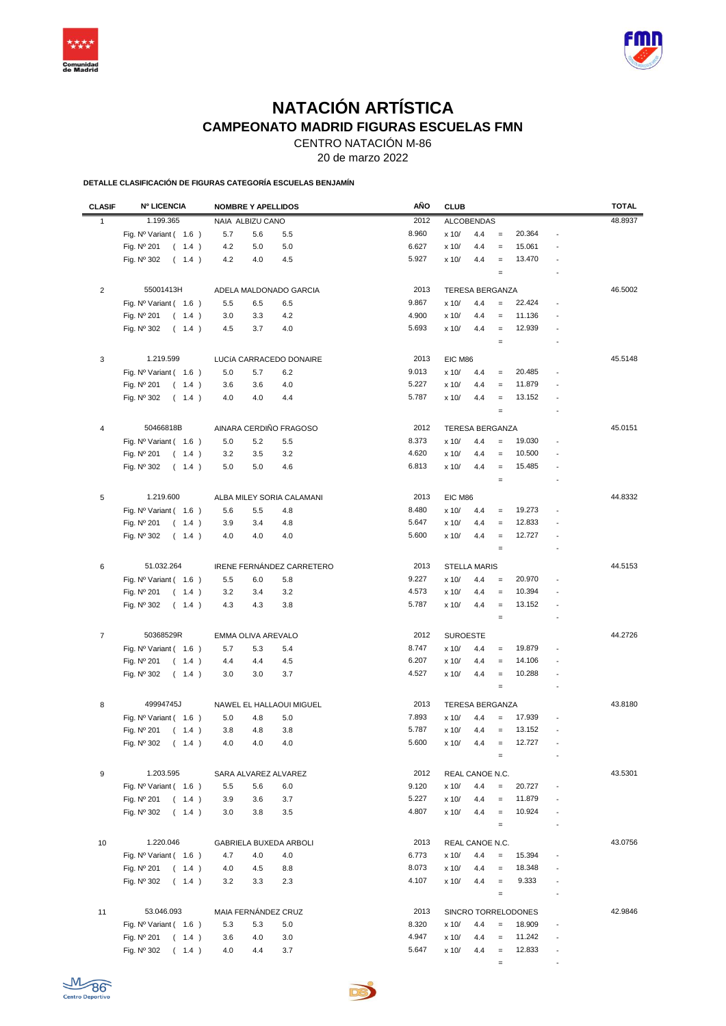



## **NATACIÓN ARTÍSTICA CAMPEONATO MADRID FIGURAS ESCUELAS FMN**

CENTRO NATACIÓN M-86

20 de marzo 2022

**DETALLE CLASIFICACIÓN DE FIGURAS CATEGORÍA ESCUELAS BENJAMÍN**

| <b>CLASIF</b>  | <b>Nº LICENCIA</b>             | <b>NOMBRE Y APELLIDOS</b>              | AÑO   | <b>CLUB</b>                                                             | <b>TOTAL</b> |
|----------------|--------------------------------|----------------------------------------|-------|-------------------------------------------------------------------------|--------------|
| $\mathbf{1}$   | 1.199.365                      | NAIA ALBIZU CANO                       | 2012  | <b>ALCOBENDAS</b>                                                       | 48.8937      |
|                | Fig. Nº Variant (1.6)          | 5.7<br>5.6<br>5.5                      | 8.960 | x 10/<br>4.4<br>20.364<br>$\equiv$                                      |              |
|                | Fig. Nº 201<br>(1.4)           | 4.2<br>5.0<br>5.0                      | 6.627 | 15.061<br>x 10/<br>4.4<br>$\equiv$                                      |              |
|                | Fig. Nº 302<br>(1.4)           | 4.2<br>4.5<br>4.0                      | 5.927 | 13.470<br>x 10/<br>4.4<br>$\equiv$                                      |              |
|                |                                |                                        |       | $\qquad \qquad =$<br>÷                                                  |              |
|                |                                |                                        |       |                                                                         |              |
| $\overline{2}$ | 55001413H                      | ADELA MALDONADO GARCIA                 | 2013  | <b>TERESA BERGANZA</b>                                                  | 46.5002      |
|                | Fig. Nº Variant (1.6)          | 5.5<br>6.5<br>6.5                      | 9.867 | 22.424<br>x 10/<br>4.4<br>$\qquad \qquad =$<br>Ĭ.                       |              |
|                | Fig. Nº 201<br>(1.4)           | 4.2<br>3.0<br>3.3                      | 4.900 | x 10/<br>11.136<br>4.4<br>$\equiv$                                      |              |
|                | Fig. Nº 302<br>(1.4)           | 4.0<br>4.5<br>3.7                      | 5.693 | 12.939<br>x 10/<br>4.4<br>$\equiv$                                      |              |
|                |                                |                                        |       | $\equiv$                                                                |              |
| 3              | 1.219.599                      | LUCÍA CARRACEDO DONAIRE                | 2013  | EIC M86                                                                 | 45.5148      |
|                | Fig. Nº Variant (1.6)          | 5.0<br>5.7<br>6.2                      | 9.013 | x 10/<br>20.485<br>4.4<br>$=$                                           |              |
|                | Fig. Nº 201<br>(1.4)           | 4.0<br>3.6<br>3.6                      | 5.227 | 11.879<br>x 10/<br>4.4<br>$\equiv$                                      |              |
|                | Fig. Nº 302<br>(1.4)           | 4.0<br>4.0<br>4.4                      | 5.787 | x 10/<br>4.4<br>13.152<br>$\qquad \qquad =$<br>$\overline{\phantom{a}}$ |              |
|                |                                |                                        |       | $\qquad \qquad =$                                                       |              |
| 4              | 50466818B                      | AINARA CERDIÑO FRAGOSO                 | 2012  | TERESA BERGANZA                                                         | 45.0151      |
|                | Fig. Nº Variant (1.6)          |                                        | 8.373 | 19.030<br>x 10/<br>4.4<br>$\equiv$<br>$\overline{a}$                    |              |
|                | Fig. Nº 201<br>(1.4)           | 5.0<br>5.2<br>5.5<br>3.5<br>3.2<br>3.2 | 4.620 | x 10/<br>10.500<br>4.4<br>$\equiv$                                      |              |
|                | Fig. Nº 302<br>(1.4)           | 5.0<br>5.0<br>4.6                      | 6.813 | x 10/<br>15.485<br>4.4<br>$\equiv$                                      |              |
|                |                                |                                        |       | $\equiv$                                                                |              |
|                |                                |                                        |       |                                                                         |              |
| 5              | 1.219.600                      | ALBA MILEY SORIA CALAMANI              | 2013  | EIC M86                                                                 | 44.8332      |
|                | Fig. Nº Variant (1.6)          | 5.6<br>5.5<br>4.8                      | 8.480 | 19.273<br>x 10/<br>4.4<br>$=$                                           |              |
|                | Fig. Nº 201<br>(1.4)           | 3.9<br>3.4<br>4.8                      | 5.647 | 12.833<br>x 10/<br>4.4<br>$\equiv$                                      |              |
|                | Fig. Nº 302<br>(1.4)           | 4.0<br>4.0<br>4.0                      | 5.600 | x 10/<br>12.727<br>4.4<br>$\qquad \qquad =$<br>$\overline{a}$           |              |
|                |                                |                                        |       | $\equiv$                                                                |              |
| 6              | 51.032.264                     | IRENE FERNÁNDEZ CARRETERO              | 2013  | <b>STELLA MARIS</b>                                                     | 44.5153      |
|                | Fig. Nº Variant ( 1.6 )        | 5.5<br>6.0<br>5.8                      | 9.227 | 20.970<br>x 10/<br>4.4<br>$=$                                           |              |
|                | Fig. Nº 201<br>(1.4)           | 3.2<br>3.2<br>3.4                      | 4.573 | 10.394<br>x 10/<br>4.4<br>$\equiv$                                      |              |
|                | Fig. Nº 302<br>(1.4)           | 4.3<br>4.3<br>3.8                      | 5.787 | x 10/<br>13.152<br>4.4<br>$\equiv$<br>Ĭ.                                |              |
|                |                                |                                        |       | $\qquad \qquad =$<br>÷                                                  |              |
| $\overline{7}$ | 50368529R                      | EMMA OLIVA AREVALO                     | 2012  | <b>SUROESTE</b>                                                         | 44.2726      |
|                | Fig. Nº Variant (1.6)          | 5.7<br>5.3<br>5.4                      | 8.747 | 19.879<br>x 10/<br>4.4<br>$\equiv$                                      |              |
|                | Fig. Nº 201<br>(1.4)           | 4.4<br>4.4<br>4.5                      | 6.207 | 14.106<br>x 10/<br>4.4<br>$\equiv$                                      |              |
|                | Fig. Nº 302<br>(1.4)           | 3.0<br>3.0<br>3.7                      | 4.527 | 10.288<br>x 10/<br>4.4<br>$\equiv$<br>÷,                                |              |
|                |                                |                                        |       | $\equiv$                                                                |              |
|                |                                |                                        |       |                                                                         |              |
| 8              | 49994745J                      | NAWEL EL HALLAOUI MIGUEL               | 2013  | TERESA BERGANZA                                                         | 43.8180      |
|                | Fig. Nº Variant (1.6)          | 5.0<br>5.0<br>4.8                      | 7.893 | 17.939<br>x 10/<br>4.4<br>$\equiv$                                      |              |
|                | Fig. Nº 201<br>(1.4)           | 4.8<br>3.8<br>3.8                      | 5.787 | x 10/<br>4.4<br>13.152<br>$\equiv$                                      |              |
|                | Fig. $N^0$ 302 (1.4)           | $4.0\,$<br>4.0<br>4.0                  | 5.600 | 12.727<br>x 10/<br>4.4                                                  |              |
|                |                                |                                        |       | $\equiv$                                                                |              |
| 9              | 1.203.595                      | SARA ALVAREZ ALVAREZ                   | 2012  | REAL CANOE N.C.                                                         | 43.5301      |
|                | Fig. Nº Variant ( 1.6 )        | 5.5<br>6.0<br>5.6                      | 9.120 | 20.727<br>x 10/<br>4.4<br>$\equiv$                                      |              |
|                | Fig. Nº 201<br>(1.4)           | 3.9<br>3.6<br>3.7                      | 5.227 | 11.879<br>x 10/<br>4.4<br>$\quad =$<br>$\overline{\phantom{a}}$         |              |
|                | Fig. Nº 302<br>(1.4)           | 3.8<br>3.5<br>3.0                      | 4.807 | 10.924<br>x 10/<br>4.4<br>$\equiv$                                      |              |
|                |                                |                                        |       | $\quad =$                                                               |              |
| 10             | 1.220.046                      | GABRIELA BUXEDA ARBOLI                 | 2013  | REAL CANOE N.C.                                                         | 43.0756      |
|                | Fig. Nº Variant (1.6)          | 4.7<br>4.0<br>4.0                      | 6.773 | 15.394<br>x 10/<br>4.4<br>$\equiv$                                      |              |
|                | Fig. Nº 201<br>(1.4)           | 4.5<br>4.0<br>8.8                      | 8.073 | 18.348<br>x 10/<br>4.4<br>$\equiv$                                      |              |
|                | Fig. Nº 302<br>(1.4)           | 3.2<br>3.3<br>2.3                      | 4.107 | 9.333<br>x 10/<br>4.4<br>$\equiv$                                       |              |
|                |                                |                                        |       | $\equiv$<br>$\overline{\phantom{a}}$                                    |              |
|                |                                |                                        |       |                                                                         |              |
| 11             | 53.046.093                     | MAIA FERNÁNDEZ CRUZ                    | 2013  | SINCRO TORRELODONES                                                     | 42.9846      |
|                | Fig. $N^{\circ}$ Variant (1.6) | 5.3<br>5.3<br>5.0                      | 8.320 | 18.909<br>x 10/<br>4.4<br>$\qquad \qquad =$                             |              |
|                | Fig. Nº 201<br>(1.4)           | 4.0<br>3.0<br>3.6                      | 4.947 | 11.242<br>x 10/<br>4.4<br>$\equiv$                                      |              |
|                | Fig. Nº 302<br>(1.4)           | 4.0<br>4.4<br>3.7                      | 5.647 | 12.833<br>x 10/<br>4.4<br>$\equiv$                                      |              |
|                |                                |                                        |       | $=$                                                                     |              |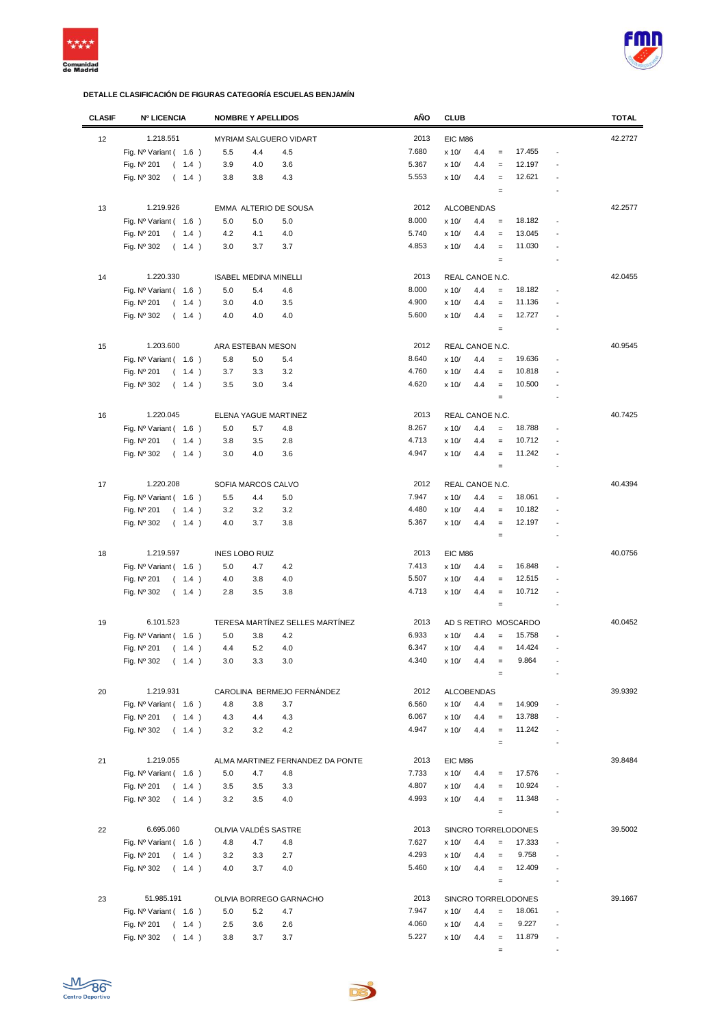



| <b>CLASIF</b> | <b>Nº LICENCIA</b>             | <b>NOMBRE Y APELLIDOS</b>        | AÑO   | <b>CLUB</b>                                                    | <b>TOTAL</b> |
|---------------|--------------------------------|----------------------------------|-------|----------------------------------------------------------------|--------------|
| 12            | 1.218.551                      | MYRIAM SALGUERO VIDART           | 2013  | EIC M86                                                        | 42.2727      |
|               | Fig. $N^{\circ}$ Variant (1.6) | 5.5<br>4.4<br>4.5                | 7.680 | 17.455<br>x 10/<br>4.4<br>$\qquad \qquad =$<br>$\overline{a}$  |              |
|               |                                |                                  | 5.367 | 12.197<br>$=$                                                  |              |
|               | Fig. Nº 201<br>(1.4)           | 3.9<br>3.6<br>4.0                |       | x 10/<br>4.4                                                   |              |
|               | Fig. Nº 302<br>(1.4)           | 3.8<br>3.8<br>4.3                | 5.553 | 12.621<br>x 10/<br>4.4<br>$\equiv$                             |              |
|               |                                |                                  |       | $\equiv$<br>$\overline{a}$                                     |              |
| 13            | 1.219.926                      | EMMA ALTERIO DE SOUSA            | 2012  | <b>ALCOBENDAS</b>                                              | 42.2577      |
|               | Fig. Nº Variant (1.6)          | 5.0<br>5.0<br>5.0                | 8.000 | 18.182<br>x 10/<br>4.4<br>$\equiv$<br>$\overline{a}$           |              |
|               | Fig. Nº 201<br>(1.4)           | 4.0<br>4.2<br>4.1                | 5.740 | 13.045<br>x 10/<br>4.4<br>$\equiv$                             |              |
|               | Fig. Nº 302<br>(1.4)           | 3.0<br>3.7<br>3.7                | 4.853 | 11.030<br>x 10/<br>4.4<br>$\equiv$                             |              |
|               |                                |                                  |       | $\equiv$                                                       |              |
|               |                                |                                  |       |                                                                |              |
| 14            | 1.220.330                      | <b>ISABEL MEDINA MINELLI</b>     | 2013  | REAL CANOE N.C.                                                | 42.0455      |
|               | Fig. $N^{\circ}$ Variant (1.6) | 5.0<br>5.4<br>4.6                | 8.000 | 18.182<br>x 10/<br>4.4<br>$\equiv$                             |              |
|               | Fig. Nº 201<br>(1.4)           | 3.0<br>4.0<br>3.5                | 4.900 | 11.136<br>x 10/<br>4.4<br>$\equiv$                             |              |
|               | Fig. Nº 302<br>(1.4)           | 4.0<br>4.0<br>4.0                | 5.600 | 12.727<br>x 10/<br>4.4<br>$=$<br>$\overline{a}$                |              |
|               |                                |                                  |       | $\equiv$<br>$\overline{a}$                                     |              |
| 15            | 1.203.600                      | ARA ESTEBAN MESON                | 2012  | REAL CANOE N.C.                                                | 40.9545      |
|               | Fig. $N^{\circ}$ Variant (1.6) | 5.8<br>5.0<br>5.4                | 8.640 | 19.636<br>x 10/<br>4.4<br>$\equiv$                             |              |
|               | Fig. Nº 201<br>(1.4)           | 3.7<br>3.3<br>3.2                | 4.760 | 10.818<br>x 10/<br>4.4<br>$\equiv$                             |              |
|               |                                |                                  | 4.620 | 10.500<br>$\equiv$                                             |              |
|               | Fig. Nº 302<br>(1.4)           | 3.5<br>3.0<br>3.4                |       | x 10/<br>4.4                                                   |              |
|               |                                |                                  |       | $\equiv$                                                       |              |
| 16            | 1.220.045                      | ELENA YAGUE MARTINEZ             | 2013  | REAL CANOE N.C.                                                | 40.7425      |
|               | Fig. Nº Variant (1.6)          | 5.0<br>5.7<br>4.8                | 8.267 | x 10/<br>4.4<br>18.788<br>$\equiv$                             |              |
|               | Fig. Nº 201<br>(1.4)           | 3.5<br>2.8<br>3.8                | 4.713 | 10.712<br>x 10/<br>4.4<br>$\equiv$                             |              |
|               | Fig. Nº 302<br>(1.4)           | 4.0<br>3.6<br>3.0                | 4.947 | 11.242<br>x 10/<br>4.4<br>$\equiv$                             |              |
|               |                                |                                  |       | $\equiv$                                                       |              |
|               |                                |                                  |       |                                                                |              |
| 17            | 1.220.208                      | SOFIA MARCOS CALVO               | 2012  | REAL CANOE N.C.                                                | 40.4394      |
|               | Fig. $N^{\circ}$ Variant (1.6) | 5.0<br>5.5<br>4.4                | 7.947 | 18.061<br>x 10/<br>4.4<br>$\equiv$<br>$\overline{a}$           |              |
|               | Fig. Nº 201<br>(1.4)           | 3.2<br>3.2<br>3.2                | 4.480 | x 10/<br>4.4<br>10.182<br>$\equiv$                             |              |
|               | Fig. Nº 302<br>(1.4)           | 4.0<br>3.7<br>3.8                | 5.367 | x 10/<br>12.197<br>4.4<br>$\equiv$                             |              |
|               |                                |                                  |       | $\equiv$<br>$\overline{a}$                                     |              |
| 18            | 1.219.597                      | <b>INES LOBO RUIZ</b>            | 2013  | EIC M86                                                        | 40.0756      |
|               | Fig. $N^{\circ}$ Variant (1.6) | 5.0<br>4.7<br>4.2                | 7.413 | 16.848<br>x 10/<br>4.4<br>$\equiv$                             |              |
|               | Fig. Nº 201<br>(1.4)           | 4.0<br>4.0<br>3.8                | 5.507 | 12.515<br>x 10/<br>4.4<br>$\equiv$                             |              |
|               | Fig. Nº 302<br>(1.4)           | 2.8<br>3.5<br>3.8                | 4.713 | x 10/<br>10.712<br>4.4<br>$\equiv$<br>$\overline{\phantom{a}}$ |              |
|               |                                |                                  |       | $\equiv$                                                       |              |
|               |                                |                                  |       |                                                                |              |
| 19            | 6.101.523                      | TERESA MARTÍNEZ SELLES MARTÍNEZ  | 2013  | AD S RETIRO MOSCARDO                                           | 40.0452      |
|               | Fig. $N^{\circ}$ Variant (1.6) | 4.2<br>5.0<br>3.8                | 6.933 | 15.758<br>x 10/<br>4.4<br>$=$                                  |              |
|               | Fig. Nº 201<br>(1.4)           | 4.4<br>5.2<br>4.0                | 6.347 | 14.424<br>x 10/<br>4.4<br>$\equiv$                             |              |
|               | (1.4)<br>Fig. Nº 302           | 3.3<br>3.0<br>3.0                | 4.340 | 9.864<br>x 10/<br>4.4                                          |              |
|               |                                |                                  |       | $\equiv$                                                       |              |
| 20            | 1.219.931                      | CAROLINA BERMEJO FERNÁNDEZ       | 2012  | <b>ALCOBENDAS</b>                                              | 39.9392      |
|               | Fig. $N^{\circ}$ Variant (1.6) | 4.8<br>3.8<br>3.7                | 6.560 | 14.909<br>x 10/<br>4.4<br>$\equiv$                             |              |
|               | Fig. Nº 201<br>(1.4)           | 4.3<br>4.4<br>4.3                | 6.067 | 13.788<br>x 10/<br>4.4<br>$\equiv$                             |              |
|               | Fig. Nº 302<br>(1.4)           | 3.2<br>3.2<br>4.2                | 4.947 | 11.242<br>x 10/<br>4.4<br>$\equiv$                             |              |
|               |                                |                                  |       | $\equiv$                                                       |              |
|               |                                |                                  |       |                                                                |              |
| 21            | 1.219.055                      | ALMA MARTINEZ FERNANDEZ DA PONTE | 2013  | EIC M86                                                        | 39.8484      |
|               | Fig. $N^{\circ}$ Variant (1.6) | 5.0<br>4.7<br>4.8                | 7.733 | 17.576<br>x 10/<br>4.4                                         |              |
|               | Fig. Nº 201<br>(1.4)           | 3.5<br>3.5<br>3.3                | 4.807 | 10.924<br>x 10/<br>4.4<br>$=$                                  |              |
|               | Fig. Nº 302<br>(1.4)           | 3.2<br>3.5<br>4.0                | 4.993 | 11.348<br>x 10/<br>4.4<br>$\equiv$<br>$\overline{a}$           |              |
|               |                                |                                  |       | $\equiv$<br>$\overline{a}$                                     |              |
| 22            | 6.695.060                      | OLIVIA VALDÉS SASTRE             | 2013  | SINCRO TORRELODONES                                            | 39.5002      |
|               |                                |                                  | 7.627 | 17.333<br>$\overline{a}$                                       |              |
|               | Fig. $N^{\circ}$ Variant (1.6) | 4.8<br>4.7<br>4.8                |       | x 10/<br>4.4<br>$\equiv$                                       |              |
|               | Fig. Nº 201<br>(1.4)           | 3.2<br>3.3<br>2.7                | 4.293 | 9.758<br>x 10/<br>4.4<br>$\equiv$<br>$\overline{a}$            |              |
|               | Fig. Nº 302<br>(1.4)           | 4.0<br>3.7<br>4.0                | 5.460 | 12.409<br>x 10/<br>4.4<br>$\equiv$                             |              |
|               |                                |                                  |       | $\equiv$                                                       |              |
| 23            | 51.985.191                     | OLIVIA BORREGO GARNACHO          | 2013  | SINCRO TORRELODONES                                            | 39.1667      |
|               | Fig. $N^{\circ}$ Variant (1.6) | 5.0<br>5.2<br>4.7                | 7.947 | x 10/<br>18.061<br>4.4<br>$\equiv$                             |              |
|               | Fig. Nº 201<br>(1.4)           | 2.5<br>3.6<br>2.6                | 4.060 | 9.227<br>x 10/<br>4.4<br>$=$                                   |              |
|               | Fig. Nº 302<br>(1.4)           | 3.8<br>3.7<br>3.7                | 5.227 | 11.879<br>x 10/<br>4.4<br>$\equiv$<br>$\overline{a}$           |              |
|               |                                |                                  |       | $\blacksquare$<br>$\equiv$                                     |              |
|               |                                |                                  |       |                                                                |              |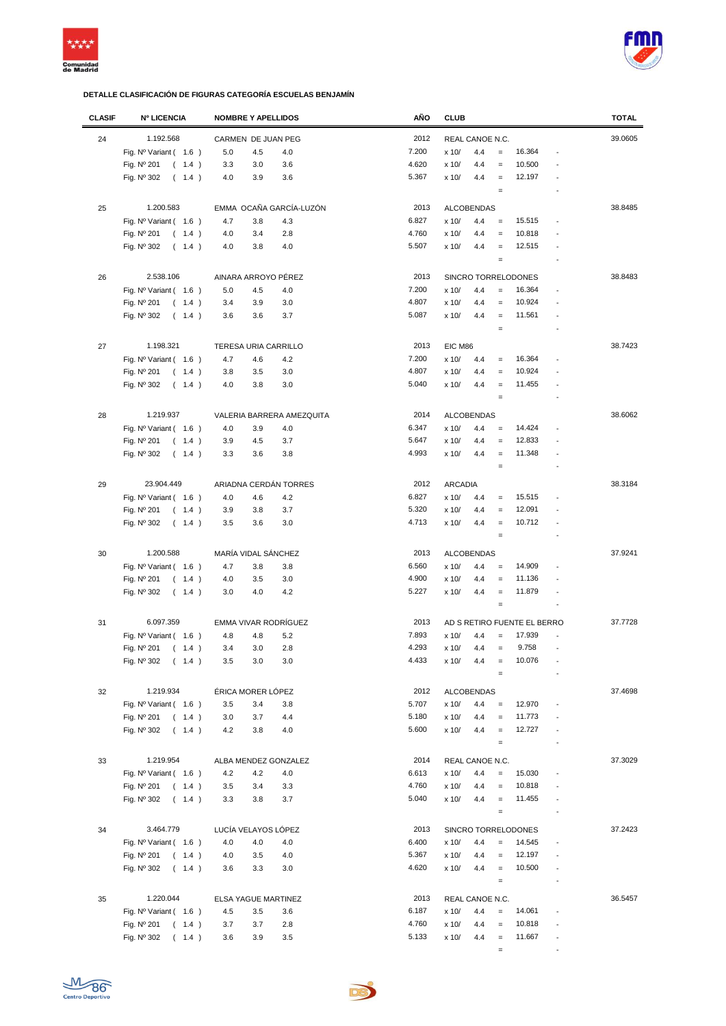



| <b>CLASIF</b> | <b>Nº LICENCIA</b>                 | <b>NOMBRE Y APELLIDOS</b> |                           | AÑO   | <b>CLUB</b>    |                   |                   |                             |                          | <b>TOTAL</b> |
|---------------|------------------------------------|---------------------------|---------------------------|-------|----------------|-------------------|-------------------|-----------------------------|--------------------------|--------------|
| 24            | 1.192.568                          | CARMEN DE JUAN PEG        |                           | 2012  |                | REAL CANOE N.C.   |                   |                             |                          | 39.0605      |
|               | Fig. $N^{\circ}$ Variant ( $1.6$ ) | 5.0<br>4.5                | 4.0                       | 7.200 | x 10/          | 4.4               | $=$               | 16.364                      | ÷,                       |              |
|               |                                    |                           |                           | 4.620 |                |                   |                   | 10.500                      |                          |              |
|               | Fig. Nº 201<br>(1.4)               | 3.3<br>3.0                | 3.6                       |       | x 10/          | 4.4               | $\equiv$          |                             |                          |              |
|               | Fig. Nº 302<br>(1.4)               | 4.0<br>3.9                | 3.6                       | 5.367 | x 10/          | 4.4               | $\qquad \qquad =$ | 12.197                      |                          |              |
|               |                                    |                           |                           |       |                |                   | $\qquad \qquad =$ |                             |                          |              |
| 25            | 1.200.583                          | EMMA OCAÑA GARCÍA-LUZÓN   |                           | 2013  |                | <b>ALCOBENDAS</b> |                   |                             |                          | 38.8485      |
|               | Fig. $N^{\circ}$ Variant (1.6)     | 4.7<br>3.8                | 4.3                       | 6.827 | x 10/          | 4.4               | $\equiv$          | 15.515                      |                          |              |
|               | Fig. Nº 201<br>(1.4)               | 4.0<br>3.4                | 2.8                       | 4.760 | x 10/          | 4.4               | $=$               | 10.818                      |                          |              |
|               | Fig. Nº 302<br>(1.4)               | 4.0<br>3.8                | 4.0                       | 5.507 | x 10/          | 4.4               | $\equiv$          | 12.515                      |                          |              |
|               |                                    |                           |                           |       |                |                   | $\qquad \qquad =$ |                             |                          |              |
|               | 2.538.106                          | AINARA ARROYO PÉREZ       |                           | 2013  |                |                   |                   |                             |                          | 38.8483      |
| 26            |                                    |                           |                           |       |                |                   |                   | SINCRO TORRELODONES         |                          |              |
|               | Fig. $N^{\circ}$ Variant (1.6)     | 5.0<br>4.5                | 4.0                       | 7.200 | x 10/          | 4.4               | $\qquad \qquad =$ | 16.364                      |                          |              |
|               | Fig. Nº 201<br>(1.4)               | 3.4<br>3.9                | 3.0                       | 4.807 | x 10/          | 4.4               | $\qquad \qquad =$ | 10.924                      |                          |              |
|               | Fig. Nº 302<br>(1.4)               | 3.6<br>3.6                | 3.7                       | 5.087 | x 10/          | 4.4               | $\qquad \qquad =$ | 11.561                      |                          |              |
|               |                                    |                           |                           |       |                |                   | $\qquad \qquad =$ |                             |                          |              |
| 27            | 1.198.321                          | TERESA URIA CARRILLO      |                           | 2013  | EIC M86        |                   |                   |                             |                          | 38.7423      |
|               | Fig. $N^{\circ}$ Variant (1.6)     | 4.7<br>4.6                | 4.2                       | 7.200 | x 10/          | 4.4               | $\qquad \qquad =$ | 16.364                      |                          |              |
|               | Fig. Nº 201<br>(1.4)               | 3.8<br>3.5                | 3.0                       | 4.807 | x 10/          | 4.4               | $=$               | 10.924                      |                          |              |
|               | Fig. Nº 302<br>(1.4)               | 3.8<br>4.0                | 3.0                       | 5.040 | x 10/          | 4.4               | $=$               | 11.455                      |                          |              |
|               |                                    |                           |                           |       |                |                   | $\qquad \qquad =$ |                             |                          |              |
|               |                                    |                           |                           |       |                |                   |                   |                             |                          |              |
| 28            | 1.219.937                          |                           | VALERIA BARRERA AMEZQUITA | 2014  |                | <b>ALCOBENDAS</b> |                   |                             |                          | 38.6062      |
|               | Fig. $N^{\circ}$ Variant (1.6)     | 4.0<br>3.9                | 4.0                       | 6.347 | x 10/          | 4.4               | $\equiv$          | 14.424                      |                          |              |
|               | Fig. Nº 201<br>(1.4)               | 3.9<br>4.5                | 3.7                       | 5.647 | x 10/          | 4.4               | $\qquad \qquad =$ | 12.833                      |                          |              |
|               | Fig. Nº 302<br>(1.4)               | 3.3<br>3.6                | 3.8                       | 4.993 | x 10/          | 4.4               | $\qquad \qquad =$ | 11.348                      |                          |              |
|               |                                    |                           |                           |       |                |                   | $\qquad \qquad =$ |                             |                          |              |
| 29            | 23.904.449                         | ARIADNA CERDÁN TORRES     |                           | 2012  | <b>ARCADIA</b> |                   |                   |                             |                          | 38.3184      |
|               | Fig. $N^{\circ}$ Variant (1.6)     | 4.0<br>4.6                | 4.2                       | 6.827 | x 10/          | 4.4               | $\qquad \qquad =$ | 15.515                      |                          |              |
|               | Fig. Nº 201<br>(1.4)               | 3.9<br>3.8                | 3.7                       | 5.320 | x 10/          | 4.4               | $\qquad \qquad =$ | 12.091                      |                          |              |
|               | Fig. Nº 302<br>(1.4)               | 3.5<br>3.6                | 3.0                       | 4.713 | x 10/          | 4.4               | $\qquad \qquad =$ | 10.712                      |                          |              |
|               |                                    |                           |                           |       |                |                   | $\qquad \qquad =$ |                             |                          |              |
|               |                                    |                           |                           |       |                |                   |                   |                             |                          |              |
| 30            | 1.200.588                          | MARÍA VIDAL SÁNCHEZ       |                           | 2013  |                | <b>ALCOBENDAS</b> |                   |                             |                          | 37.9241      |
|               | Fig. $N^{\circ}$ Variant (1.6)     | 4.7<br>3.8                | 3.8                       | 6.560 | x 10/          | 4.4               | $\qquad \qquad =$ | 14.909                      |                          |              |
|               | Fig. Nº 201<br>(1.4)               | 4.0<br>3.5                | 3.0                       | 4.900 | x 10/          | 4.4               | $\qquad \qquad =$ | 11.136                      |                          |              |
|               | Fig. Nº 302<br>(1.4)               | 3.0<br>4.0                | 4.2                       | 5.227 | x 10/          | 4.4               | $\qquad \qquad =$ | 11.879                      | ÷,                       |              |
|               |                                    |                           |                           |       |                |                   | $\qquad \qquad =$ |                             |                          |              |
| 31            | 6.097.359                          | EMMA VIVAR RODRÍGUEZ      |                           | 2013  |                |                   |                   | AD S RETIRO FUENTE EL BERRO |                          | 37.7728      |
|               | Fig. $N^{\circ}$ Variant (1.6)     | 4.8<br>4.8                | 5.2                       | 7.893 | x 10/          | 4.4               | $=$               | 17.939                      |                          |              |
|               | Fig. Nº 201<br>(1.4)               | 3.0<br>3.4                | 2.8                       | 4.293 | x 10/          | 4.4               | $\qquad \qquad =$ | 9.758                       | $\overline{\phantom{a}}$ |              |
|               | Fig. Nº 302<br>(1.4)               | 3.5<br>3.0                | 3.0                       | 4.433 | x 10/          | 4.4               | $=$               | 10.076                      |                          |              |
|               |                                    |                           |                           |       |                |                   | $\qquad \qquad =$ |                             |                          |              |
|               |                                    |                           |                           |       |                |                   |                   |                             |                          |              |
| 32            | 1.219.934                          | ÉRICA MORER LÓPEZ         |                           | 2012  |                | <b>ALCOBENDAS</b> |                   |                             |                          | 37.4698      |
|               | Fig. $N^{\circ}$ Variant (1.6)     | 3.5<br>3.4                | 3.8                       | 5.707 | x 10/          | 4.4               | $\qquad \qquad =$ | 12.970                      |                          |              |
|               | Fig. Nº 201<br>(1.4)               | 3.0<br>3.7                | 4.4                       | 5.180 | x 10/          | 4.4               | $\qquad \qquad =$ | 11.773                      |                          |              |
|               | Fig. Nº 302<br>(1.4)               | 4.2<br>3.8                | 4.0                       | 5.600 | x 10/          | 4.4               | $\equiv$          | 12.727                      | ÷,                       |              |
|               |                                    |                           |                           |       |                |                   | $\qquad \qquad =$ |                             | $\overline{a}$           |              |
| 33            | 1.219.954                          | ALBA MENDEZ GONZALEZ      |                           | 2014  |                | REAL CANOE N.C.   |                   |                             |                          | 37.3029      |
|               | Fig. $N^{\circ}$ Variant (1.6)     | 4.2<br>4.2                | 4.0                       | 6.613 | x 10/          | 4.4               | $\qquad \qquad =$ | 15.030                      | ÷,                       |              |
|               | Fig. Nº 201<br>(1.4)               | 3.5<br>3.4                | 3.3                       | 4.760 | x 10/          | 4.4               | $\qquad \qquad =$ | 10.818                      |                          |              |
|               | Fig. Nº 302<br>(1.4)               | 3.3<br>3.8                | 3.7                       | 5.040 | x 10/          | 4.4               | $\equiv$          | 11.455                      |                          |              |
|               |                                    |                           |                           |       |                |                   | $\equiv$          |                             |                          |              |
|               |                                    |                           |                           |       |                |                   |                   |                             |                          |              |
| 34            | 3.464.779                          | LUCÍA VELAYOS LÓPEZ       |                           | 2013  |                |                   |                   | SINCRO TORRELODONES         |                          | 37.2423      |
|               | Fig. $N^{\circ}$ Variant (1.6)     | 4.0<br>4.0                | 4.0                       | 6.400 | x 10/          | 4.4               | $\qquad \qquad =$ | 14.545                      |                          |              |
|               | Fig. Nº 201<br>(1.4)               | 4.0<br>3.5                | 4.0                       | 5.367 | x 10/          | 4.4               | $=$               | 12.197                      |                          |              |
|               | Fig. Nº 302<br>(1.4)               | 3.6<br>3.3                | 3.0                       | 4.620 | x 10/          | 4.4               | $\equiv$          | 10.500                      |                          |              |
|               |                                    |                           |                           |       |                |                   | $\equiv$          |                             |                          |              |
| 35            | 1.220.044                          | ELSA YAGUE MARTINEZ       |                           | 2013  |                | REAL CANOE N.C.   |                   |                             |                          | 36.5457      |
|               | Fig. $N^{\circ}$ Variant (1.6)     | 4.5<br>3.5                | 3.6                       | 6.187 | x 10/          | 4.4               | $\qquad \qquad =$ | 14.061                      |                          |              |
|               | Fig. Nº 201<br>(1.4)               | 3.7<br>3.7                | 2.8                       | 4.760 | x 10/          | 4.4               | $\equiv$          | 10.818                      |                          |              |
|               | Fig. Nº 302<br>(1.4)               | 3.9<br>3.6                | 3.5                       | 5.133 | x 10/          | 4.4               | $\equiv$          | 11.667                      |                          |              |
|               |                                    |                           |                           |       |                |                   | $\equiv$          |                             |                          |              |
|               |                                    |                           |                           |       |                |                   |                   |                             |                          |              |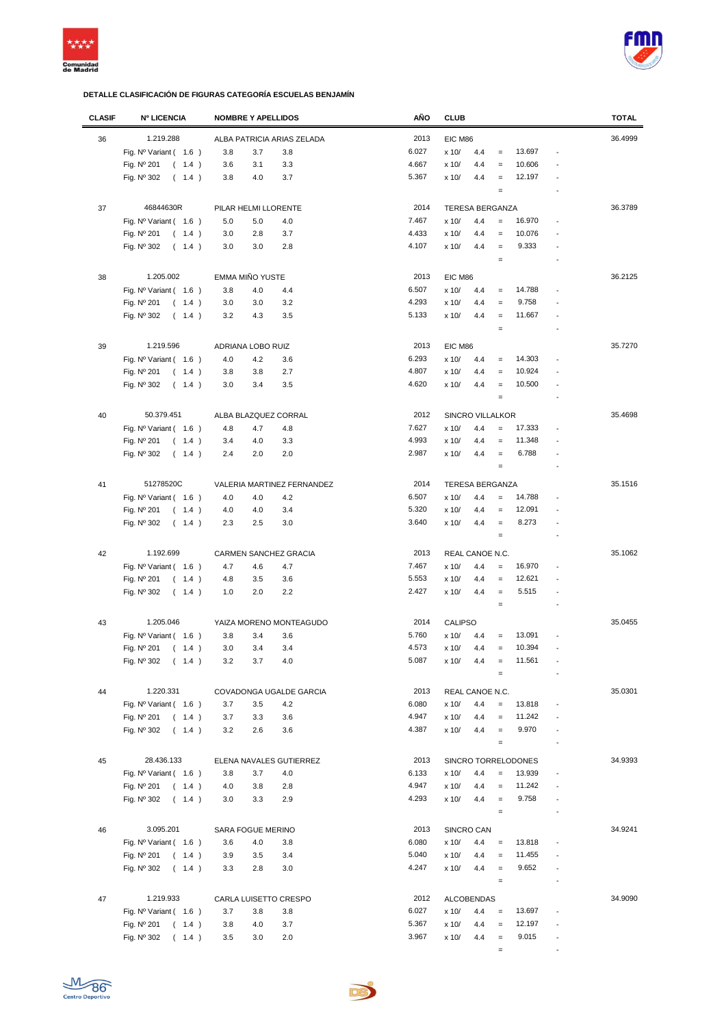



| <b>CLASIF</b> | <b>Nº LICENCIA</b>             | <b>NOMBRE Y APELLIDOS</b>  | AÑO   | <b>CLUB</b>                                                      | <b>TOTAL</b> |
|---------------|--------------------------------|----------------------------|-------|------------------------------------------------------------------|--------------|
| 36            | 1.219.288                      | ALBA PATRICIA ARIAS ZELADA | 2013  | EIC M86                                                          | 36.4999      |
|               | Fig. $N^{\circ}$ Variant (1.6) | 3.8<br>3.7<br>3.8          | 6.027 | 13.697<br>x 10/<br>4.4<br>$\qquad \qquad =$                      |              |
|               | Fig. Nº 201<br>(1.4)           | 3.6<br>3.1<br>3.3          | 4.667 | 10.606<br>x 10/<br>4.4<br>$=$                                    |              |
|               |                                |                            |       |                                                                  |              |
|               | Fig. Nº 302<br>(1.4)           | 3.7<br>3.8<br>4.0          | 5.367 | 12.197<br>x 10/<br>4.4<br>$\qquad \qquad =$<br>$\qquad \qquad =$ |              |
|               |                                |                            |       |                                                                  |              |
| 37            | 46844630R                      | PILAR HELMI LLORENTE       | 2014  | <b>TERESA BERGANZA</b>                                           | 36.3789      |
|               | Fig. $N^{\circ}$ Variant (1.6) | 5.0<br>5.0<br>4.0          | 7.467 | 16.970<br>x 10/<br>4.4<br>$=$                                    |              |
|               | Fig. Nº 201<br>(1.4)           | 2.8<br>3.7<br>3.0          | 4.433 | 10.076<br>x 10/<br>4.4<br>$=$                                    |              |
|               | Fig. Nº 302<br>(1.4)           | 3.0<br>2.8<br>3.0          | 4.107 | 9.333<br>x 10/<br>4.4<br>$\qquad \qquad =$                       |              |
|               |                                |                            |       | $\qquad \qquad =$                                                |              |
| 38            | 1.205.002                      | EMMA MIÑO YUSTE            | 2013  | EIC M86                                                          | 36.2125      |
|               | Fig. $N^{\circ}$ Variant (1.6) | 3.8<br>4.0<br>4.4          | 6.507 | 14.788<br>x 10/<br>4.4<br>$\equiv$                               |              |
|               | Fig. Nº 201<br>(1.4)           | 3.2<br>3.0<br>3.0          | 4.293 | 9.758<br>x 10/<br>4.4<br>$\qquad \qquad =$                       |              |
|               | Fig. Nº 302<br>(1.4)           | 3.5<br>3.2<br>4.3          | 5.133 | 11.667<br>x 10/<br>4.4<br>$\qquad \qquad =$                      |              |
|               |                                |                            |       | $\qquad \qquad =$                                                |              |
|               |                                |                            |       |                                                                  |              |
| 39            | 1.219.596                      | ADRIANA LOBO RUIZ          | 2013  | EIC M86                                                          | 35.7270      |
|               | Fig. $N^{\circ}$ Variant (1.6) | 4.0<br>4.2<br>3.6          | 6.293 | 14.303<br>x 10/<br>4.4<br>$\qquad \qquad =$                      |              |
|               | Fig. Nº 201<br>(1.4)           | 3.8<br>3.8<br>2.7          | 4.807 | x 10/<br>10.924<br>4.4<br>$\qquad \qquad =$                      |              |
|               | Fig. Nº 302<br>(1.4)           | 3.0<br>3.4<br>3.5          | 4.620 | 10.500<br>x 10/<br>4.4<br>$\qquad \qquad =$                      |              |
|               |                                |                            |       | $\qquad \qquad =$                                                |              |
| 40            | 50.379.451                     | ALBA BLAZQUEZ CORRAL       | 2012  | SINCRO VILLALKOR                                                 | 35.4698      |
|               | Fig. Nº Variant ( 1.6 )        | 4.8<br>4.7<br>4.8          | 7.627 | 17.333<br>x 10/<br>4.4<br>$\qquad \qquad =$                      |              |
|               | Fig. Nº 201<br>(1.4)           | 3.4<br>4.0<br>3.3          | 4.993 | 11.348<br>x 10/<br>4.4<br>$\qquad \qquad =$                      |              |
|               | Fig. Nº 302<br>(1.4)           | 2.4<br>2.0<br>2.0          | 2.987 | 6.788<br>x 10/<br>4.4<br>$\equiv$                                |              |
|               |                                |                            |       | $\qquad \qquad =$                                                |              |
|               |                                |                            |       |                                                                  |              |
| 41            | 51278520C                      | VALERIA MARTINEZ FERNANDEZ | 2014  | <b>TERESA BERGANZA</b>                                           | 35.1516      |
|               | Fig. $N^{\circ}$ Variant (1.6) | 4.0<br>4.2<br>4.0          | 6.507 | 14.788<br>x 10/<br>4.4<br>$=$                                    |              |
|               | Fig. Nº 201<br>(1.4)           | 4.0<br>3.4<br>4.0          | 5.320 | 12.091<br>x 10/<br>4.4<br>$\qquad \qquad =$                      |              |
|               | Fig. Nº 302<br>(1.4)           | 2.5<br>3.0<br>2.3          | 3.640 | 8.273<br>x 10/<br>4.4<br>$\qquad \qquad =$                       |              |
|               |                                |                            |       | $\qquad \qquad =$                                                |              |
| 42            | 1.192.699                      | CARMEN SANCHEZ GRACIA      | 2013  | REAL CANOE N.C.                                                  | 35.1062      |
|               | Fig. $N^{\circ}$ Variant (1.6) | 4.7<br>4.7<br>4.6          | 7.467 | 16.970<br>x 10/<br>4.4<br>$\equiv$                               |              |
|               | Fig. Nº 201<br>(1.4)           | 4.8<br>3.5<br>3.6          | 5.553 | x 10/<br>4.4<br>12.621<br>$\qquad \qquad =$                      |              |
|               | Fig. $N^{\circ}$ 302<br>(1.4)  | 2.0<br>2.2<br>1.0          | 2.427 | 5.515<br>x 10/<br>4.4<br>$\qquad \qquad =$<br>$\overline{a}$     |              |
|               |                                |                            |       | $\qquad \qquad =$                                                |              |
| 43            | 1.205.046                      | YAIZA MORENO MONTEAGUDO    | 2014  | CALIPSO                                                          | 35.0455      |
|               | Fig. Nº Variant ( 1.6 )        | 3.8<br>3.4<br>3.6          | 5.760 | 13.091<br>x 10/<br>4.4<br>$=$                                    |              |
|               | Fig. Nº 201<br>(1.4)           | 3.0<br>3.4<br>3.4          | 4.573 | x 10/<br>10.394<br>4.4<br>$\qquad \qquad =$                      |              |
|               | Fig. Nº 302 ( 1.4 )            | $4.0$<br>3.2<br>3.7        | 5.087 | x 10/<br>11.561<br>4.4                                           |              |
|               |                                |                            |       | $\qquad \qquad =$                                                |              |
|               |                                |                            |       |                                                                  |              |
| 44            | 1.220.331                      | COVADONGA UGALDE GARCIA    | 2013  | REAL CANOE N.C.                                                  | 35.0301      |
|               | Fig. Nº Variant (1.6)          | 3.7<br>3.5<br>4.2          | 6.080 | 4.4<br>13.818<br>x 10/<br>$=$                                    |              |
|               | Fig. Nº 201<br>(1.4)           | 3.7<br>3.3<br>3.6          | 4.947 | 11.242<br>x 10/<br>4.4<br>$\qquad \qquad =$                      |              |
|               | Fig. Nº 302<br>(1.4)           | 3.2<br>2.6<br>3.6          | 4.387 | 9.970<br>x 10/<br>4.4<br>$\equiv$                                |              |
|               |                                |                            |       | $\qquad \qquad =$                                                |              |
| 45            | 28.436.133                     | ELENA NAVALES GUTIERREZ    | 2013  | SINCRO TORRELODONES                                              | 34.9393      |
|               | Fig. $N^{\circ}$ Variant (1.6) | 3.8<br>3.7<br>4.0          | 6.133 | 13.939<br>x 10/<br>4.4<br>$\qquad \qquad =$                      |              |
|               | Fig. Nº 201<br>(1.4)           | 4.0<br>3.8<br>2.8          | 4.947 | 11.242<br>x 10/<br>4.4<br>$\qquad \qquad =$                      |              |
|               | Fig. Nº 302<br>(1.4)           | 3.3<br>2.9<br>3.0          | 4.293 | 9.758<br>x 10/<br>4.4<br>$\qquad \qquad =$                       |              |
|               |                                |                            |       | $\equiv$                                                         |              |
| 46            | 3.095.201                      |                            | 2013  | SINCRO CAN                                                       | 34.9241      |
|               |                                | SARA FOGUE MERINO          | 6.080 | 13.818                                                           |              |
|               | Fig. $N^{\circ}$ Variant (1.6) | 3.6<br>3.8<br>4.0          |       | x 10/<br>4.4<br>$\qquad \qquad =$                                |              |
|               | Fig. Nº 201<br>(1.4)           | 3.9<br>3.5<br>3.4          | 5.040 | 11.455<br>x 10/<br>4.4<br>$=$                                    |              |
|               | Fig. Nº 302<br>(1.4)           | 3.3<br>2.8<br>3.0          | 4.247 | 9.652<br>x 10/<br>4.4<br>$\equiv$<br>$\overline{a}$              |              |
|               |                                |                            |       | $\equiv$                                                         |              |
| 47            | 1.219.933                      | CARLA LUISETTO CRESPO      | 2012  | <b>ALCOBENDAS</b>                                                | 34.9090      |
|               | Fig. $N^{\circ}$ Variant (1.6) | 3.7<br>3.8<br>3.8          | 6.027 | 13.697<br>x 10/<br>4.4<br>$\qquad \qquad =$                      |              |
|               | Fig. Nº 201<br>(1.4)           | 3.8<br>4.0<br>3.7          | 5.367 | 12.197<br>x 10/<br>4.4<br>$\qquad \qquad =$                      |              |
|               | Fig. Nº 302<br>(1.4)           | 3.5<br>3.0<br>2.0          | 3.967 | 9.015<br>x 10/<br>4.4<br>$\equiv$<br>$\overline{a}$              |              |
|               |                                |                            |       | $\quad =$<br>$\overline{\phantom{a}}$                            |              |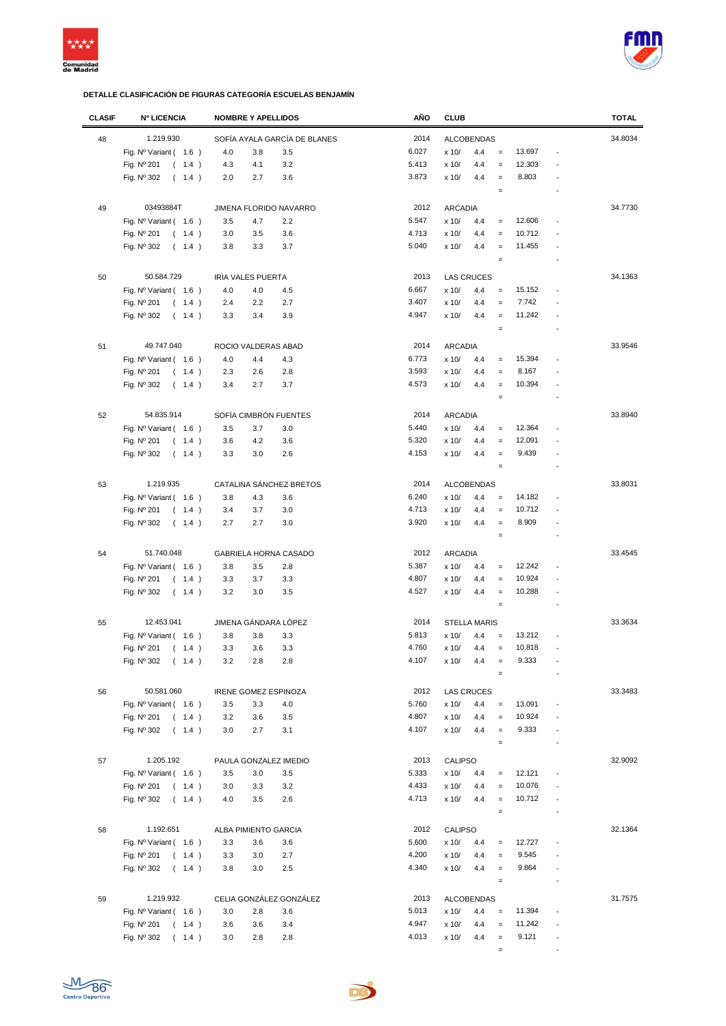



| <b>CLASIF</b> | <b>Nº LICENCIA</b>                       | <b>NOMBRE Y APELLIDOS</b>   |                              | AÑO   | <b>CLUB</b>       |                     |                   |        |                          | <b>TOTAL</b> |
|---------------|------------------------------------------|-----------------------------|------------------------------|-------|-------------------|---------------------|-------------------|--------|--------------------------|--------------|
| 48            | 1.219.930                                |                             | SOFÍA AYALA GARCÍA DE BLANES | 2014  |                   | <b>ALCOBENDAS</b>   |                   |        |                          | 34.8034      |
|               | Fig. $N^{\circ}$ Variant (1.6)           | 4.0<br>3.8                  | 3.5                          | 6.027 | x 10/             | 4.4                 | $\equiv$          | 13.697 | $\overline{a}$           |              |
|               |                                          |                             |                              | 5.413 |                   |                     | $\equiv$          | 12.303 |                          |              |
|               | Fig. Nº 201<br>(1.4)                     | 4.3<br>4.1                  | 3.2                          |       | x 10/             | 4.4                 |                   |        |                          |              |
|               | Fig. Nº 302<br>(1.4)                     | 2.0<br>2.7                  | 3.6                          | 3.873 | x 10/             | 4.4                 | $\equiv$          | 8.803  |                          |              |
|               |                                          |                             |                              |       |                   |                     | $\equiv$          |        |                          |              |
| 49            | 03493884T                                | JIMENA FLORIDO NAVARRO      |                              | 2012  | <b>ARCADIA</b>    |                     |                   |        |                          | 34.7730      |
|               | Fig. Nº Variant (1.6)                    | 3.5<br>4.7                  | 2.2                          | 5.547 | x 10/             | 4.4                 | $\qquad \qquad =$ | 12.606 |                          |              |
|               | Fig. Nº 201<br>(1.4)                     | 3.5<br>3.0                  | 3.6                          | 4.713 | x 10/             | 4.4                 | $=$               | 10.712 |                          |              |
|               | Fig. Nº 302<br>(1.4)                     | 3.3<br>3.8                  | 3.7                          | 5.040 | x 10/             | 4.4                 | $=$               | 11.455 |                          |              |
|               |                                          |                             |                              |       |                   |                     | $\equiv$          |        |                          |              |
|               |                                          |                             |                              |       |                   |                     |                   |        |                          |              |
| 50            | 50.584.729                               | <b>IRIA VALES PUERTA</b>    |                              | 2013  | <b>LAS CRUCES</b> |                     |                   |        |                          | 34.1363      |
|               | Fig. $N^{\circ}$ Variant (1.6)           | 4.0<br>4.0                  | 4.5                          | 6.667 | x 10/             | 4.4                 | $\equiv$          | 15.152 | ÷,                       |              |
|               | Fig. Nº 201<br>(1.4)                     | 2.2<br>2.4                  | 2.7                          | 3.407 | x 10/             | 4.4                 | $\equiv$          | 7.742  |                          |              |
|               | Fig. Nº 302<br>(1.4)                     | 3.4<br>3.3                  | 3.9                          | 4.947 | x 10/             | 4.4                 | $\equiv$          | 11.242 | ÷,                       |              |
|               |                                          |                             |                              |       |                   |                     | $\equiv$          |        | $\overline{a}$           |              |
| 51            | 49.747.040                               | ROCIO VALDERAS ABAD         |                              | 2014  | <b>ARCADIA</b>    |                     |                   |        |                          | 33.9546      |
|               | Fig. $N^{\circ}$ Variant (1.6)           | 4.0<br>4.4                  | 4.3                          | 6.773 | x 10/             | 4.4                 | $\equiv$          | 15.394 |                          |              |
|               | Fig. Nº 201<br>(1.4)                     | 2.3<br>2.6                  | 2.8                          | 3.593 | x 10/             | 4.4                 | $\equiv$          | 8.167  |                          |              |
|               |                                          |                             |                              | 4.573 |                   |                     |                   | 10.394 |                          |              |
|               | Fig. Nº 302<br>(1.4)                     | 3.4<br>2.7                  | 3.7                          |       | x 10/             | 4.4                 | $=$               |        |                          |              |
|               |                                          |                             |                              |       |                   |                     | $\quad =$         |        |                          |              |
| 52            | 54.835.914                               | SOFÍA CIMBRÓN FUENTES       |                              | 2014  | <b>ARCADIA</b>    |                     |                   |        |                          | 33.8940      |
|               | Fig. Nº Variant ( 1.6 )                  | 3.5<br>3.7                  | 3.0                          | 5.440 | x 10/             | 4.4                 | $=$               | 12.364 |                          |              |
|               | Fig. Nº 201<br>(1.4)                     | 3.6<br>4.2                  | 3.6                          | 5.320 | x 10/             | 4.4                 | $=$               | 12.091 |                          |              |
|               | Fig. Nº 302<br>(1.4)                     | 3.3<br>3.0                  | 2.6                          | 4.153 | x 10/             | 4.4                 | $\equiv$          | 9.439  |                          |              |
|               |                                          |                             |                              |       |                   |                     | $\equiv$          |        | $\overline{a}$           |              |
|               |                                          |                             |                              |       |                   |                     |                   |        |                          |              |
| 53            | 1.219.935                                | CATALINA SÁNCHEZ BRETOS     |                              | 2014  |                   | <b>ALCOBENDAS</b>   |                   |        |                          | 33.8031      |
|               | Fig. Nº Variant ( 1.6 )                  | 3.8<br>4.3                  | 3.6                          | 6.240 | x 10/             | 4.4                 | $\equiv$          | 14.182 |                          |              |
|               | Fig. Nº 201<br>(1.4)                     | 3.7<br>3.4                  | 3.0                          | 4.713 | x 10/             | 4.4                 | $\equiv$          | 10.712 |                          |              |
|               | (1.4)<br>Fig. Nº 302                     | 2.7<br>2.7                  | 3.0                          | 3.920 | x 10/             | 4.4                 | $\equiv$          | 8.909  |                          |              |
|               |                                          |                             |                              |       |                   |                     | $\equiv$          |        |                          |              |
| 54            | 51.740.048                               | GABRIELA HORNA CASADO       |                              | 2012  | <b>ARCADIA</b>    |                     |                   |        |                          | 33.4545      |
|               | Fig. Nº Variant (1.6)                    | 3.8<br>3.5                  | 2.8                          | 5.387 | x 10/             | 4.4                 | $\equiv$          | 12.242 |                          |              |
|               | Fig. Nº 201<br>(1.4)                     | 3.7<br>3.3                  | 3.3                          | 4.807 | x 10/             | 4.4                 | $\equiv$          | 10.924 |                          |              |
|               |                                          | 3.2<br>3.0                  | 3.5                          | 4.527 | x 10/             | 4.4                 | $\equiv$          | 10.288 | ÷,                       |              |
|               | Fig. Nº 302<br>(1.4)                     |                             |                              |       |                   |                     |                   |        |                          |              |
|               |                                          |                             |                              |       |                   |                     | $\equiv$          |        | ÷                        |              |
| 55            | 12.453.041                               | JIMENA GÁNDARA LÓPEZ        |                              | 2014  |                   | <b>STELLA MARIS</b> |                   |        |                          | 33.3634      |
|               | Fig. Nº Variant ( 1.6 )                  | 3.8<br>3.8                  | 3.3                          | 5.813 | x 10/             | 4.4                 | $=$               | 13.212 |                          |              |
|               | Fig. Nº 201<br>(1.4)                     | 3.3<br>3.6                  | 3.3                          | 4.760 | x 10/             | 4.4                 | $\equiv$          | 10.818 |                          |              |
|               | $\overline{a}$<br>$1.4$ )<br>Fig. Nº 302 | $2.8\,$<br>3.2              | 2.8                          | 4.107 | x 10/             | 4.4                 |                   | 9.333  |                          |              |
|               |                                          |                             |                              |       |                   |                     | $\qquad \qquad =$ |        |                          |              |
|               |                                          |                             |                              |       |                   |                     |                   |        |                          | 33.3483      |
| 56            | 50.581.060                               | <b>IRENE GOMEZ ESPINOZA</b> |                              | 2012  | <b>LAS CRUCES</b> |                     |                   |        |                          |              |
|               | Fig. $N^{\circ}$ Variant (1.6)           | 3.5<br>3.3                  | 4.0                          | 5.760 | x 10/             | 4.4                 | $\equiv$          | 13.091 |                          |              |
|               | Fig. Nº 201<br>(1.4)                     | 3.2<br>3.6                  | 3.5                          | 4.807 | x 10/             | 4.4                 | $\equiv$          | 10.924 |                          |              |
|               | Fig. Nº 302<br>(1.4)                     | 3.0<br>2.7                  | 3.1                          | 4.107 | x 10/             | 4.4                 | $\equiv$          | 9.333  | $\overline{a}$           |              |
|               |                                          |                             |                              |       |                   |                     | $\equiv$          |        |                          |              |
| 57            | 1.205.192                                | PAULA GONZALEZ IMEDIO       |                              | 2013  | <b>CALIPSO</b>    |                     |                   |        |                          | 32.9092      |
|               | Fig. $N^{\circ}$ Variant (1.6)           | 3.5<br>3.0                  | 3.5                          | 5.333 | x 10/             | 4.4                 | $\qquad \qquad =$ | 12.121 | $\overline{a}$           |              |
|               | Fig. Nº 201<br>(1.4)                     | 3.0<br>3.3                  | 3.2                          | 4.433 | x 10/             | 4.4                 | $\qquad \qquad =$ | 10.076 |                          |              |
|               | Fig. Nº 302<br>(1.4)                     | 3.5<br>4.0                  | 2.6                          | 4.713 | x 10/             | 4.4                 | $\equiv$          | 10.712 |                          |              |
|               |                                          |                             |                              |       |                   |                     | $\equiv$          |        | Ĭ.                       |              |
|               |                                          |                             |                              |       |                   |                     |                   |        |                          |              |
| 58            | 1.192.651                                | ALBA PIMIENTO GARCIA        |                              | 2012  | CALIPSO           |                     |                   |        |                          | 32.1364      |
|               | Fig. $N^{\circ}$ Variant (1.6)           | 3.3<br>3.6                  | 3.6                          | 5.600 | x 10/             | 4.4                 | $\qquad \qquad =$ | 12.727 |                          |              |
|               | Fig. Nº 201<br>(1.4)                     | 3.0<br>3.3                  | 2.7                          | 4.200 | x 10/             | 4.4                 | $\equiv$          | 9.545  |                          |              |
|               | Fig. Nº 302<br>(1.4)                     | 3.8<br>3.0                  | 2.5                          | 4.340 | x 10/             | 4.4                 | $\equiv$          | 9.864  | $\overline{a}$           |              |
|               |                                          |                             |                              |       |                   |                     | $\equiv$          |        | $\overline{a}$           |              |
| 59            | 1.219.932                                | CELIA GONZÁLEZ GONZÁLEZ     |                              | 2013  |                   | <b>ALCOBENDAS</b>   |                   |        |                          | 31.7575      |
|               |                                          |                             |                              | 5.013 |                   |                     |                   | 11.394 | ÷,                       |              |
|               | Fig. $N^{\circ}$ Variant (1.6)           | 3.0<br>2.8                  | 3.6                          |       | x 10/             | 4.4                 | $\equiv$          |        |                          |              |
|               | Fig. Nº 201<br>(1.4)                     | 3.6<br>3.6                  | 3.4                          | 4.947 | x 10/             | 4.4                 | $\equiv$          | 11.242 | $\overline{a}$           |              |
|               | Fig. Nº 302<br>(1.4)                     | 3.0<br>2.8                  | 2.8                          | 4.013 | x 10/             | 4.4                 | $\equiv$          | 9.121  | $\overline{a}$           |              |
|               |                                          |                             |                              |       |                   |                     | $\equiv$          |        | $\overline{\phantom{a}}$ |              |

De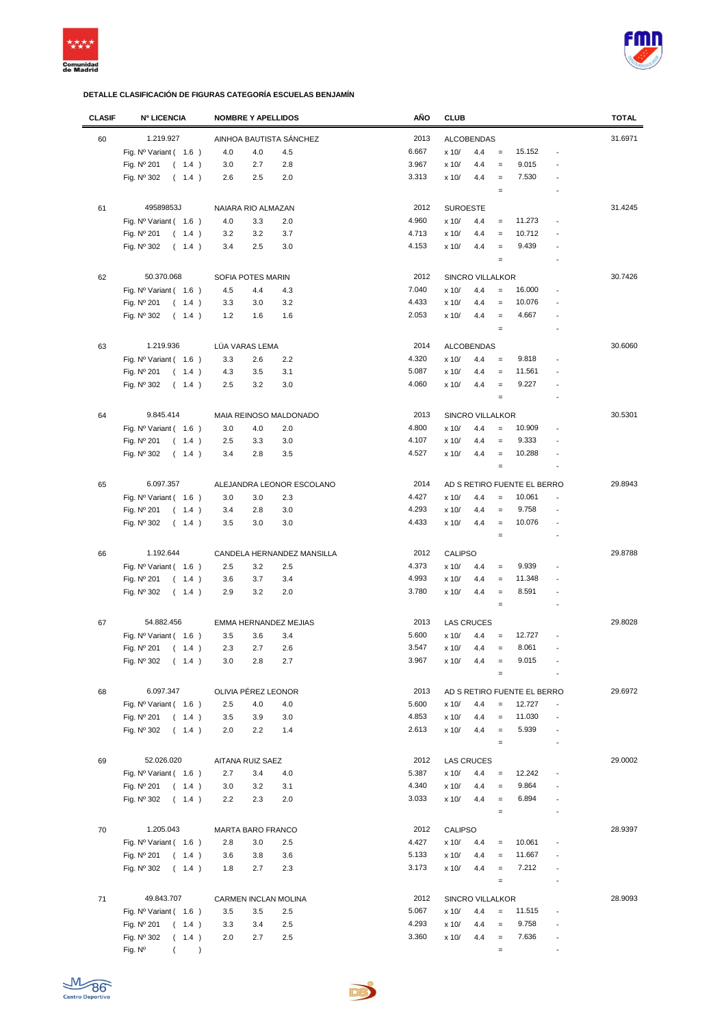



| <b>CLASIF</b> | <b>Nº LICENCIA</b>             | <b>NOMBRE Y APELLIDOS</b>  | AÑO   | <b>CLUB</b>                                                             | <b>TOTAL</b> |
|---------------|--------------------------------|----------------------------|-------|-------------------------------------------------------------------------|--------------|
| 60            | 1.219.927                      | AINHOA BAUTISTA SÁNCHEZ    | 2013  | <b>ALCOBENDAS</b>                                                       | 31.6971      |
|               | Fig. $N^{\circ}$ Variant (1.6) | 4.0<br>4.5<br>4.0          | 6.667 | 15.152<br>x 10/<br>4.4<br>$\equiv$                                      |              |
|               | Fig. Nº 201<br>(1.4)           | 2.8<br>3.0<br>2.7          | 3.967 | 9.015<br>x 10/<br>4.4<br>$\qquad \qquad =$                              |              |
|               | Fig. Nº 302<br>(1.4)           | 2.6<br>2.5<br>2.0          | 3.313 | 4.4<br>7.530<br>x 10/<br>$\equiv$                                       |              |
|               |                                |                            |       | $\qquad \qquad =$                                                       |              |
|               |                                |                            |       |                                                                         |              |
| 61            | 49589853J                      | NAIARA RIO ALMAZAN         | 2012  | <b>SUROESTE</b>                                                         | 31.4245      |
|               | Fig. $N^{\circ}$ Variant (1.6) | 4.0<br>3.3<br>2.0          | 4.960 | x 10/<br>11.273<br>4.4<br>$\qquad \qquad =$                             |              |
|               | Fig. Nº 201<br>(1.4)           | 3.2<br>3.7<br>3.2          | 4.713 | 10.712<br>x 10/<br>4.4<br>$\equiv$                                      |              |
|               | Fig. Nº 302<br>(1.4)           | 2.5<br>3.4<br>3.0          | 4.153 | 9.439<br>4.4<br>x 10/<br>$\equiv$                                       |              |
|               |                                |                            |       | $\qquad \qquad =$                                                       |              |
| 62            | 50.370.068                     | SOFIA POTES MARIN          | 2012  | SINCRO VILLALKOR                                                        | 30.7426      |
|               | Fig. $N^{\circ}$ Variant (1.6) | 4.5<br>4.4<br>4.3          | 7.040 | 16.000<br>x 10/<br>4.4<br>$=$                                           |              |
|               | Fig. Nº 201<br>(1.4)           | 3.3<br>3.0<br>3.2          | 4.433 | 10.076<br>x 10/<br>4.4<br>$\equiv$                                      |              |
|               | Fig. Nº 302<br>(1.4)           | 1.2<br>1.6<br>1.6          | 2.053 | 4.667<br>4.4<br>x 10/<br>$\equiv$                                       |              |
|               |                                |                            |       | $\qquad \qquad =$                                                       |              |
|               |                                |                            |       |                                                                         |              |
| 63            | 1.219.936                      | LÚA VARAS LEMA             | 2014  | <b>ALCOBENDAS</b>                                                       | 30.6060      |
|               | Fig. Nº Variant (1.6)          | 3.3<br>2.6<br>2.2          | 4.320 | x 10/<br>4.4<br>9.818<br>$\qquad \qquad =$                              |              |
|               | Fig. Nº 201<br>(1.4)           | 4.3<br>3.5<br>3.1          | 5.087 | x 10/<br>4.4<br>11.561<br>$\qquad \qquad =$                             |              |
|               | Fig. $N^{\circ}$ 302<br>(1.4)  | 2.5<br>3.2<br>3.0          | 4.060 | 9.227<br>$\equiv$<br>x 10/<br>4.4                                       |              |
|               |                                |                            |       | $\qquad \qquad =$                                                       |              |
| 64            | 9.845.414                      | MAIA REINOSO MALDONADO     | 2013  | <b>SINCRO VILLALKOR</b>                                                 | 30.5301      |
|               | Fig. Nº Variant (1.6)          | 3.0<br>4.0<br>2.0          | 4.800 | 10.909<br>x 10/<br>4.4<br>$\qquad \qquad =$<br>$\overline{\phantom{a}}$ |              |
|               | Fig. Nº 201<br>(1.4)           | 2.5<br>3.0<br>3.3          | 4.107 | 9.333<br>x 10/<br>4.4<br>$\qquad \qquad =$                              |              |
|               | Fig. Nº 302<br>(1.4)           | 2.8<br>3.5<br>3.4          | 4.527 | 10.288<br>x 10/<br>4.4<br>$\equiv$                                      |              |
|               |                                |                            |       | $\qquad \qquad =$                                                       |              |
|               |                                |                            |       |                                                                         |              |
| 65            | 6.097.357                      | ALEJANDRA LEONOR ESCOLANO  | 2014  | AD S RETIRO FUENTE EL BERRO                                             | 29.8943      |
|               | Fig. $N^{\circ}$ Variant (1.6) | 3.0<br>3.0<br>2.3          | 4.427 | 10.061<br>x 10/<br>4.4<br>$\qquad \qquad =$                             |              |
|               | Fig. Nº 201<br>(1.4)           | 3.0<br>3.4<br>2.8          | 4.293 | x 10/<br>4.4<br>9.758<br>$\equiv$                                       |              |
|               | Fig. Nº 302<br>(1.4)           | 3.5<br>3.0<br>3.0          | 4.433 | x 10/<br>4.4<br>10.076<br>$\equiv$<br>$\overline{\phantom{a}}$          |              |
|               |                                |                            |       | $\qquad \qquad =$                                                       |              |
| 66            | 1.192.644                      | CANDELA HERNANDEZ MANSILLA | 2012  | <b>CALIPSO</b>                                                          | 29.8788      |
|               | Fig. $N^{\circ}$ Variant (1.6) | 2.5<br>3.2<br>2.5          | 4.373 | x 10/<br>9.939<br>4.4<br>$\qquad \qquad =$                              |              |
|               | Fig. Nº 201<br>(1.4)           | 3.6<br>3.7<br>3.4          | 4.993 | x 10/<br>4.4<br>11.348<br>$\qquad \qquad =$                             |              |
|               | Fig. Nº 302<br>(1.4)           | 2.9<br>3.2<br>2.0          | 3.780 | x 10/<br>4.4<br>8.591<br>$\qquad \qquad =$                              |              |
|               |                                |                            |       | $\equiv$                                                                |              |
| 67            | 54.882.456                     | EMMA HERNANDEZ MEJIAS      | 2013  | <b>LAS CRUCES</b>                                                       | 29.8028      |
|               | Fig. Nº Variant (1.6)          | 3.5<br>3.6<br>3.4          | 5.600 | 12.727<br>x 10/<br>4.4<br>$\qquad \qquad =$                             |              |
|               | Fig. Nº 201<br>(1.4)           | 2.3<br>2.7<br>2.6          | 3.547 | 8.061<br>x 10/<br>4.4<br>$=$                                            |              |
|               | Fig. Nº 302<br>(1.4)           | 3.0<br>2.8<br>2.7          | 3.967 | x 10/<br>4.4<br>9.015<br>$\equiv$                                       |              |
|               |                                |                            |       | $\equiv$                                                                |              |
|               |                                |                            |       |                                                                         |              |
| 68            | 6.097.347                      | OLIVIA PÉREZ LEONOR        | 2013  | AD S RETIRO FUENTE EL BERRO                                             | 29.6972      |
|               | Fig. $N^{\circ}$ Variant (1.6) | 2.5<br>4.0<br>4.0          | 5.600 | 12.727<br>x 10/<br>4.4<br>$\qquad \qquad =$                             |              |
|               | Fig. Nº 201<br>(1.4)           | 3.5<br>3.9<br>3.0          | 4.853 | 11.030<br>x 10/<br>4.4<br>$\equiv$<br>$\overline{a}$                    |              |
|               | Fig. Nº 302<br>(1.4)           | 2.2<br>1.4<br>2.0          | 2.613 | 5.939<br>x 10/<br>4.4<br>$\equiv$<br>$\overline{\phantom{a}}$           |              |
|               |                                |                            |       | $\equiv$<br>$\overline{\phantom{a}}$                                    |              |
| 69            | 52.026.020                     | AITANA RUIZ SAEZ           | 2012  | <b>LAS CRUCES</b>                                                       | 29.0002      |
|               | Fig. Nº Variant ( 1.6 )        | 2.7<br>3.4<br>4.0          | 5.387 | 12.242<br>x 10/<br>4.4<br>$\equiv$                                      |              |
|               | Fig. Nº 201<br>(1.4)           | 3.0<br>3.2<br>3.1          | 4.340 | x 10/<br>9.864<br>4.4<br>$\equiv$                                       |              |
|               | Fig. Nº 302<br>(1.4)           | 2.2<br>2.3<br>2.0          | 3.033 | 6.894<br>x 10/<br>4.4<br>$\equiv$                                       |              |
|               |                                |                            |       | $\equiv$<br>$\blacksquare$                                              |              |
|               |                                |                            |       |                                                                         |              |
| 70            | 1.205.043                      | MARTA BARO FRANCO          | 2012  | <b>CALIPSO</b>                                                          | 28.9397      |
|               | Fig. $N^{\circ}$ Variant (1.6) | 2.8<br>3.0<br>2.5          | 4.427 | 10.061<br>x 10/<br>4.4<br>$\qquad \qquad =$                             |              |
|               | Fig. Nº 201<br>(1.4)           | 3.6<br>3.8<br>3.6          | 5.133 | x 10/<br>11.667<br>4.4<br>$\equiv$                                      |              |
|               | Fig. Nº 302<br>(1.4)           | 1.8<br>2.7<br>2.3          | 3.173 | 7.212<br>x 10/<br>4.4<br>$\equiv$                                       |              |
|               |                                |                            |       | $\equiv$<br>$\overline{\phantom{a}}$                                    |              |
| 71            | 49.843.707                     | CARMEN INCLAN MOLINA       | 2012  | SINCRO VILLALKOR                                                        | 28.9093      |
|               | Fig. $N^{\circ}$ Variant (1.6) | 3.5<br>2.5<br>3.5          | 5.067 | 11.515<br>x 10/<br>4.4<br>$\equiv$<br>$\overline{\phantom{a}}$          |              |
|               | Fig. Nº 201<br>(1.4)           | 3.3<br>3.4<br>2.5          | 4.293 | 9.758<br>x 10/<br>4.4<br>$\equiv$                                       |              |
|               | Fig. Nº 302<br>(1.4)           | 2.5<br>2.0<br>2.7          | 3.360 | x 10/<br>4.4<br>7.636<br>$\equiv$                                       |              |
|               | Fig. Nº<br>$\lambda$           |                            |       | $\qquad \qquad =$<br>$\overline{\phantom{a}}$                           |              |
|               |                                |                            |       |                                                                         |              |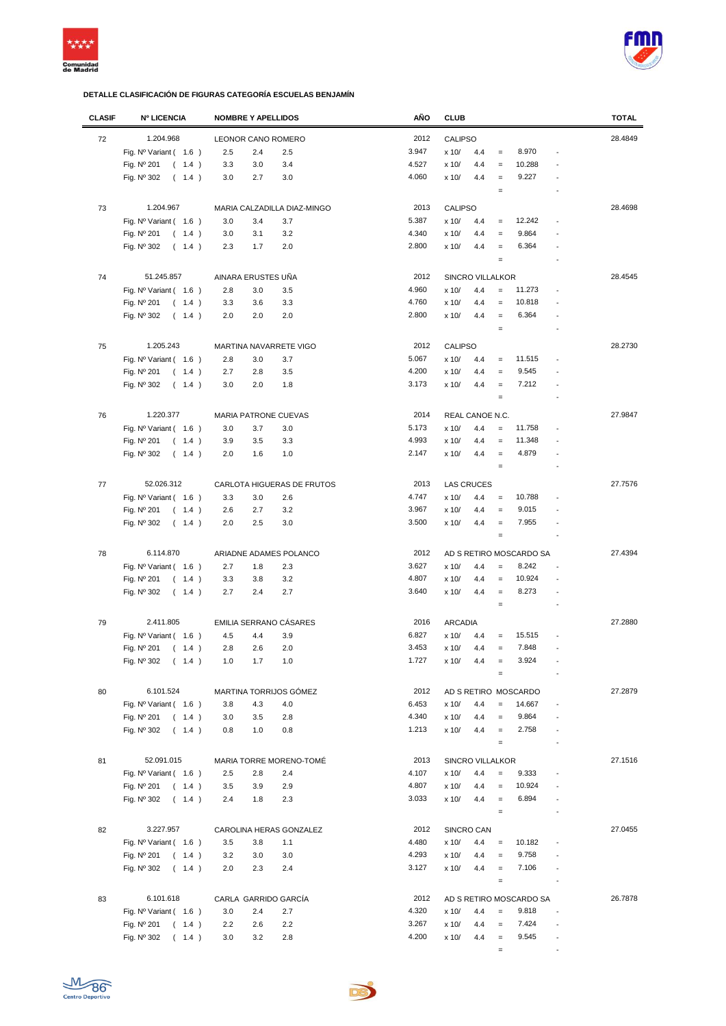



| <b>CLASIF</b> | <b>Nº LICENCIA</b>             | <b>NOMBRE Y APELLIDOS</b>   |     | AÑO   | <b>CLUB</b>       |     |                   |                         |                          | <b>TOTAL</b> |
|---------------|--------------------------------|-----------------------------|-----|-------|-------------------|-----|-------------------|-------------------------|--------------------------|--------------|
| 72            | 1.204.968                      | LEONOR CANO ROMERO          |     | 2012  | CALIPSO           |     |                   |                         |                          | 28.4849      |
|               | Fig. Nº Variant (1.6)          | 2.5<br>2.4                  | 2.5 | 3.947 | x 10/             | 4.4 | $=$               | 8.970                   |                          |              |
|               |                                |                             |     |       |                   |     |                   |                         |                          |              |
|               | Fig. Nº 201<br>(1.4)           | 3.3<br>3.0                  | 3.4 | 4.527 | x 10/             | 4.4 | $\qquad \qquad =$ | 10.288                  |                          |              |
|               | Fig. Nº 302<br>(1.4)           | 3.0<br>2.7                  | 3.0 | 4.060 | x 10/             | 4.4 | $\qquad \qquad =$ | 9.227                   |                          |              |
|               |                                |                             |     |       |                   |     | $\qquad \qquad =$ |                         | $\overline{a}$           |              |
| 73            | 1.204.967                      | MARIA CALZADILLA DIAZ-MINGO |     | 2013  | <b>CALIPSO</b>    |     |                   |                         |                          | 28.4698      |
|               | Fig. $N^{\circ}$ Variant (1.6) | 3.0<br>3.4                  | 3.7 | 5.387 | x 10/             | 4.4 | $\qquad \qquad =$ | 12.242                  |                          |              |
|               | Fig. Nº 201<br>(1.4)           | 3.0<br>3.1                  | 3.2 | 4.340 | x 10/             | 4.4 | $\qquad \qquad =$ | 9.864                   |                          |              |
|               | Fig. Nº 302<br>(1.4)           | 2.3<br>1.7                  | 2.0 | 2.800 | x 10/             | 4.4 | $\qquad \qquad =$ | 6.364                   |                          |              |
|               |                                |                             |     |       |                   |     | $\qquad \qquad =$ |                         |                          |              |
|               |                                |                             |     |       |                   |     |                   |                         |                          |              |
| 74            | 51.245.857                     | AINARA ERUSTES UÑA          |     | 2012  | SINCRO VILLALKOR  |     |                   |                         |                          | 28.4545      |
|               | Fig. $N^{\circ}$ Variant (1.6) | 2.8<br>3.0                  | 3.5 | 4.960 | x 10/             | 4.4 | $\qquad \qquad =$ | 11.273                  | $\overline{a}$           |              |
|               | Fig. Nº 201<br>(1.4)           | 3.3<br>3.6                  | 3.3 | 4.760 | x 10/             | 4.4 | $\qquad \qquad =$ | 10.818                  |                          |              |
|               | Fig. Nº 302<br>(1.4)           | 2.0<br>2.0                  | 2.0 | 2.800 | x 10/             | 4.4 | $\qquad \qquad =$ | 6.364                   |                          |              |
|               |                                |                             |     |       |                   |     | $\qquad \qquad =$ |                         |                          |              |
| 75            | 1.205.243                      | MARTINA NAVARRETE VIGO      |     | 2012  | <b>CALIPSO</b>    |     |                   |                         |                          | 28.2730      |
|               | Fig. $N^{\circ}$ Variant (1.6) | 2.8<br>3.0                  | 3.7 | 5.067 | x 10/             | 4.4 | $=$               | 11.515                  |                          |              |
|               | Fig. Nº 201<br>(1.4)           | 2.7<br>2.8                  | 3.5 | 4.200 | x 10/             | 4.4 | $=$               | 9.545                   |                          |              |
|               |                                |                             |     |       |                   |     |                   |                         |                          |              |
|               | Fig. Nº 302<br>(1.4)           | 3.0<br>2.0                  | 1.8 | 3.173 | x 10/             | 4.4 | $\qquad \qquad =$ | 7.212                   |                          |              |
|               |                                |                             |     |       |                   |     | $\qquad \qquad =$ |                         |                          |              |
| 76            | 1.220.377                      | <b>MARIA PATRONE CUEVAS</b> |     | 2014  | REAL CANOE N.C.   |     |                   |                         |                          | 27.9847      |
|               | Fig. Nº Variant (1.6)          | 3.0<br>3.7                  | 3.0 | 5.173 | x 10/             | 4.4 | $\qquad \qquad =$ | 11.758                  |                          |              |
|               | Fig. Nº 201<br>(1.4)           | 3.9<br>3.5                  | 3.3 | 4.993 | x 10/             | 4.4 | $\qquad \qquad =$ | 11.348                  |                          |              |
|               | Fig. Nº 302<br>(1.4)           | 2.0<br>1.6                  | 1.0 | 2.147 | x 10/             | 4.4 | $\qquad \qquad =$ | 4.879                   |                          |              |
|               |                                |                             |     |       |                   |     | $\qquad \qquad =$ |                         |                          |              |
|               |                                |                             |     |       |                   |     |                   |                         |                          |              |
| 77            | 52.026.312                     | CARLOTA HIGUERAS DE FRUTOS  |     | 2013  | <b>LAS CRUCES</b> |     |                   |                         |                          | 27.7576      |
|               | Fig. $N^{\circ}$ Variant (1.6) | 3.3<br>3.0                  | 2.6 | 4.747 | x 10/             | 4.4 | $\qquad \qquad =$ | 10.788                  |                          |              |
|               | Fig. Nº 201<br>(1.4)           | 2.6<br>2.7                  | 3.2 | 3.967 | x 10/             | 4.4 | $\qquad \qquad =$ | 9.015                   |                          |              |
|               | Fig. Nº 302<br>(1.4)           | 2.0<br>2.5                  | 3.0 | 3.500 | x 10/             | 4.4 | $\qquad \qquad =$ | 7.955                   |                          |              |
|               |                                |                             |     |       |                   |     | $\qquad \qquad =$ |                         |                          |              |
| 78            | 6.114.870                      | ARIADNE ADAMES POLANCO      |     | 2012  |                   |     |                   | AD S RETIRO MOSCARDO SA |                          | 27.4394      |
|               | Fig. $N^{\circ}$ Variant (1.6) | 2.7<br>1.8                  | 2.3 | 3.627 | x 10/             | 4.4 | $\equiv$          | 8.242                   |                          |              |
|               | Fig. Nº 201<br>(1.4)           | 3.3<br>3.8                  | 3.2 | 4.807 | x 10/             | 4.4 | $\qquad \qquad =$ | 10.924                  |                          |              |
|               |                                |                             |     | 3.640 |                   |     | $=$               | 8.273                   |                          |              |
|               | Fig. Nº 302<br>(1.4)           | 2.7<br>2.4                  | 2.7 |       | x 10/             | 4.4 |                   |                         |                          |              |
|               |                                |                             |     |       |                   |     | $\qquad \qquad =$ |                         |                          |              |
| 79            | 2.411.805                      | EMILIA SERRANO CÁSARES      |     | 2016  | <b>ARCADIA</b>    |     |                   |                         |                          | 27.2880      |
|               | Fig. $N^{\circ}$ Variant (1.6) | 4.5<br>4.4                  | 3.9 | 6.827 | x 10/             | 4.4 | $=$               | 15.515                  |                          |              |
|               | Fig. Nº 201<br>(1.4)           | 2.8<br>2.6                  | 2.0 | 3.453 | x 10/             | 4.4 | $\qquad \qquad =$ | 7.848                   |                          |              |
|               | Fig. Nº 302<br>(1.4)           | 1.0<br>1.7                  | 1.0 | 1.727 | x 10/             | 4.4 | $=$               | 3.924                   |                          |              |
|               |                                |                             |     |       |                   |     | $\quad =$         |                         |                          |              |
| 80            | 6.101.524                      | MARTINA TORRIJOS GÓMEZ      |     | 2012  |                   |     |                   | AD S RETIRO MOSCARDO    |                          | 27.2879      |
|               | Fig. Nº Variant ( 1.6 )        |                             |     | 6.453 |                   | 4.4 | $=$               | 14.667                  |                          |              |
|               |                                | 3.8<br>4.3                  | 4.0 |       | x 10/             |     |                   |                         |                          |              |
|               | Fig. Nº 201<br>(1.4)           | 3.0<br>3.5                  | 2.8 | 4.340 | x 10/             | 4.4 | $\qquad \qquad =$ | 9.864                   |                          |              |
|               | Fig. Nº 302<br>(1.4)           | 1.0<br>0.8                  | 0.8 | 1.213 | x 10/             | 4.4 | $\equiv$          | 2.758                   |                          |              |
|               |                                |                             |     |       |                   |     | $\qquad \qquad =$ |                         | ÷,                       |              |
| 81            | 52.091.015                     | MARIA TORRE MORENO-TOMÉ     |     | 2013  | SINCRO VILLALKOR  |     |                   |                         |                          | 27.1516      |
|               | Fig. $N^{\circ}$ Variant (1.6) | 2.5<br>2.8                  | 2.4 | 4.107 | x 10/             | 4.4 | $=$               | 9.333                   |                          |              |
|               | Fig. Nº 201<br>(1.4)           | 3.5<br>3.9                  | 2.9 | 4.807 | x 10/             | 4.4 | $\qquad \qquad =$ | 10.924                  | $\overline{a}$           |              |
|               | Fig. Nº 302<br>(1.4)           | 2.4<br>1.8                  | 2.3 | 3.033 | x 10/             | 4.4 | $\qquad \qquad =$ | 6.894                   |                          |              |
|               |                                |                             |     |       |                   |     | $\equiv$          |                         | ÷,                       |              |
|               |                                |                             |     |       |                   |     |                   |                         |                          |              |
| 82            | 3.227.957                      | CAROLINA HERAS GONZALEZ     |     | 2012  | SINCRO CAN        |     |                   |                         |                          | 27.0455      |
|               | Fig. $N^{\circ}$ Variant (1.6) | 3.5<br>3.8                  | 1.1 | 4.480 | x 10/             | 4.4 | $\equiv$          | 10.182                  |                          |              |
|               | Fig. Nº 201<br>(1.4)           | 3.2<br>3.0                  | 3.0 | 4.293 | x 10/             | 4.4 | $\qquad \qquad =$ | 9.758                   |                          |              |
|               | Fig. Nº 302<br>(1.4)           | 2.0<br>2.3                  | 2.4 | 3.127 | x 10/             | 4.4 | $\equiv$          | 7.106                   |                          |              |
|               |                                |                             |     |       |                   |     | $\qquad \qquad =$ |                         | $\overline{\phantom{a}}$ |              |
| 83            | 6.101.618                      | CARLA GARRIDO GARCÍA        |     | 2012  |                   |     |                   | AD S RETIRO MOSCARDO SA |                          | 26.7878      |
|               | Fig. $N^{\circ}$ Variant (1.6) | 3.0<br>2.4                  | 2.7 | 4.320 | x 10/             | 4.4 | $\qquad \qquad =$ | 9.818                   | $\blacksquare$           |              |
|               | Fig. Nº 201<br>(1.4)           | 2.2<br>2.6                  | 2.2 | 3.267 | x 10/             | 4.4 | $\qquad \qquad =$ | 7.424                   |                          |              |
|               |                                | 3.0<br>3.2                  | 2.8 | 4.200 | x 10/             | 4.4 | $\equiv$          | 9.545                   | $\blacksquare$           |              |
|               | Fig. Nº 302<br>(1.4)           |                             |     |       |                   |     |                   |                         |                          |              |
|               |                                |                             |     |       |                   |     | $\qquad \qquad =$ |                         |                          |              |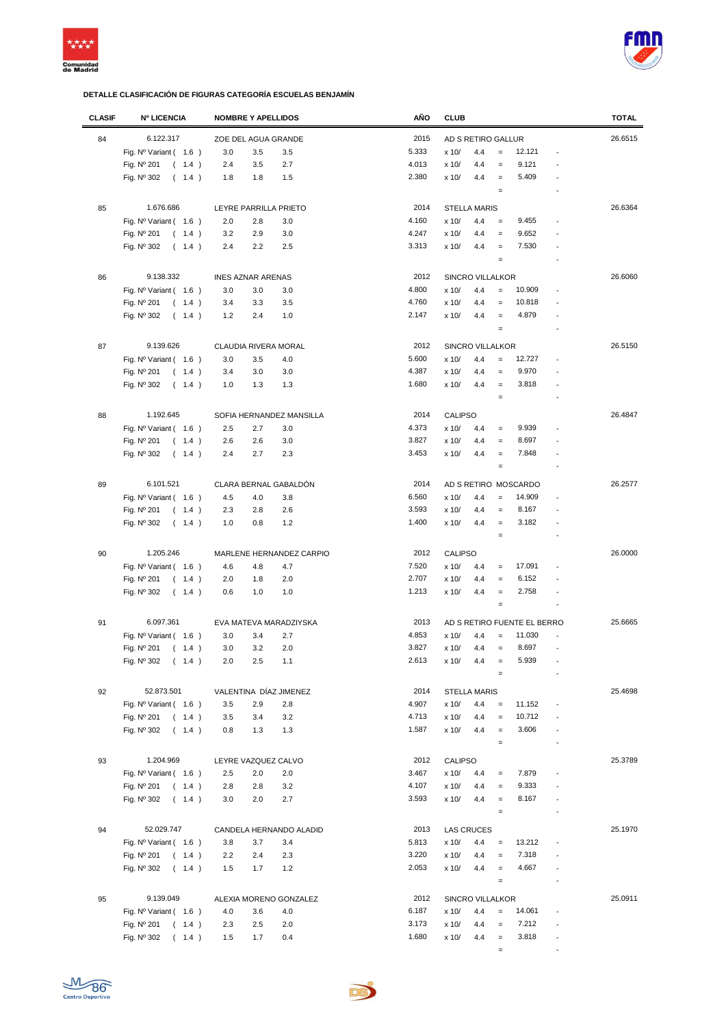



| <b>CLASIF</b> | <b>Nº LICENCIA</b>             | <b>NOMBRE Y APELLIDOS</b> | AÑO   | <b>CLUB</b>                                                            | <b>TOTAL</b> |
|---------------|--------------------------------|---------------------------|-------|------------------------------------------------------------------------|--------------|
| 84            | 6.122.317                      | ZOE DEL AGUA GRANDE       | 2015  | AD S RETIRO GALLUR                                                     | 26.6515      |
|               | Fig. $N^{\circ}$ Variant (1.6) | 3.0<br>3.5<br>3.5         | 5.333 | $=$<br>12.121<br>x 10/<br>4.4                                          |              |
|               | Fig. Nº 201<br>(1.4)           | 2.4<br>3.5<br>2.7         | 4.013 | x 10/<br>4.4<br>9.121<br>$\qquad \qquad =$                             |              |
|               | Fig. Nº 302<br>(1.4)           | 1.8<br>1.8<br>1.5         | 2.380 | x 10/<br>4.4<br>5.409<br>$\equiv$                                      |              |
|               |                                |                           |       | $\quad =$                                                              |              |
| 85            | 1.676.686                      |                           | 2014  | <b>STELLA MARIS</b>                                                    | 26.6364      |
|               |                                | LEYRE PARRILLA PRIETO     |       |                                                                        |              |
|               | Fig. Nº Variant (1.6)          | 2.0<br>2.8<br>3.0         | 4.160 | 9.455<br>x 10/<br>4.4<br>$\qquad \qquad =$                             |              |
|               | Fig. Nº 201<br>(1.4)           | 3.2<br>2.9<br>3.0         | 4.247 | 9.652<br>4.4<br>x 10/<br>$=$                                           |              |
|               | Fig. Nº 302<br>(1.4)           | 2.4<br>2.2<br>2.5         | 3.313 | 7.530<br>x 10/<br>4.4<br>$\equiv$                                      |              |
|               |                                |                           |       | $\qquad \qquad =$                                                      |              |
| 86            | 9.138.332                      | <b>INES AZNAR ARENAS</b>  | 2012  | <b>SINCRO VILLALKOR</b>                                                | 26.6060      |
|               | Fig. $N^{\circ}$ Variant (1.6) | 3.0<br>3.0<br>3.0         | 4.800 | 10.909<br>x 10/<br>4.4<br>$=$                                          |              |
|               | Fig. Nº 201<br>(1.4)           | 3.5<br>3.4<br>3.3         | 4.760 | 10.818<br>x 10/<br>4.4<br>$\qquad \qquad =$                            |              |
|               | Fig. Nº 302<br>(1.4)           | 1.2<br>2.4<br>1.0         | 2.147 | 4.879<br>x 10/<br>4.4<br>$\qquad \qquad =$                             |              |
|               |                                |                           |       | $\qquad \qquad =$                                                      |              |
| 87            | 9.139.626                      | CLAUDIA RIVERA MORAL      | 2012  | SINCRO VILLALKOR                                                       | 26.5150      |
|               | Fig. $N^{\circ}$ Variant (1.6) | 3.0<br>4.0<br>3.5         | 5.600 | x 10/<br>4.4<br>12.727<br>$\qquad \qquad =$                            |              |
|               | Fig. Nº 201<br>(1.4)           | 3.0<br>3.0<br>3.4         | 4.387 | 9.970<br>x 10/<br>4.4<br>$\qquad \qquad =$                             |              |
|               | Fig. $N^{\circ}$ 302<br>(1.4)  | 1.3<br>1.0<br>1.3         | 1.680 | 3.818<br>x 10/<br>4.4<br>$\qquad \qquad =$<br>$\overline{a}$           |              |
|               |                                |                           |       | $\qquad \qquad =$                                                      |              |
|               |                                |                           |       |                                                                        |              |
| 88            | 1.192.645                      | SOFIA HERNANDEZ MANSILLA  | 2014  | <b>CALIPSO</b>                                                         | 26.4847      |
|               | Fig. Nº Variant (1.6)          | 2.5<br>2.7<br>3.0         | 4.373 | x 10/<br>9.939<br>4.4<br>$\qquad \qquad =$                             |              |
|               | Fig. Nº 201<br>(1.4)           | 3.0<br>2.6<br>2.6         | 3.827 | 8.697<br>x 10/<br>4.4<br>$\qquad \qquad =$                             |              |
|               | Fig. Nº 302<br>(1.4)           | 2.7<br>2.3<br>2.4         | 3.453 | 7.848<br>x 10/<br>4.4<br>$\qquad \qquad =$                             |              |
|               |                                |                           |       | $\qquad \qquad =$                                                      |              |
| 89            | 6.101.521                      | CLARA BERNAL GABALDÓN     | 2014  | AD S RETIRO MOSCARDO                                                   | 26.2577      |
|               | Fig. $N^{\circ}$ Variant (1.6) | 4.5<br>4.0<br>3.8         | 6.560 | 14.909<br>x 10/<br>4.4<br>$\qquad \qquad =$                            |              |
|               | Fig. Nº 201<br>(1.4)           | 2.6<br>2.3<br>2.8         | 3.593 | 8.167<br>x 10/<br>4.4<br>$\qquad \qquad =$                             |              |
|               | Fig. Nº 302<br>(1.4)           | 1.0<br>0.8<br>1.2         | 1.400 | x 10/<br>4.4<br>3.182<br>$\qquad \qquad =$                             |              |
|               |                                |                           |       | $\qquad \qquad =$                                                      |              |
| 90            | 1.205.246                      | MARLENE HERNANDEZ CARPIO  | 2012  | <b>CALIPSO</b>                                                         | 26.0000      |
|               |                                |                           | 7.520 | 17.091<br>x 10/                                                        |              |
|               | Fig. $N^{\circ}$ Variant (1.6) | 4.6<br>4.7<br>4.8         | 2.707 | 4.4<br>$\qquad \qquad =$                                               |              |
|               | Fig. Nº 201<br>(1.4)           | 2.0<br>1.8<br>2.0         |       | 6.152<br>x 10/<br>4.4<br>$\qquad \qquad =$                             |              |
|               | Fig. Nº 302<br>(1.4)           | 0.6<br>1.0<br>1.0         | 1.213 | 2.758<br>x 10/<br>4.4<br>$\qquad \qquad =$<br>$\qquad \qquad =$        |              |
|               |                                |                           |       |                                                                        |              |
| 91            | 6.097.361                      | EVA MATEVA MARADZIYSKA    | 2013  | AD S RETIRO FUENTE EL BERRO                                            | 25.6665      |
|               | Fig. $N^{\circ}$ Variant (1.6) | 2.7<br>3.0<br>3.4         | 4.853 | 11.030<br>x 10/<br>4.4<br>$\equiv$                                     |              |
|               | Fig. Nº 201<br>(1.4)           | 2.0<br>3.0<br>3.2         | 3.827 | x 10/<br>8.697<br>4.4<br>$\qquad \qquad =$<br>÷,                       |              |
|               | Fig. Nº 302<br>(1.4)           | 2.0<br>2.5<br>1.1         | 2.613 | x 10/<br>5.939<br>4.4                                                  |              |
|               |                                |                           |       | $=$                                                                    |              |
| 92            | 52.873.501                     | VALENTINA DÍAZ JIMENEZ    | 2014  | <b>STELLA MARIS</b>                                                    | 25.4698      |
|               | Fig. $N^{\circ}$ Variant (1.6) | 3.5<br>2.9<br>2.8         | 4.907 | 11.152<br>x 10/<br>4.4<br>$\qquad \qquad =$                            |              |
|               | Fig. Nº 201<br>(1.4)           | 3.2<br>3.5<br>3.4         | 4.713 | x 10/<br>10.712<br>4.4<br>$\equiv$                                     |              |
|               | Fig. Nº 302<br>(1.4)           | 1.3<br>0.8<br>1.3         | 1.587 | 3.606<br>x 10/<br>4.4<br>$\equiv$                                      |              |
|               |                                |                           |       | $\qquad \qquad =$<br>$\overline{\phantom{a}}$                          |              |
|               |                                |                           |       |                                                                        | 25.3789      |
| 93            | 1.204.969                      | LEYRE VAZQUEZ CALVO       | 2012  | CALIPSO                                                                |              |
|               | Fig. $N^{\circ}$ Variant (1.6) | 2.5<br>2.0<br>2.0         | 3.467 | 7.879<br>x 10/<br>4.4<br>$\qquad \qquad =$                             |              |
|               | Fig. Nº 201<br>(1.4)           | 2.8<br>2.8<br>3.2         | 4.107 | 9.333<br>x 10/<br>4.4<br>$\qquad \qquad =$                             |              |
|               | Fig. Nº 302<br>(1.4)           | 3.0<br>2.0<br>2.7         | 3.593 | 8.167<br>x 10/<br>4.4<br>$\qquad \qquad =$                             |              |
|               |                                |                           |       | $\quad \  \  =$                                                        |              |
| 94            | 52.029.747                     | CANDELA HERNANDO ALADID   | 2013  | <b>LAS CRUCES</b>                                                      | 25.1970      |
|               | Fig. Nº Variant ( 1.6 )        | 3.8<br>3.7<br>3.4         | 5.813 | 13.212<br>x 10/<br>4.4<br>$\qquad \qquad =$                            |              |
|               | Fig. Nº 201<br>(1.4)           | 2.2<br>2.4<br>2.3         | 3.220 | 7.318<br>x 10/<br>4.4<br>$=$                                           |              |
|               | Fig. Nº 302<br>(1.4)           | 1.7<br>1.2<br>1.5         | 2.053 | 4.667<br>x 10/<br>4.4<br>$\equiv$                                      |              |
|               |                                |                           |       | $\qquad \qquad =$                                                      |              |
| 95            | 9.139.049                      | ALEXIA MORENO GONZALEZ    | 2012  | SINCRO VILLALKOR                                                       | 25.0911      |
|               | Fig. $N^{\circ}$ Variant (1.6) | 4.0<br>4.0<br>3.6         | 6.187 | 14.061<br>x 10/<br>4.4<br>$=$                                          |              |
|               | Fig. Nº 201<br>(1.4)           | 2.3<br>2.5<br>2.0         | 3.173 | 7.212<br>x 10/<br>4.4<br>$\qquad \qquad =$                             |              |
|               | Fig. Nº 302<br>(1.4)           | 0.4<br>1.5<br>1.7         | 1.680 | 3.818<br>x 10/<br>4.4<br>$\qquad \qquad =$<br>$\overline{\phantom{a}}$ |              |
|               |                                |                           |       | $\qquad \qquad =$                                                      |              |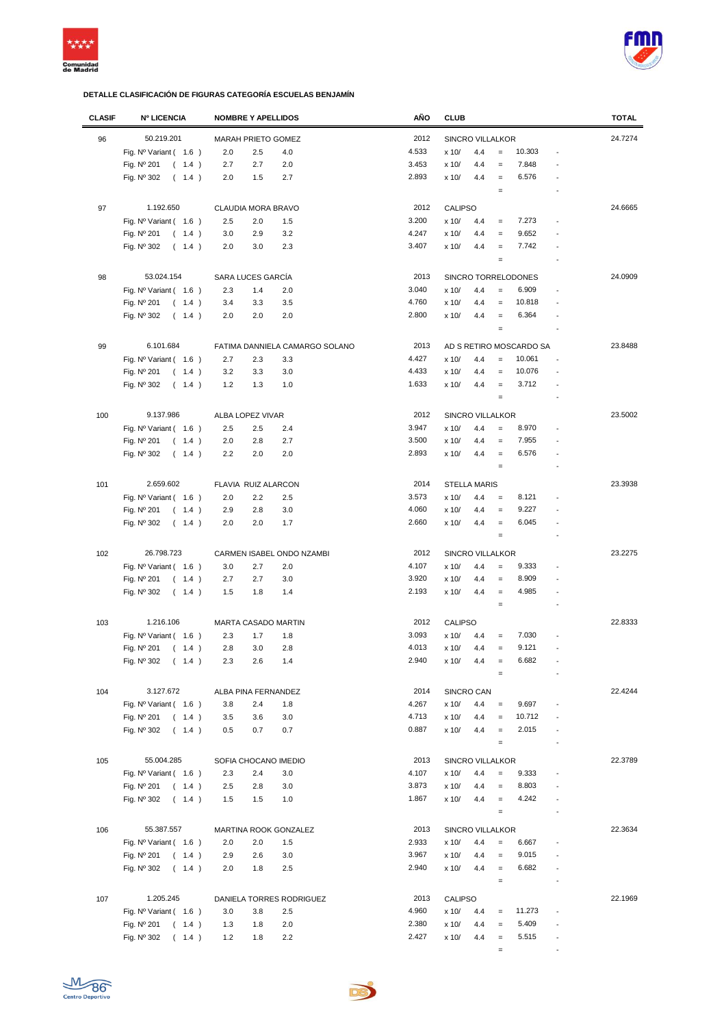



| <b>CLASIF</b> | <b>Nº LICENCIA</b>             | <b>NOMBRE Y APELLIDOS</b>      | AÑO   | <b>CLUB</b>                                                | <b>TOTAL</b> |
|---------------|--------------------------------|--------------------------------|-------|------------------------------------------------------------|--------------|
| 96            | 50.219.201                     | MARAH PRIETO GOMEZ             | 2012  | SINCRO VILLALKOR                                           | 24.7274      |
|               | Fig. $N^{\circ}$ Variant (1.6) | 2.0<br>2.5<br>4.0              | 4.533 | 10.303<br>x 10/<br>4.4<br>$\qquad \qquad =$                |              |
|               | Fig. Nº 201<br>(1.4)           | 2.7<br>2.7<br>2.0              | 3.453 | 7.848<br>x 10/<br>4.4<br>$=$                               |              |
|               | Fig. Nº 302<br>(1.4)           | 2.0<br>1.5<br>2.7              | 2.893 | 6.576<br>x 10/<br>4.4<br>$\equiv$                          |              |
|               |                                |                                |       | $\qquad \qquad =$                                          |              |
|               |                                |                                |       |                                                            |              |
| 97            | 1.192.650                      | CLAUDIA MORA BRAVO             | 2012  | <b>CALIPSO</b>                                             | 24.6665      |
|               | Fig. $N^{\circ}$ Variant (1.6) | 2.5<br>2.0<br>1.5              | 3.200 | 7.273<br>x 10/<br>4.4<br>$\qquad \qquad =$                 |              |
|               | Fig. Nº 201<br>(1.4)           | 3.2<br>3.0<br>2.9              | 4.247 | 9.652<br>x 10/<br>4.4<br>$=$                               |              |
|               | Fig. Nº 302<br>(1.4)           | 2.0<br>3.0<br>2.3              | 3.407 | 7.742<br>x 10/<br>4.4<br>$=$                               |              |
|               |                                |                                |       | $\qquad \qquad =$                                          |              |
| 98            | 53.024.154                     | SARA LUCES GARCÍA              | 2013  | SINCRO TORRELODONES                                        | 24.0909      |
|               |                                | 2.3<br>1.4                     | 3.040 | 6.909<br>x 10/<br>4.4<br>$=$                               |              |
|               | Fig. $N^{\circ}$ Variant (1.6) | 2.0                            | 4.760 | 10.818                                                     |              |
|               | Fig. Nº 201<br>(1.4)           | 3.3<br>3.5<br>3.4              |       | x 10/<br>4.4<br>$=$                                        |              |
|               | Fig. Nº 302<br>(1.4)           | 2.0<br>2.0<br>2.0              | 2.800 | 6.364<br>x 10/<br>4.4<br>$\qquad \qquad =$                 |              |
|               |                                |                                |       | $\qquad \qquad =$                                          |              |
| 99            | 6.101.684                      | FATIMA DANNIELA CAMARGO SOLANO | 2013  | AD S RETIRO MOSCARDO SA                                    | 23.8488      |
|               | Fig. Nº Variant (1.6)          | 2.7<br>3.3<br>2.3              | 4.427 | 10.061<br>x 10/<br>4.4<br>$=$                              |              |
|               | Fig. Nº 201<br>(1.4)           | 3.2<br>3.3<br>3.0              | 4.433 | 10.076<br>x 10/<br>4.4<br>$\equiv$                         |              |
|               | Fig. Nº 302<br>(1.4)           | 1.2<br>1.3<br>1.0              | 1.633 | 3.712<br>x 10/<br>4.4<br>$\qquad \qquad =$                 |              |
|               |                                |                                |       | $\qquad \qquad =$                                          |              |
|               |                                |                                |       |                                                            |              |
| 100           | 9.137.986                      | ALBA LOPEZ VIVAR               | 2012  | SINCRO VILLALKOR                                           | 23.5002      |
|               | Fig. $N^{\circ}$ Variant (1.6) | 2.5<br>2.5<br>2.4              | 3.947 | 8.970<br>x 10/<br>4.4<br>$=$                               |              |
|               | Fig. Nº 201<br>(1.4)           | 2.0<br>2.8<br>2.7              | 3.500 | 7.955<br>x 10/<br>4.4<br>$\qquad \qquad =$                 |              |
|               | Fig. Nº 302<br>(1.4)           | 2.2<br>2.0<br>2.0              | 2.893 | 6.576<br>x 10/<br>4.4<br>$\equiv$                          |              |
|               |                                |                                |       | $\qquad \qquad =$                                          |              |
| 101           | 2.659.602                      | FLAVIA RUIZ ALARCON            | 2014  | <b>STELLA MARIS</b>                                        | 23.3938      |
|               | Fig. Nº Variant (1.6)          | 2.0<br>2.2<br>2.5              | 3.573 | x 10/<br>4.4<br>8.121<br>$=$                               |              |
|               | Fig. Nº 201<br>(1.4)           | 2.9<br>2.8<br>3.0              | 4.060 | 9.227<br>x 10/<br>4.4<br>$\equiv$                          |              |
|               | Fig. Nº 302<br>(1.4)           | 2.0<br>2.0<br>1.7              | 2.660 | x 10/<br>4.4<br>6.045<br>$\equiv$                          |              |
|               |                                |                                |       | $\qquad \qquad =$                                          |              |
|               |                                |                                |       |                                                            |              |
| 102           | 26.798.723                     | CARMEN ISABEL ONDO NZAMBI      | 2012  | <b>SINCRO VILLALKOR</b>                                    | 23.2275      |
|               | Fig. Nº Variant (1.6)          | 2.0<br>3.0<br>2.7              | 4.107 | 9.333<br>x 10/<br>4.4<br>$=$                               |              |
|               | Fig. Nº 201<br>(1.4)           | 2.7<br>2.7<br>3.0              | 3.920 | 8.909<br>x 10/<br>4.4<br>$\equiv$                          |              |
|               | Fig. $N^{\circ}$ 302<br>(1.4)  | 1.4<br>1.5<br>1.8              | 2.193 | 4.985<br>x 10/<br>4.4<br>$\qquad \qquad =$                 |              |
|               |                                |                                |       | $\equiv$                                                   |              |
| 103           | 1.216.106                      | <b>MARTA CASADO MARTIN</b>     | 2012  | <b>CALIPSO</b>                                             | 22.8333      |
|               | Fig. Nº Variant (1.6)          | 2.3<br>1.8<br>1.7              | 3.093 | 7.030<br>x 10/<br>4.4<br>$=$                               |              |
|               | Fig. Nº 201<br>1.4)            | 2.8<br>3.0<br>2.8              | 4.013 | 9.121<br>x 10/<br>4.4<br>$=$<br>$\overline{a}$             |              |
|               | $\left($                       |                                | 2.940 |                                                            |              |
|               | Fig. Nº 302<br>(1.4)           | 2.3<br>2.6<br>1.4              |       | 6.682<br>x 10/<br>4.4                                      |              |
|               |                                |                                |       | $=$                                                        |              |
| 104           | 3.127.672                      | ALBA PINA FERNANDEZ            | 2014  | SINCRO CAN                                                 | 22.4244      |
|               | Fig. $N^{\circ}$ Variant (1.6) | 3.8<br>2.4<br>1.8              | 4.267 | 9.697<br>x 10/<br>4.4<br>$\qquad \qquad =$                 |              |
|               | Fig. Nº 201<br>(1.4)           | 3.0<br>3.5<br>3.6              | 4.713 | 10.712<br>x 10/<br>4.4<br>$\qquad \qquad =$                |              |
|               | Fig. Nº 302<br>(1.4)           | 0.7<br>0.5<br>0.7              | 0.887 | 2.015<br>x 10/<br>4.4<br>$\equiv$                          |              |
|               |                                |                                |       | $\qquad \qquad =$<br>$\overline{a}$                        |              |
| 105           | 55.004.285                     | SOFIA CHOCANO IMEDIO           | 2013  | SINCRO VILLALKOR                                           | 22.3789      |
|               | Fig. $N^{\circ}$ Variant (1.6) | 2.3<br>2.4<br>3.0              | 4.107 | 9.333<br>x 10/<br>4.4<br>$\qquad \qquad =$                 |              |
|               | Fig. Nº 201<br>(1.4)           | 2.5<br>2.8<br>3.0              | 3.873 | 8.803<br>x 10/<br>4.4<br>$\qquad \qquad =$                 |              |
|               |                                | 1.5                            | 1.867 | 4.242<br>4.4<br>$\overline{a}$                             |              |
|               | Fig. Nº 302<br>(1.4)           | 1.5<br>1.0                     |       | x 10/<br>$\equiv$                                          |              |
|               |                                |                                |       | $\qquad \qquad =$                                          |              |
| 106           | 55.387.557                     | MARTINA ROOK GONZALEZ          | 2013  | SINCRO VILLALKOR                                           | 22.3634      |
|               | Fig. $N^{\circ}$ Variant (1.6) | 2.0<br>2.0<br>1.5              | 2.933 | 6.667<br>x 10/<br>4.4<br>$\equiv$<br>$\overline{a}$        |              |
|               | Fig. Nº 201<br>(1.4)           | 2.9<br>2.6<br>3.0              | 3.967 | 9.015<br>x 10/<br>4.4<br>$\equiv$                          |              |
|               | Fig. Nº 302<br>(1.4)           | 1.8<br>2.5<br>2.0              | 2.940 | x 10/<br>6.682<br>4.4<br>$\qquad \qquad =$                 |              |
|               |                                |                                |       | $\qquad \qquad =$                                          |              |
| 107           | 1.205.245                      |                                | 2013  |                                                            | 22.1969      |
|               |                                | DANIELA TORRES RODRIGUEZ       |       | <b>CALIPSO</b>                                             |              |
|               | Fig. $N^{\circ}$ Variant (1.6) | 3.0<br>2.5<br>3.8              | 4.960 | 11.273<br>x 10/<br>4.4<br>$\qquad \qquad =$                |              |
|               | Fig. Nº 201<br>(1.4)           | 2.0<br>1.3<br>1.8              | 2.380 | 5.409<br>x 10/<br>4.4<br>$=$                               |              |
|               | Fig. Nº 302<br>(1.4)           | 1.2<br>2.2<br>1.8              | 2.427 | x 10/<br>5.515<br>4.4<br>$\qquad \qquad =$<br>$\centerdot$ |              |
|               |                                |                                |       | $=$                                                        |              |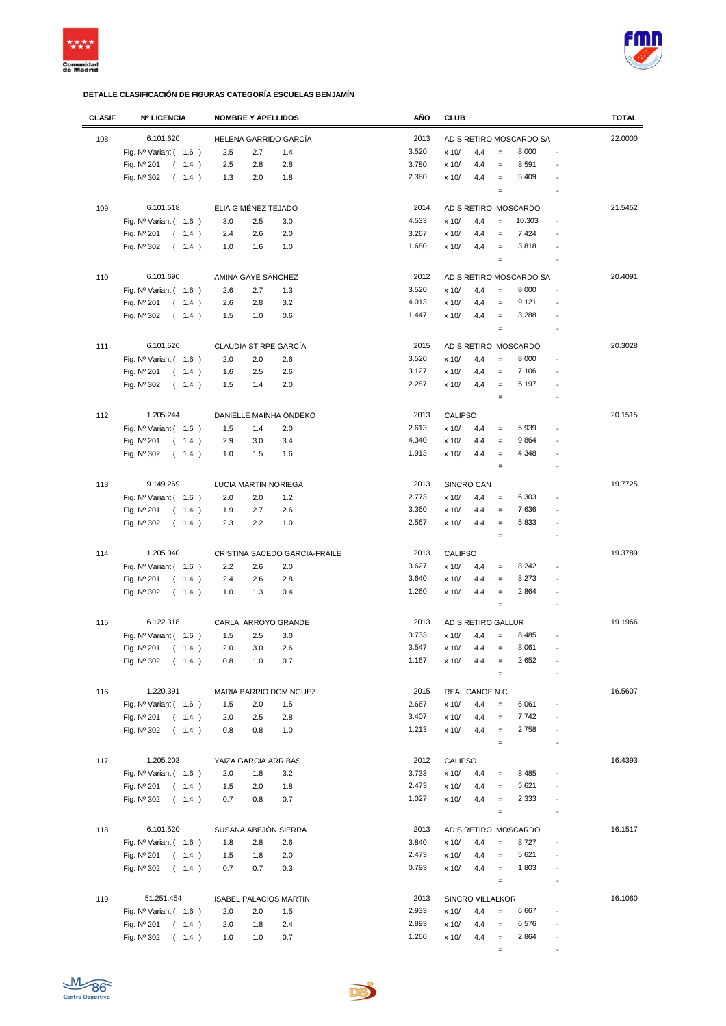



| <b>CLASIF</b> | <b>Nº LICENCIA</b>             | <b>NOMBRE Y APELLIDOS</b>     | AÑO           | <b>CLUB</b>                                    | <b>TOTAL</b> |
|---------------|--------------------------------|-------------------------------|---------------|------------------------------------------------|--------------|
| 108           | 6.101.620                      | HELENA GARRIDO GARCÍA         | 2013          | AD S RETIRO MOSCARDO SA                        | 22.0000      |
|               | Fig. $N^{\circ}$ Variant (1.6) | 2.5<br>2.7<br>1.4             | 3.520         | 8.000<br>x 10/<br>4.4<br>$\qquad \qquad =$     |              |
|               | Fig. Nº 201<br>(1.4)           | 2.8<br>2.5<br>2.8             | 3.780         | 8.591<br>x 10/<br>4.4<br>$\qquad \qquad =$     |              |
|               | Fig. Nº 302                    |                               | 2.380         | 5.409                                          |              |
|               | (1.4)                          | 1.3<br>2.0<br>1.8             |               | x 10/<br>4.4<br>$\qquad \qquad =$<br>$\quad =$ |              |
|               |                                |                               |               |                                                |              |
| 109           | 6.101.518                      | ELIA GIMÉNEZ TEJADO           | 2014          | AD S RETIRO MOSCARDO                           | 21.5452      |
|               | Fig. $N^{\circ}$ Variant (1.6) | 3.0<br>2.5<br>3.0             | 4.533         | 10.303<br>x 10/<br>4.4<br>$=$                  |              |
|               | Fig. Nº 201<br>(1.4)           | 2.0<br>2.4<br>2.6             | 3.267         | 7.424<br>x 10/<br>4.4<br>$=$                   |              |
|               | Fig. Nº 302<br>(1.4)           | 1.0<br>1.6<br>1.0             | 1.680         | 3.818<br>x 10/<br>4.4<br>$=$                   |              |
|               |                                |                               |               | $\qquad \qquad =$                              |              |
| 110           | 6.101.690                      | AMINA GAYE SÁNCHEZ            | 2012          | AD S RETIRO MOSCARDO SA                        | 20.4091      |
|               | Fig. $N^{\circ}$ Variant (1.6) | 2.6<br>2.7<br>1.3             | 3.520         | 8.000<br>x 10/<br>4.4<br>$=$                   |              |
|               | Fig. Nº 201<br>(1.4)           | 3.2<br>2.6<br>2.8             | 4.013         | 9.121<br>x 10/<br>4.4<br>$\qquad \qquad =$     |              |
|               | Fig. Nº 302<br>(1.4)           | 1.5<br>1.0<br>0.6             | 1.447         | 3.288<br>x 10/<br>4.4<br>$\qquad \qquad =$     |              |
|               |                                |                               |               | $\qquad \qquad =$                              |              |
| 111           | 6.101.526                      | CLAUDIA STIRPE GARCÍA         | 2015          | AD S RETIRO MOSCARDO                           | 20.3028      |
|               | Fig. $N^{\circ}$ Variant (1.6) | 2.0<br>2.0<br>2.6             | 3.520         | 8.000<br>x 10/<br>4.4<br>$\qquad \qquad =$     |              |
|               |                                |                               |               |                                                |              |
|               | Fig. Nº 201<br>(1.4)           | 1.6<br>2.5<br>2.6             | 3.127         | x 10/<br>4.4<br>7.106<br>$\qquad \qquad =$     |              |
|               | (1.4)<br>Fig. Nº 302           | 1.5<br>1.4<br>2.0             | 2.287         | 5.197<br>x 10/<br>4.4<br>$=$                   |              |
|               |                                |                               |               | $\qquad \qquad =$                              |              |
| 112           | 1.205.244                      | DANIELLE MAINHA ONDEKO        | 2013          | <b>CALIPSO</b>                                 | 20.1515      |
|               | Fig. $N^{\circ}$ Variant (1.6) | 1.5<br>2.0<br>1.4             | 2.613         | 5.939<br>x 10/<br>4.4<br>$\qquad \qquad =$     |              |
|               | Fig. Nº 201<br>(1.4)           | 2.9<br>3.0<br>3.4             | 4.340         | 9.864<br>x 10/<br>4.4<br>$\equiv$              |              |
|               | Fig. Nº 302<br>(1.4)           | 1.6<br>1.0<br>1.5             | 1.913         | 4.348<br>x 10/<br>4.4<br>$\qquad \qquad =$     |              |
|               |                                |                               |               | $\qquad \qquad =$                              |              |
| 113           | 9.149.269                      | LUCIA MARTIN NORIEGA          | 2013          | SINCRO CAN                                     | 19.7725      |
|               |                                |                               |               |                                                |              |
|               | Fig. $N^{\circ}$ Variant (1.6) | 2.0<br>2.0<br>1.2             | 2.773         | 6.303<br>x 10/<br>4.4<br>$\qquad \qquad =$     |              |
|               | Fig. Nº 201<br>(1.4)           | 2.6<br>1.9<br>2.7             | 3.360         | x 10/<br>7.636<br>4.4<br>$=$                   |              |
|               | Fig. Nº 302<br>(1.4)           | 2.3<br>2.2<br>1.0             | 2.567         | x 10/<br>5.833<br>4.4<br>$\qquad \qquad =$     |              |
|               |                                |                               |               | $\qquad \qquad =$                              |              |
| 114           | 1.205.040                      | CRISTINA SACEDO GARCIA-FRAILE | 2013          | <b>CALIPSO</b>                                 | 19.3789      |
|               | Fig. $N^{\circ}$ Variant (1.6) | 2.2<br>2.6<br>2.0             | 3.627         | 8.242<br>x 10/<br>4.4<br>$\quad =$             |              |
|               | Fig. Nº 201<br>(1.4)           | 2.8<br>2.4<br>2.6             | 3.640         | 8.273<br>x 10/<br>4.4<br>$\qquad \qquad =$     |              |
|               | Fig. Nº 302<br>(1.4)           | 1.0<br>1.3<br>0.4             | 1.260         | x 10/<br>4.4<br>2.864<br>$\qquad \qquad =$     |              |
|               |                                |                               |               | $\qquad \qquad =$                              |              |
| 115           | 6.122.318                      | CARLA ARROYO GRANDE           | 2013          | AD S RETIRO GALLUR                             | 19.1966      |
|               | Fig. Nº Variant (1.6)          | 1.5<br>2.5<br>3.0             | 3.733         | 8.485<br>x 10/<br>4.4<br>$=$                   |              |
|               | Fig. Nº 201                    | 2.0<br>3.0<br>2.6             | 3.547         | 8.061<br>x 10/<br>4.4<br>$\qquad \qquad =$     |              |
|               | (1.4)                          |                               |               |                                                |              |
|               | Fig. Nº 302<br>(1.4)           | 0.8<br>1.0<br>0.7             | 1.167         | 2.652<br>x 10/<br>4.4<br>$\qquad \qquad =$     |              |
|               |                                |                               |               |                                                |              |
| 116           | 1.220.391                      | MARIA BARRIO DOMINGUEZ        | 2015          | REAL CANOE N.C.                                | 16.5607      |
|               | Fig. $N^{\circ}$ Variant (1.6) | 1.5<br>2.0<br>1.5             | 2.667         | 6.061<br>x 10/<br>4.4<br>$\qquad \qquad =$     |              |
|               | Fig. Nº 201<br>(1.4)           | 2.0<br>2.5<br>2.8             | 3.407         | 7.742<br>x 10/<br>4.4<br>$\equiv$              |              |
|               | Fig. Nº 302<br>(1.4)           | 0.8<br>0.8<br>1.0             | 1.213         | 2.758<br>x 10/<br>4.4<br>$\equiv$<br>÷,        |              |
|               |                                |                               |               | $\qquad \qquad =$<br>÷,                        |              |
| 117           | 1.205.203                      | YAIZA GARCIA ARRIBAS          | 2012          | <b>CALIPSO</b>                                 | 16.4393      |
|               | Fig. $N^{\circ}$ Variant (1.6) | 2.0<br>3.2<br>1.8             | 3.733         | 8.485<br>x 10/<br>4.4<br>$\qquad \qquad =$     |              |
|               | Fig. Nº 201<br>(1.4)           | 1.5<br>2.0<br>1.8             | 2.473         | 5.621<br>x 10/<br>4.4<br>$\qquad \qquad =$     |              |
|               | Fig. Nº 302<br>(1.4)           | 0.7<br>0.8<br>0.7             | 1.027         | 2.333<br>x 10/<br>4.4<br>$\qquad \qquad =$     |              |
|               |                                |                               |               | $\quad \  \  =$                                |              |
|               |                                |                               |               |                                                |              |
| 118           | 6.101.520                      | SUSANA ABEJÓN SIERRA          | 2013<br>3.840 | AD S RETIRO MOSCARDO<br>8.727                  | 16.1517      |
|               | Fig. $N^{\circ}$ Variant (1.6) | 1.8<br>2.8<br>2.6             |               | x 10/<br>4.4<br>$=$                            |              |
|               | Fig. Nº 201<br>(1.4)           | 2.0<br>1.5<br>1.8             | 2.473         | 5.621<br>x 10/<br>4.4<br>$=$                   |              |
|               | Fig. Nº 302<br>(1.4)           | 0.7<br>0.7<br>0.3             | 0.793         | 1.803<br>x 10/<br>4.4<br>$\equiv$              |              |
|               |                                |                               |               | $\quad =$<br>$\overline{\phantom{a}}$          |              |
| 119           | 51.251.454                     | <b>ISABEL PALACIOS MARTIN</b> | 2013          | SINCRO VILLALKOR                               | 16.1060      |
|               | Fig. $N^{\circ}$ Variant (1.6) | 2.0<br>2.0<br>1.5             | 2.933         | 6.667<br>x 10/<br>4.4<br>$\equiv$              |              |
|               | Fig. Nº 201<br>(1.4)           | 2.0<br>1.8<br>2.4             | 2.893         | 6.576<br>x 10/<br>4.4<br>$\equiv$              |              |
|               | Fig. Nº 302<br>(1.4)           | 1.0<br>0.7<br>1.0             | 1.260         | 2.864<br>x 10/<br>4.4<br>$\equiv$              |              |
|               |                                |                               |               | $\qquad \qquad =$                              |              |
|               |                                |                               |               |                                                |              |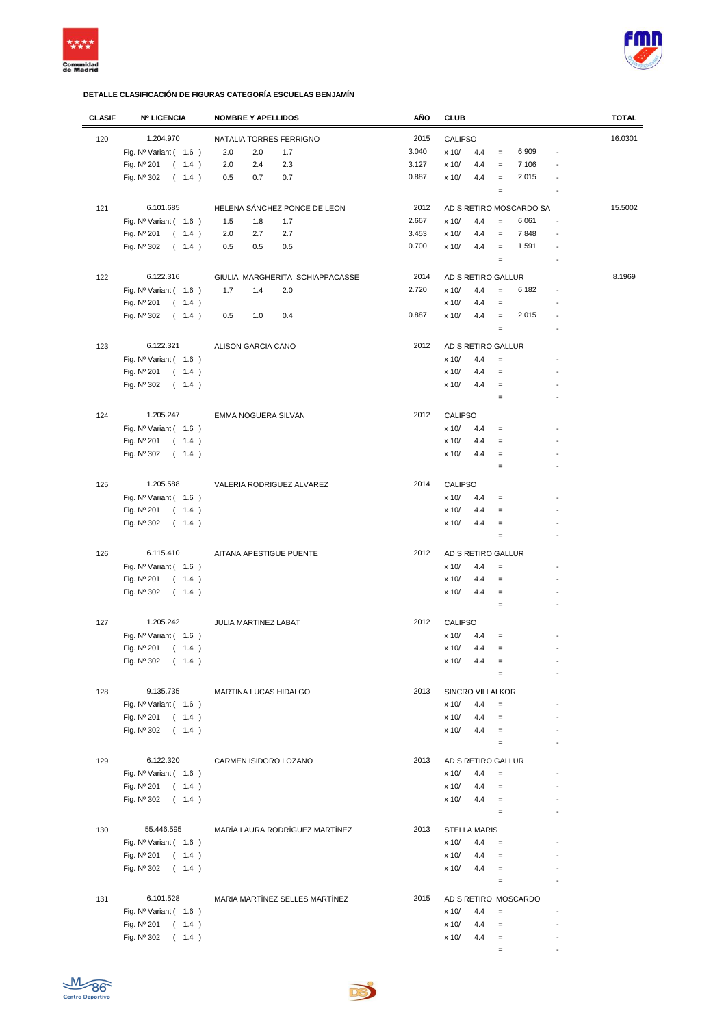



| <b>CLASIF</b> | <b>Nº LICENCIA</b>             | <b>NOMBRE Y APELLIDOS</b>       | AÑO   | <b>CLUB</b>                                                   | <b>TOTAL</b> |
|---------------|--------------------------------|---------------------------------|-------|---------------------------------------------------------------|--------------|
| 120           | 1.204.970                      | NATALIA TORRES FERRIGNO         | 2015  | CALIPSO                                                       | 16.0301      |
|               | Fig. $N^{\circ}$ Variant (1.6) | 2.0<br>2.0<br>1.7               | 3.040 | 6.909<br>x 10/<br>4.4<br>$\qquad \qquad =$<br>$\overline{a}$  |              |
|               |                                |                                 |       |                                                               |              |
|               | Fig. Nº 201<br>(1.4)           | 2.3<br>2.0<br>2.4               | 3.127 | 7.106<br>4.4<br>x 10/<br>$\qquad \qquad =$<br>$\overline{a}$  |              |
|               | Fig. Nº 302<br>(1.4)           | 0.7<br>0.5<br>0.7               | 0.887 | 4.4<br>2.015<br>x 10/<br>$=$                                  |              |
|               |                                |                                 |       | $\qquad \qquad =$<br>$\overline{\phantom{a}}$                 |              |
| 121           | 6.101.685                      | HELENA SÁNCHEZ PONCE DE LEON    | 2012  | AD S RETIRO MOSCARDO SA                                       | 15.5002      |
|               | Fig. Nº Variant ( 1.6 )        | 1.5<br>1.8<br>1.7               | 2.667 | x 10/<br>6.061<br>4.4<br>$\overline{a}$<br>$\qquad \qquad =$  |              |
|               | (1.4)<br>Fig. Nº 201           | 2.7<br>2.0<br>2.7               | 3.453 | 7.848<br>x 10/<br>4.4<br>$=$<br>$\overline{a}$                |              |
|               | Fig. Nº 302<br>(1.4)           | 0.5<br>0.5<br>0.5               | 0.700 | x 10/<br>4.4<br>1.591<br>$\equiv$<br>$\overline{a}$           |              |
|               |                                |                                 |       | $\equiv$<br>$\overline{a}$                                    |              |
|               |                                |                                 |       |                                                               |              |
| 122           | 6.122.316                      | GIULIA MARGHERITA SCHIAPPACASSE | 2014  | AD S RETIRO GALLUR                                            | 8.1969       |
|               | Fig. $N^{\circ}$ Variant (1.6) | 1.7<br>1.4<br>2.0               | 2.720 | 6.182<br>x 10/<br>4.4<br>$=$<br>$\overline{a}$                |              |
|               | Fig. Nº 201<br>(1.4)           |                                 |       | x 10/<br>4.4<br>$\qquad \qquad =$<br>$\overline{a}$           |              |
|               | Fig. Nº 302<br>(1.4)           | 0.5<br>1.0<br>0.4               | 0.887 | 2.015<br>4.4<br>x 10/<br>$\equiv$<br>$\overline{a}$           |              |
|               |                                |                                 |       | $\qquad \qquad =$<br>$\overline{a}$                           |              |
| 123           | 6.122.321                      | ALISON GARCIA CANO              | 2012  | AD S RETIRO GALLUR                                            |              |
|               | Fig. $N^{\circ}$ Variant (1.6) |                                 |       | x 10/<br>4.4<br>$\qquad \qquad =$                             |              |
|               | Fig. Nº 201<br>(1.4)           |                                 |       | x 10/<br>4.4<br>$=$<br>$\overline{a}$                         |              |
|               |                                |                                 |       | 4.4<br>x 10/<br>$\qquad \qquad =$                             |              |
|               | Fig. Nº 302<br>(1.4)           |                                 |       |                                                               |              |
|               |                                |                                 |       | $\qquad \qquad =$                                             |              |
| 124           | 1.205.247                      | EMMA NOGUERA SILVAN             | 2012  | <b>CALIPSO</b>                                                |              |
|               | Fig. Nº Variant (1.6)          |                                 |       | x 10/<br>4.4<br>$\qquad \qquad =$<br>$\overline{a}$           |              |
|               | Fig. Nº 201<br>(1.4)           |                                 |       | x 10/<br>4.4<br>$\qquad \qquad =$                             |              |
|               | Fig. Nº 302<br>(1.4)           |                                 |       | 4.4<br>x 10/<br>$\qquad \qquad =$                             |              |
|               |                                |                                 |       | $\qquad \qquad =$<br>$\overline{a}$                           |              |
|               |                                |                                 |       |                                                               |              |
| 125           | 1.205.588                      | VALERIA RODRIGUEZ ALVAREZ       | 2014  | <b>CALIPSO</b>                                                |              |
|               | Fig. Nº Variant (1.6)          |                                 |       | x 10/<br>4.4<br>$\qquad \qquad =$<br>$\overline{a}$           |              |
|               | Fig. Nº 201<br>(1.4)           |                                 |       | x 10/<br>4.4<br>$\qquad \qquad =$<br>$\overline{a}$           |              |
|               | Fig. Nº 302<br>(1.4)           |                                 |       | x 10/<br>4.4<br>$\qquad \qquad =$<br>$\overline{a}$           |              |
|               |                                |                                 |       | $\qquad \qquad =$                                             |              |
| 126           | 6.115.410                      | AITANA APESTIGUE PUENTE         | 2012  | AD S RETIRO GALLUR                                            |              |
|               | Fig. $N^{\circ}$ Variant (1.6) |                                 |       | x 10/<br>4.4<br>$\qquad \qquad =$<br>$\overline{a}$           |              |
|               | Fig. Nº 201<br>(1.4)           |                                 |       | x 10/<br>4.4<br>$\qquad \qquad =$                             |              |
|               | Fig. Nº 302<br>(1.4)           |                                 |       | x 10/<br>4.4<br>$\equiv$<br>$\overline{a}$                    |              |
|               |                                |                                 |       | $\qquad \qquad =$                                             |              |
|               |                                |                                 |       |                                                               |              |
| 127           | 1.205.242                      | JULIA MARTINEZ LABAT            | 2012  | <b>CALIPSO</b>                                                |              |
|               | Fig. $N^{\circ}$ Variant (1.6) |                                 |       | x 10/<br>4.4<br>$\qquad \qquad =$                             |              |
|               | Fig. Nº 201<br>(1.4)           |                                 |       | x 10/<br>4.4<br>$\qquad \qquad =$<br>$\overline{a}$           |              |
|               | Fig. Nº 302<br>(1.4)           |                                 |       | x 10/<br>4.4<br>$=$                                           |              |
|               |                                |                                 |       | $\qquad \qquad =$                                             |              |
| 128           | 9.135.735                      | <b>MARTINA LUCAS HIDALGO</b>    | 2013  | <b>SINCRO VILLALKOR</b>                                       |              |
|               | Fig. Nº Variant ( 1.6 )        |                                 |       | x 10/<br>4.4<br>$\qquad \qquad =$                             |              |
|               | Fig. $N^{\circ}$ 201 (1.4)     |                                 |       | 4.4<br>x 10/<br>$\qquad \qquad =$                             |              |
|               | (1.4)<br>Fig. Nº 302           |                                 |       | 4.4<br>x 10/<br>$\equiv$<br>$\overline{\phantom{a}}$          |              |
|               |                                |                                 |       | $\qquad \qquad =$<br>$\overline{a}$                           |              |
|               |                                |                                 |       |                                                               |              |
| 129           | 6.122.320                      | CARMEN ISIDORO LOZANO           | 2013  | AD S RETIRO GALLUR                                            |              |
|               | Fig. Nº Variant ( 1.6 )        |                                 |       | x 10/<br>4.4<br>$\qquad \qquad =$<br>$\overline{a}$           |              |
|               | Fig. Nº 201<br>(1.4)           |                                 |       | x 10/<br>4.4<br>$\qquad \qquad =$<br>$\overline{\phantom{a}}$ |              |
|               | Fig. $N^{\circ}$ 302 ( 1.4 )   |                                 |       | x 10/<br>4.4<br>$\equiv$                                      |              |
|               |                                |                                 |       | $\qquad \qquad =$<br>$\overline{\phantom{a}}$                 |              |
| 130           | 55.446.595                     | MARÍA LAURA RODRÍGUEZ MARTÍNEZ  | 2013  | <b>STELLA MARIS</b>                                           |              |
|               | Fig. $N^{\circ}$ Variant (1.6) |                                 |       | x 10/<br>4.4<br>$\equiv$                                      |              |
|               | Fig. Nº 201 ( 1.4 )            |                                 |       | x 10/<br>4.4<br>$=$                                           |              |
|               |                                |                                 |       | x 10/<br>4.4                                                  |              |
|               | Fig. $N^{\circ}$ 302 ( 1.4 )   |                                 |       | $\equiv$                                                      |              |
|               |                                |                                 |       | $\qquad \qquad =$                                             |              |
| 131           | 6.101.528                      | MARIA MARTÍNEZ SELLES MARTÍNEZ  | 2015  | AD S RETIRO MOSCARDO                                          |              |
|               | Fig. $N^{\circ}$ Variant (1.6) |                                 |       | x 10/<br>4.4<br>$\equiv$                                      |              |
|               | Fig. Nº 201<br>(1.4)           |                                 |       | x 10/<br>4.4<br>$\equiv$                                      |              |
|               | Fig. Nº 302<br>(1.4)           |                                 |       | x 10/<br>4.4<br>$\equiv$                                      |              |
|               |                                |                                 |       | $\qquad \qquad =$                                             |              |

De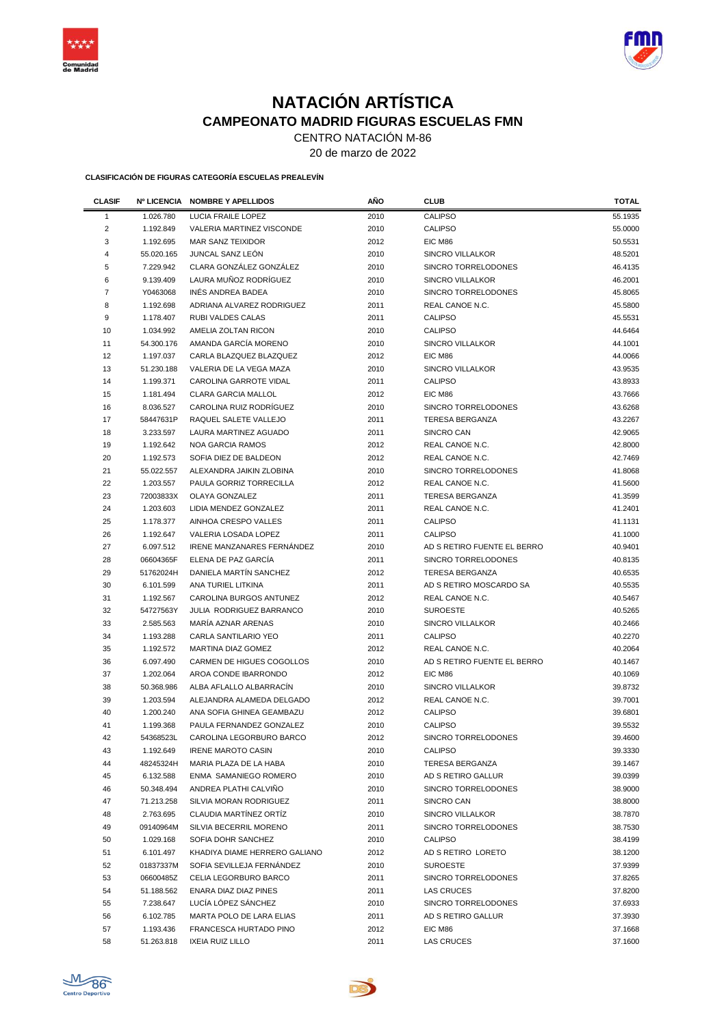



## **NATACIÓN ARTÍSTICA CAMPEONATO MADRID FIGURAS ESCUELAS FMN**

CENTRO NATACIÓN M-86

20 de marzo de 2022

**CLASIFICACIÓN DE FIGURAS CATEGORÍA ESCUELAS PREALEVÍN**

| <b>CLASIF</b>  | <b>Nº LICENCIA</b>      | <b>NOMBRE Y APELLIDOS</b>         | AÑO  | <b>CLUB</b>                 | <b>TOTAL</b>       |
|----------------|-------------------------|-----------------------------------|------|-----------------------------|--------------------|
| 1              | 1.026.780               | <b>LUCIA FRAILE LOPEZ</b>         | 2010 | <b>CALIPSO</b>              | 55.1935            |
| $\overline{2}$ | 1.192.849               | <b>VALERIA MARTINEZ VISCONDE</b>  | 2010 | <b>CALIPSO</b>              | 55.0000            |
| 3              | 1.192.695               | <b>MAR SANZ TEIXIDOR</b>          | 2012 | EIC M86                     | 50.5531            |
| 4              | 55.020.165              | JUNCAL SANZ LEÓN                  | 2010 | <b>SINCRO VILLALKOR</b>     | 48.5201            |
| 5              | 7.229.942               | CLARA GONZÁLEZ GONZÁLEZ           | 2010 | SINCRO TORRELODONES         | 46.4135            |
| 6              | 9.139.409               | LAURA MUÑOZ RODRÍGUEZ             | 2010 | <b>SINCRO VILLALKOR</b>     | 46.2001            |
| 7              | Y0463068                | INES ANDREA BADEA                 | 2010 | SINCRO TORRELODONES         | 45.8065            |
| 8              | 1.192.698               | ADRIANA ALVAREZ RODRIGUEZ         | 2011 | REAL CANOE N.C.             | 45.5800            |
| 9              | 1.178.407               | <b>RUBI VALDES CALAS</b>          | 2011 | <b>CALIPSO</b>              | 45.5531            |
| 10             | 1.034.992               | AMELIA ZOLTAN RICON               | 2010 | <b>CALIPSO</b>              | 44.6464            |
| 11             | 54.300.176              | AMANDA GARCÍA MORENO              | 2010 | <b>SINCRO VILLALKOR</b>     | 44.1001            |
| 12             | 1.197.037               | CARLA BLAZQUEZ BLAZQUEZ           | 2012 | EIC M86                     | 44.0066            |
| 13             | 51.230.188              | VALERIA DE LA VEGA MAZA           | 2010 | SINCRO VILLALKOR            | 43.9535            |
| 14             | 1.199.371               | CAROLINA GARROTE VIDAL            | 2011 | <b>CALIPSO</b>              | 43.8933            |
| 15             | 1.181.494               | <b>CLARA GARCIA MALLOL</b>        | 2012 | EIC M86                     | 43.7666            |
| 16             | 8.036.527               | CAROLINA RUIZ RODRÍGUEZ           | 2010 | SINCRO TORRELODONES         | 43.6268            |
| 17             | 58447631P               | RAQUEL SALETE VALLEJO             | 2011 | <b>TERESA BERGANZA</b>      | 43.2267            |
| 18             | 3.233.597               | LAURA MARTINEZ AGUADO             | 2011 | SINCRO CAN                  | 42.9065            |
| 19             | 1.192.642               | <b>NOA GARCIA RAMOS</b>           | 2012 | REAL CANOE N.C.             | 42.8000            |
| 20             | 1.192.573               | SOFIA DIEZ DE BALDEON             | 2012 | REAL CANOE N.C.             | 42.7469            |
| 21             | 55.022.557              | ALEXANDRA JAIKIN ZLOBINA          | 2010 | SINCRO TORRELODONES         | 41.8068            |
| 22             | 1.203.557               | PAULA GORRIZ TORRECILLA           | 2012 | REAL CANOE N.C.             | 41.5600            |
| 23             | 72003833X               | OLAYA GONZALEZ                    | 2011 | <b>TERESA BERGANZA</b>      | 41.3599            |
| 24             | 1.203.603               | LIDIA MENDEZ GONZALEZ             | 2011 | REAL CANOE N.C.             | 41.2401            |
| 25             | 1.178.377               | AINHOA CRESPO VALLES              | 2011 | <b>CALIPSO</b>              | 41.1131            |
| 26             | 1.192.647               | VALERIA LOSADA LOPEZ              | 2011 | <b>CALIPSO</b>              | 41.1000            |
| 27             | 6.097.512               | <b>IRENE MANZANARES FERNÁNDEZ</b> | 2010 | AD S RETIRO FUENTE EL BERRO | 40.9401            |
| 28             | 06604365F               | ELENA DE PAZ GARCÍA               | 2011 | SINCRO TORRELODONES         | 40.8135            |
| 29             | 51762024H               | DANIELA MARTÍN SANCHEZ            | 2012 | <b>TERESA BERGANZA</b>      | 40.6535            |
| 30             | 6.101.599               | ANA TURIEL LITKINA                | 2011 | AD S RETIRO MOSCARDO SA     | 40.5535            |
| 31             | 1.192.567               | CAROLINA BURGOS ANTUNEZ           | 2012 | REAL CANOE N.C.             | 40.5467            |
| 32             | 54727563Y               | JULIA RODRIGUEZ BARRANCO          | 2010 | <b>SUROESTE</b>             | 40.5265            |
| 33             | 2.585.563               | MARÍA AZNAR ARENAS                | 2010 | SINCRO VILLALKOR            | 40.2466            |
| 34             | 1.193.288               | CARLA SANTILARIO YEO              | 2011 | <b>CALIPSO</b>              | 40.2270            |
| 35             | 1.192.572               | MARTINA DIAZ GOMEZ                | 2012 | REAL CANOE N.C.             | 40.2064            |
| 36             | 6.097.490               | CARMEN DE HIGUES COGOLLOS         | 2010 | AD S RETIRO FUENTE EL BERRO | 40.1467            |
| 37             |                         | AROA CONDE IBARRONDO              | 2012 | EIC M86                     |                    |
| 38             | 1.202.064<br>50.368.986 | ALBA AFLALLO ALBARRACÍN           | 2010 | SINCRO VILLALKOR            | 40.1069<br>39.8732 |
| 39             |                         | ALEJANDRA ALAMEDA DELGADO         | 2012 | REAL CANOE N.C.             | 39.7001            |
| 40             | 1.203.594               | ANA SOFIA GHINEA GEAMBAZU         |      | <b>CALIPSO</b>              | 39.6801            |
|                | 1.200.240               |                                   | 2012 |                             |                    |
| 41             | 1.199.368               | PAULA FERNANDEZ GONZALEZ          | 2010 | <b>CALIPSO</b>              | 39.5532            |
| 42             | 54368523L               | CAROLINA LEGORBURO BARCO          | 2012 | SINCRO TORRELODONES         | 39.4600            |
| 43             | 1.192.649<br>48245324H  | <b>IRENE MAROTO CASIN</b>         | 2010 | <b>CALIPSO</b>              | 39.3330            |
| 44             |                         | MARIA PLAZA DE LA HABA            | 2010 | <b>TERESA BERGANZA</b>      | 39.1467            |
| 45             | 6.132.588               | ENMA SAMANIEGO ROMERO             | 2010 | AD S RETIRO GALLUR          | 39.0399            |
| 46             | 50.348.494              | ANDREA PLATHI CALVIÑO             | 2010 | SINCRO TORRELODONES         | 38.9000            |
| 47             | 71.213.258              | SILVIA MORAN RODRIGUEZ            | 2011 | SINCRO CAN                  | 38.8000            |
| 48             | 2.763.695               | CLAUDIA MARTINEZ ORTIZ            | 2010 | <b>SINCRO VILLALKOR</b>     | 38.7870            |
| 49             | 09140964M               | SILVIA BECERRIL MORENO            | 2011 | SINCRO TORRELODONES         | 38.7530            |
| 50             | 1.029.168               | SOFIA DOHR SANCHEZ                | 2010 | <b>CALIPSO</b>              | 38.4199            |
| 51             | 6.101.497               | KHADIYA DIAME HERRERO GALIANO     | 2012 | AD S RETIRO LORETO          | 38.1200            |
| 52             | 01837337M               | SOFIA SEVILLEJA FERNÁNDEZ         | 2010 | <b>SUROESTE</b>             | 37.9399            |
| 53             | 06600485Z               | CELIA LEGORBURO BARCO             | 2011 | SINCRO TORRELODONES         | 37.8265            |
| 54             | 51.188.562              | ENARA DIAZ DIAZ PINES             | 2011 | LAS CRUCES                  | 37.8200            |
| 55             | 7.238.647               | LUCÍA LÓPEZ SÁNCHEZ               | 2010 | SINCRO TORRELODONES         | 37.6933            |
| 56             | 6.102.785               | MARTA POLO DE LARA ELIAS          | 2011 | AD S RETIRO GALLUR          | 37.3930            |
| 57             | 1.193.436               | FRANCESCA HURTADO PINO            | 2012 | EIC M86                     | 37.1668            |
| 58             | 51.263.818              | <b>IXEIA RUIZ LILLO</b>           | 2011 | <b>LAS CRUCES</b>           | 37.1600            |

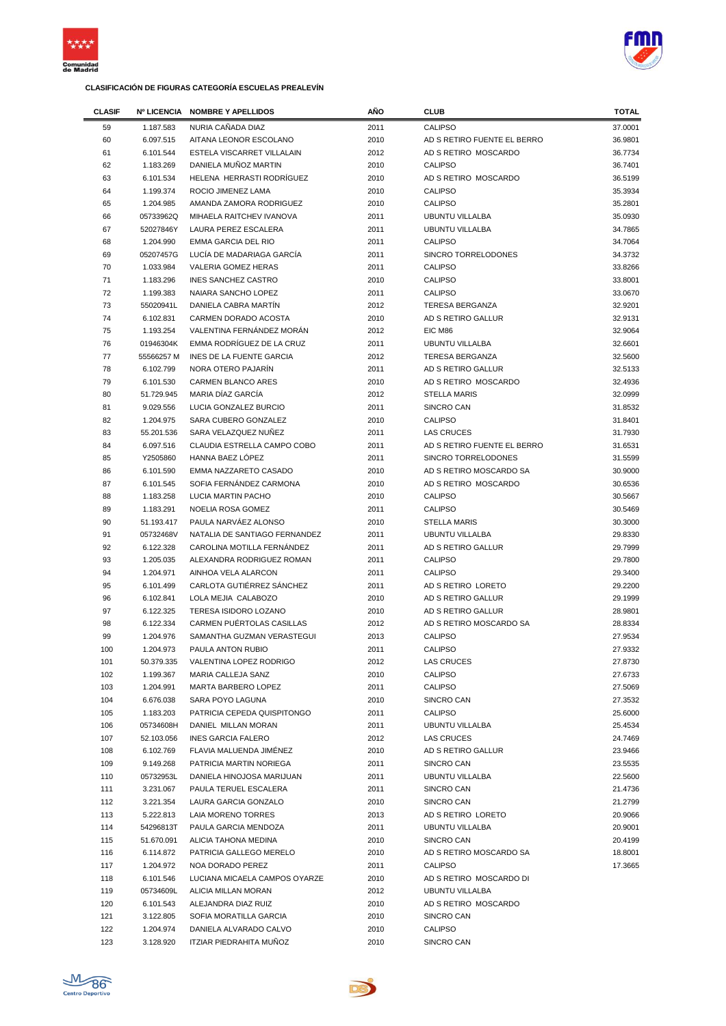



| <b>CLASIF</b> |                        | Nº LICENCIA NOMBRE Y APELLIDOS                       | AÑO          | <b>CLUB</b>                                       | TOTAL              |
|---------------|------------------------|------------------------------------------------------|--------------|---------------------------------------------------|--------------------|
| 59            | 1.187.583              | NURIA CAÑADA DIAZ                                    | 2011         | <b>CALIPSO</b>                                    | 37.0001            |
| 60            | 6.097.515              | AITANA LEONOR ESCOLANO                               | 2010         | AD S RETIRO FUENTE EL BERRO                       | 36.9801            |
| 61            | 6.101.544              | ESTELA VISCARRET VILLALAIN                           | 2012         | AD S RETIRO MOSCARDO                              | 36.7734            |
| 62            | 1.183.269              | DANIELA MUÑOZ MARTIN                                 | 2010         | <b>CALIPSO</b>                                    | 36.7401            |
| 63            | 6.101.534              | HELENA HERRASTI RODRÍGUEZ                            | 2010         | AD S RETIRO MOSCARDO                              | 36.5199            |
| 64            | 1.199.374              | ROCIO JIMENEZ LAMA                                   | 2010         | <b>CALIPSO</b>                                    | 35.3934            |
| 65            | 1.204.985              | AMANDA ZAMORA RODRIGUEZ                              | 2010         | <b>CALIPSO</b>                                    | 35.2801            |
| 66            | 05733962Q              | MIHAELA RAITCHEV IVANOVA                             | 2011         | <b>UBUNTU VILLALBA</b>                            | 35.0930            |
| 67            | 52027846Y              | LAURA PEREZ ESCALERA                                 | 2011         | <b>UBUNTU VILLALBA</b>                            | 34.7865            |
| 68            | 1.204.990              | <b>EMMA GARCIA DEL RIO</b>                           | 2011         | <b>CALIPSO</b>                                    | 34.7064            |
| 69            | 05207457G              | LUCÍA DE MADARIAGA GARCÍA                            | 2011         | <b>SINCRO TORRELODONES</b>                        | 34.3732            |
| 70            | 1.033.984              | <b>VALERIA GOMEZ HERAS</b>                           | 2011         | <b>CALIPSO</b>                                    | 33.8266            |
| 71            | 1.183.296              | <b>INES SANCHEZ CASTRO</b>                           | 2010         | <b>CALIPSO</b>                                    | 33.8001            |
| 72            | 1.199.383              | NAIARA SANCHO LOPEZ                                  | 2011         | <b>CALIPSO</b>                                    | 33.0670            |
| 73<br>74      | 55020941L              | DANIELA CABRA MARTIN                                 | 2012         | <b>TERESA BERGANZA</b><br>AD S RETIRO GALLUR      | 32.9201<br>32.9131 |
| 75            | 6.102.831              | CARMEN DORADO ACOSTA<br>VALENTINA FERNÁNDEZ MORÁN    | 2010<br>2012 | EIC M86                                           | 32.9064            |
| 76            | 1.193.254<br>01946304K | EMMA RODRÍGUEZ DE LA CRUZ                            | 2011         | <b>UBUNTU VILLALBA</b>                            | 32.6601            |
| 77            | 55566257 M             | INES DE LA FUENTE GARCIA                             | 2012         | <b>TERESA BERGANZA</b>                            | 32.5600            |
| 78            | 6.102.799              | NORA OTERO PAJARÍN                                   | 2011         | AD S RETIRO GALLUR                                | 32.5133            |
| 79            | 6.101.530              | <b>CARMEN BLANCO ARES</b>                            | 2010         | AD S RETIRO MOSCARDO                              | 32.4936            |
| 80            | 51.729.945             | MARIA DÍAZ GARCÍA                                    | 2012         | <b>STELLA MARIS</b>                               | 32.0999            |
| 81            | 9.029.556              | LUCIA GONZALEZ BURCIO                                | 2011         | SINCRO CAN                                        | 31.8532            |
| 82            | 1.204.975              | SARA CUBERO GONZALEZ                                 | 2010         | <b>CALIPSO</b>                                    | 31.8401            |
| 83            | 55.201.536             | SARA VELAZQUEZ NUÑEZ                                 | 2011         | <b>LAS CRUCES</b>                                 | 31.7930            |
| 84            | 6.097.516              | CLAUDIA ESTRELLA CAMPO COBO                          | 2011         | AD S RETIRO FUENTE EL BERRO                       | 31.6531            |
| 85            | Y2505860               | HANNA BAEZ LÓPEZ                                     | 2011         | SINCRO TORRELODONES                               | 31.5599            |
| 86            | 6.101.590              | EMMA NAZZARETO CASADO                                | 2010         | AD S RETIRO MOSCARDO SA                           | 30.9000            |
| 87            | 6.101.545              | SOFIA FERNÁNDEZ CARMONA                              | 2010         | AD S RETIRO MOSCARDO                              | 30.6536            |
| 88            | 1.183.258              | LUCIA MARTIN PACHO                                   | 2010         | <b>CALIPSO</b>                                    | 30.5667            |
| 89            | 1.183.291              | NOELIA ROSA GOMEZ                                    | 2011         | <b>CALIPSO</b>                                    | 30.5469            |
| 90            | 51.193.417             | PAULA NARVÁEZ ALONSO                                 | 2010         | <b>STELLA MARIS</b>                               | 30.3000            |
| 91            | 05732468V              | NATALIA DE SANTIAGO FERNANDEZ                        | 2011         | <b>UBUNTU VILLALBA</b>                            | 29.8330            |
| 92            | 6.122.328              | CAROLINA MOTILLA FERNÁNDEZ                           | 2011         | AD S RETIRO GALLUR                                | 29.7999            |
| 93            | 1.205.035              | ALEXANDRA RODRIGUEZ ROMAN                            | 2011         | <b>CALIPSO</b>                                    | 29.7800            |
| 94            | 1.204.971              | AINHOA VELA ALARCON                                  | 2011         | <b>CALIPSO</b>                                    | 29.3400            |
| 95<br>96      | 6.101.499              | CARLOTA GUTIERREZ SANCHEZ<br>LOLA MEJIA CALABOZO     | 2011<br>2010 | AD S RETIRO LORETO<br>AD S RETIRO GALLUR          | 29.2200            |
| 97            | 6.102.841<br>6.122.325 | TERESA ISIDORO LOZANO                                | 2010         | AD S RETIRO GALLUR                                | 29.1999<br>28.9801 |
| 98            | 6.122.334              | CARMEN PUERTOLAS CASILLAS                            | 2012         | AD S RETIRO MOSCARDO SA                           | 28.8334            |
| 99            | 1.204.976              | SAMANTHA GUZMAN VERASTEGUI                           | 2013         | <b>CALIPSO</b>                                    | 27.9534            |
| 100           | 1.204.973              | PAULA ANTON RUBIO                                    | 2011         | <b>CALIPSO</b>                                    | 27.9332            |
| 101           | 50.379.335             | VALENTINA LOPEZ RODRIGO                              | 2012         | <b>LAS CRUCES</b>                                 | 27.8730            |
| 102           | 1.199.367              | MARIA CALLEJA SANZ                                   | 2010         | <b>CALIPSO</b>                                    | 27.6733            |
| 103           | 1.204.991              | MARTA BARBERO LOPEZ                                  | 2011         | CALIPSO                                           | 27.5069            |
| 104           | 6.676.038              | SARA POYO LAGUNA                                     | 2010         | SINCRO CAN                                        | 27.3532            |
| 105           | 1.183.203              | PATRICIA CEPEDA QUISPITONGO                          | 2011         | <b>CALIPSO</b>                                    | 25.6000            |
| 106           | 05734608H              | DANIEL MILLAN MORAN                                  | 2011         | <b>UBUNTU VILLALBA</b>                            | 25.4534            |
| 107           | 52.103.056             | <b>INES GARCIA FALERO</b>                            | 2012         | LAS CRUCES                                        | 24.7469            |
| 108           | 6.102.769              | FLAVIA MALUENDA JIMÉNEZ                              | 2010         | AD S RETIRO GALLUR                                | 23.9466            |
| 109           | 9.149.268              | PATRICIA MARTIN NORIEGA                              | 2011         | SINCRO CAN                                        | 23.5535            |
| 110           | 05732953L              | DANIELA HINOJOSA MARIJUAN                            | 2011         | <b>UBUNTU VILLALBA</b>                            | 22.5600            |
| 111           | 3.231.067              | PAULA TERUEL ESCALERA                                | 2011         | SINCRO CAN                                        | 21.4736            |
| 112           | 3.221.354              | LAURA GARCIA GONZALO                                 | 2010         | SINCRO CAN                                        | 21.2799            |
| 113           | 5.222.813              | LAIA MORENO TORRES                                   | 2013         | AD S RETIRO LORETO                                | 20.9066            |
| 114           | 54296813T              | PAULA GARCIA MENDOZA                                 | 2011         | <b>UBUNTU VILLALBA</b>                            | 20.9001            |
| 115           | 51.670.091             | ALICIA TAHONA MEDINA                                 | 2010         | SINCRO CAN                                        | 20.4199            |
| 116           | 6.114.872              | PATRICIA GALLEGO MERELO                              | 2010         | AD S RETIRO MOSCARDO SA                           | 18.8001            |
| 117           | 1.204.972              | NOA DORADO PEREZ                                     | 2011         | <b>CALIPSO</b>                                    | 17.3665            |
| 118<br>119    | 6.101.546<br>05734609L | LUCIANA MICAELA CAMPOS OYARZE<br>ALICIA MILLAN MORAN | 2010<br>2012 | AD S RETIRO MOSCARDO DI<br><b>UBUNTU VILLALBA</b> |                    |
| 120           | 6.101.543              | ALEJANDRA DIAZ RUIZ                                  | 2010         | AD S RETIRO MOSCARDO                              |                    |
| 121           | 3.122.805              | SOFIA MORATILLA GARCIA                               | 2010         | SINCRO CAN                                        |                    |
| 122           | 1.204.974              | DANIELA ALVARADO CALVO                               | 2010         | CALIPSO                                           |                    |
| 123           | 3.128.920              | ITZIAR PIEDRAHITA MUÑOZ                              | 2010         | SINCRO CAN                                        |                    |
|               |                        |                                                      |              |                                                   |                    |



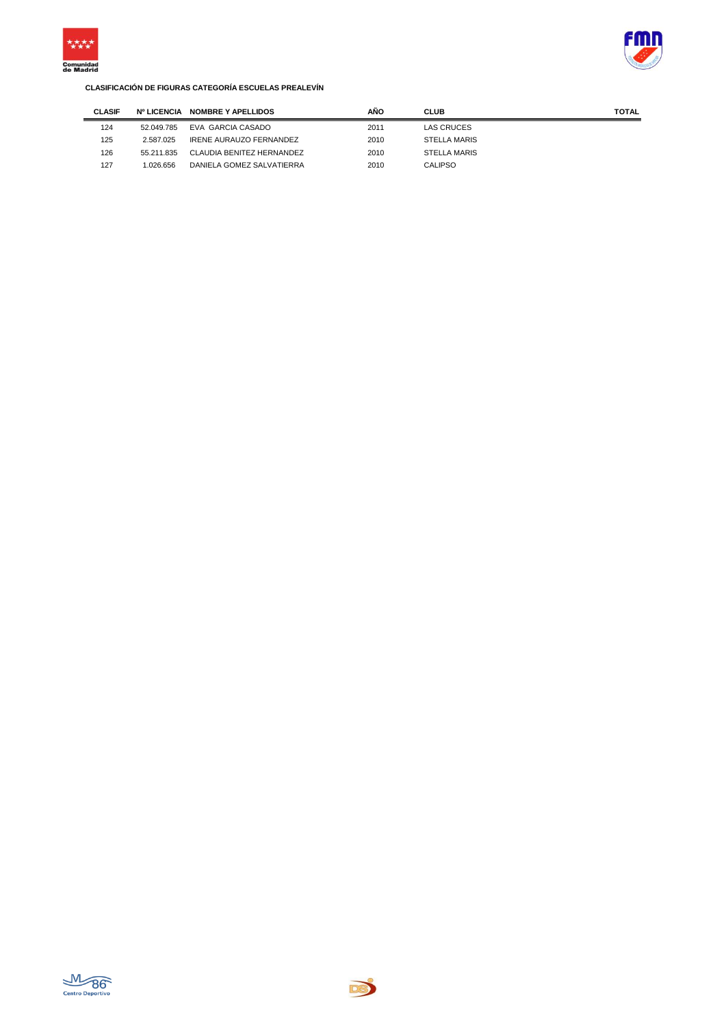



| <b>CLASIF</b> | <b>Nº LICENCIA</b> | <b>NOMBRE Y APELLIDOS</b> | AÑO  | <b>CLUB</b>  | TOTAL |
|---------------|--------------------|---------------------------|------|--------------|-------|
| 124           | 52.049.785         | EVA GARCIA CASADO         | 2011 | LAS CRUCES   |       |
| 125           | 2.587.025          | IRENE AURAUZO FERNANDEZ   | 2010 | STELLA MARIS |       |
| 126           | 55.211.835         | CLAUDIA BENITEZ HERNANDEZ | 2010 | STELLA MARIS |       |
| 127           | .026.656           | DANIELA GOMEZ SALVATIERRA | 2010 | CALIPSO      |       |



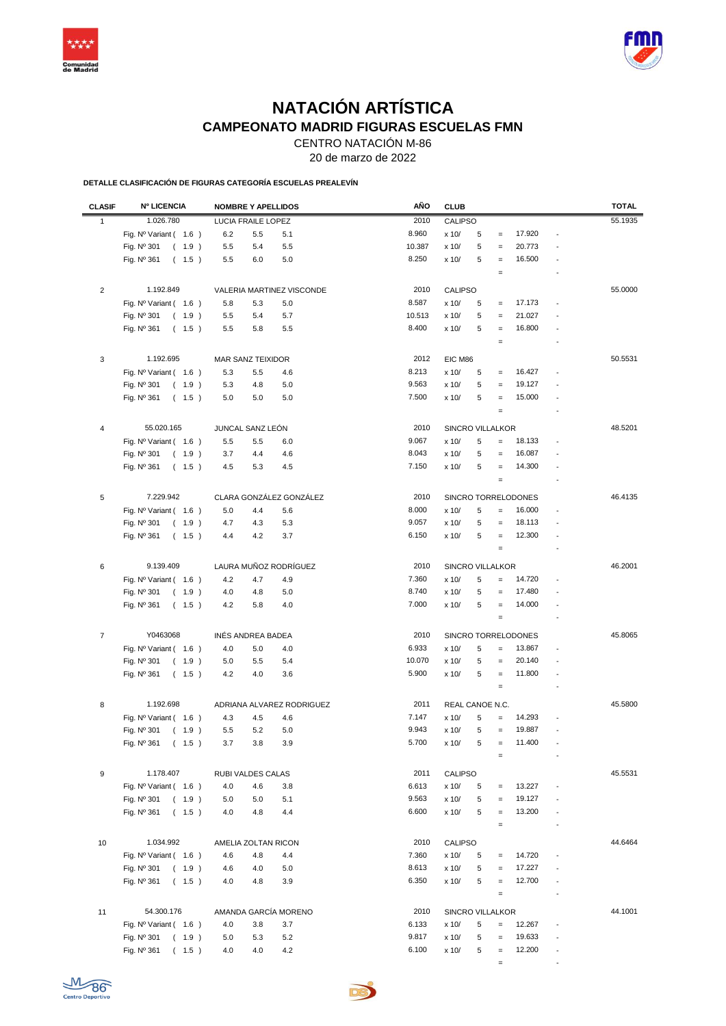



## **NATACIÓN ARTÍSTICA CAMPEONATO MADRID FIGURAS ESCUELAS FMN**

CENTRO NATACIÓN M-86

20 de marzo de 2022

**DETALLE CLASIFICACIÓN DE FIGURAS CATEGORÍA ESCUELAS PREALEVÍN**

| <b>CLASIF</b>    | <b>Nº LICENCIA</b>             | <b>NOMBRE Y APELLIDOS</b> | AÑO    | <b>CLUB</b> |                  |                   |                     |                          | <b>TOTAL</b> |
|------------------|--------------------------------|---------------------------|--------|-------------|------------------|-------------------|---------------------|--------------------------|--------------|
| $\mathbf{1}$     | 1.026.780                      | LUCIA FRAILE LOPEZ        | 2010   |             | CALIPSO          |                   |                     |                          | 55.1935      |
|                  | Fig. $N^{\circ}$ Variant (1.6) | 6.2<br>5.5<br>5.1         | 8.960  | x 10/       | 5                | $\equiv$          | 17.920              |                          |              |
|                  | Fig. Nº 301<br>(1.9)           | 5.5<br>5.4<br>5.5         | 10.387 | x 10/       | 5                | $=$               | 20.773              |                          |              |
|                  | Fig. Nº 361<br>(1.5)           | 5.5<br>6.0<br>5.0         | 8.250  | x 10/       | 5                | $\equiv$          | 16.500              |                          |              |
|                  |                                |                           |        |             |                  | $\equiv$          |                     |                          |              |
|                  |                                |                           |        |             |                  |                   |                     |                          |              |
| $\overline{2}$   | 1.192.849                      | VALERIA MARTINEZ VISCONDE | 2010   |             | <b>CALIPSO</b>   |                   |                     |                          | 55.0000      |
|                  | Fig. Nº Variant (1.6)          | 5.8<br>5.3<br>5.0         | 8.587  | x 10/       | 5                | $\equiv$          | 17.173              |                          |              |
|                  | Fig. Nº 301<br>(1.9)           | 5.5<br>5.4<br>5.7         | 10.513 | x 10/       | 5                | $\equiv$          | 21.027              |                          |              |
|                  | Fig. Nº 361<br>(1.5)           | 5.5<br>5.5<br>5.8         | 8.400  | x 10/       | 5                | $\equiv$          | 16.800              |                          |              |
|                  |                                |                           |        |             |                  | $\quad =$         |                     |                          |              |
| 3                | 1.192.695                      | MAR SANZ TEIXIDOR         | 2012   | EIC M86     |                  |                   |                     |                          | 50.5531      |
|                  | Fig. Nº Variant (1.6)          | 5.3<br>5.5<br>4.6         | 8.213  | x 10/       | 5                | $\equiv$          | 16.427              |                          |              |
|                  | Fig. Nº 301<br>(1.9)           | 5.3<br>4.8<br>5.0         | 9.563  | x 10/       | 5                | $\equiv$          | 19.127              |                          |              |
|                  | Fig. Nº 361<br>(1.5)           | 5.0<br>5.0<br>5.0         | 7.500  | x 10/       | 5                | $\equiv$          | 15.000              |                          |              |
|                  |                                |                           |        |             |                  | $\equiv$          |                     |                          |              |
|                  |                                |                           |        |             |                  |                   |                     |                          |              |
| 4                | 55.020.165                     | JUNCAL SANZ LEÓN          | 2010   |             | SINCRO VILLALKOR |                   |                     |                          | 48.5201      |
|                  | Fig. Nº Variant (1.6)          | 5.5<br>5.5<br>6.0         | 9.067  | x 10/       | 5                | $=$               | 18.133              |                          |              |
|                  | Fig. Nº 301<br>(1.9)           | 3.7<br>4.4<br>4.6         | 8.043  | x 10/       | 5                | $\equiv$          | 16.087              |                          |              |
|                  | Fig. $N^{\circ}$ 361<br>(1.5)  | 4.5<br>5.3<br>4.5         | 7.150  | x 10/       | 5                | $\equiv$          | 14.300              |                          |              |
|                  |                                |                           |        |             |                  | $\equiv$          |                     |                          |              |
| 5                | 7.229.942                      | CLARA GONZÁLEZ GONZÁLEZ   | 2010   |             |                  |                   | SINCRO TORRELODONES |                          | 46.4135      |
|                  | Fig. Nº Variant (1.6)          | 5.0<br>4.4<br>5.6         | 8.000  | x 10/       | 5                | $\equiv$          | 16.000              |                          |              |
|                  | Fig. Nº 301<br>(1.9)           | 5.3<br>4.7<br>4.3         | 9.057  | x 10/       | 5                | $\qquad \qquad =$ | 18.113              |                          |              |
|                  | Fig. Nº 361<br>(1.5)           | 3.7<br>4.4<br>4.2         | 6.150  | x 10/       | 5                | $\equiv$          | 12.300              |                          |              |
|                  |                                |                           |        |             |                  | $\equiv$          |                     |                          |              |
|                  |                                |                           |        |             |                  |                   |                     |                          |              |
| 6                | 9.139.409                      | LAURA MUÑOZ RODRÍGUEZ     | 2010   |             | SINCRO VILLALKOR |                   |                     |                          | 46.2001      |
|                  | Fig. $N^{\circ}$ Variant (1.6) | 4.2<br>4.7<br>4.9         | 7.360  | x 10/       | 5                | $\qquad \qquad =$ | 14.720              |                          |              |
|                  | Fig. Nº 301<br>(1.9)           | 4.8<br>5.0<br>4.0         | 8.740  | x 10/       | 5                | $\equiv$          | 17.480              |                          |              |
|                  | Fig. $N^{\circ}$ 361<br>(1.5)  | 4.2<br>5.8<br>4.0         | 7.000  | x 10/       | 5                | $\equiv$          | 14.000              |                          |              |
|                  |                                |                           |        |             |                  | $\equiv$          |                     |                          |              |
| $\boldsymbol{7}$ | Y0463068                       | INÉS ANDREA BADEA         | 2010   |             |                  |                   | SINCRO TORRELODONES |                          | 45.8065      |
|                  | Fig. Nº Variant (1.6)          | 4.0<br>5.0<br>4.0         | 6.933  | x 10/       | 5                | $\qquad \qquad =$ | 13.867              |                          |              |
|                  | Fig. Nº 301<br>(1.9)           | 5.0<br>5.5<br>5.4         | 10.070 | x 10/       | 5                | $\equiv$          | 20.140              |                          |              |
|                  | Fig. Nº 361<br>(1.5)           | 4.2<br>4.0<br>3.6         | 5.900  | x 10/       | 5                | $\equiv$          | 11.800              | $\overline{\phantom{a}}$ |              |
|                  |                                |                           |        |             |                  | $\equiv$          |                     |                          |              |
|                  |                                |                           |        |             |                  |                   |                     |                          |              |
| 8                | 1.192.698                      | ADRIANA ALVAREZ RODRIGUEZ | 2011   |             | REAL CANOE N.C.  |                   |                     |                          | 45.5800      |
|                  | Fig. $N^{\circ}$ Variant (1.6) | 4.3<br>4.5<br>4.6         | 7.147  | x 10/       | 5                | $\qquad \qquad =$ | 14.293              |                          |              |
|                  | Fig. Nº 301<br>(1.9)           | 5.5<br>5.2<br>5.0         | 9.943  | x 10/       | 5                | $\equiv$          | 19.887              |                          |              |
|                  | Fig. Nº 361 ( 1.5 )            | $3.7\,$<br>$3.8\,$<br>3.9 | 5.700  | x 10/       | 5                |                   | 11.400              |                          |              |
|                  |                                |                           |        |             |                  | $\equiv$          |                     |                          |              |
| 9                | 1.178.407                      | RUBI VALDES CALAS         | 2011   |             | CALIPSO          |                   |                     |                          | 45.5531      |
|                  | Fig. Nº Variant (1.6)          | 4.0<br>4.6<br>3.8         | 6.613  | x 10/       | 5                | $\equiv$          | 13.227              |                          |              |
|                  | (1.9)<br>Fig. Nº 301           | 5.0<br>5.0<br>5.1         | 9.563  | x 10/       | 5                | $=$               | 19.127              |                          |              |
|                  | Fig. Nº 361<br>(1.5)           | 4.0<br>4.8<br>4.4         | 6.600  | x 10/       | 5                | $\equiv$          | 13.200              |                          |              |
|                  |                                |                           |        |             |                  | $\equiv$          |                     |                          |              |
|                  |                                |                           |        |             |                  |                   |                     |                          |              |
| 10               | 1.034.992                      | AMELIA ZOLTAN RICON       | 2010   |             | CALIPSO          |                   |                     |                          | 44.6464      |
|                  | Fig. Nº Variant (1.6)          | 4.6<br>4.8<br>4.4         | 7.360  | x 10/       | 5                |                   | 14.720              |                          |              |
|                  | Fig. Nº 301<br>(1.9)           | 4.6<br>4.0<br>5.0         | 8.613  | x 10/       | 5                |                   | 17.227              |                          |              |
|                  | Fig. Nº 361<br>(1.5)           | 4.0<br>4.8<br>3.9         | 6.350  | x 10/       | 5                | $\equiv$          | 12.700              |                          |              |
|                  |                                |                           |        |             |                  | $\equiv$          |                     |                          |              |
| 11               | 54.300.176                     | AMANDA GARCÍA MORENO      | 2010   |             | SINCRO VILLALKOR |                   |                     |                          | 44.1001      |
|                  | Fig. Nº Variant (1.6)          | 4.0<br>3.8<br>3.7         | 6.133  | x 10/       | 5                | $\qquad \qquad =$ | 12.267              |                          |              |
|                  | Fig. Nº 301<br>(1.9)           | 5.0<br>5.3<br>5.2         | 9.817  | x 10/       | 5                | $\qquad \qquad =$ | 19.633              | $\overline{\phantom{a}}$ |              |
|                  | Fig. Nº 361<br>(1.5)           | 4.0<br>4.0<br>4.2         | 6.100  | x 10/       | 5                | $\equiv$          | 12.200              |                          |              |
|                  |                                |                           |        |             |                  | $\equiv$          |                     |                          |              |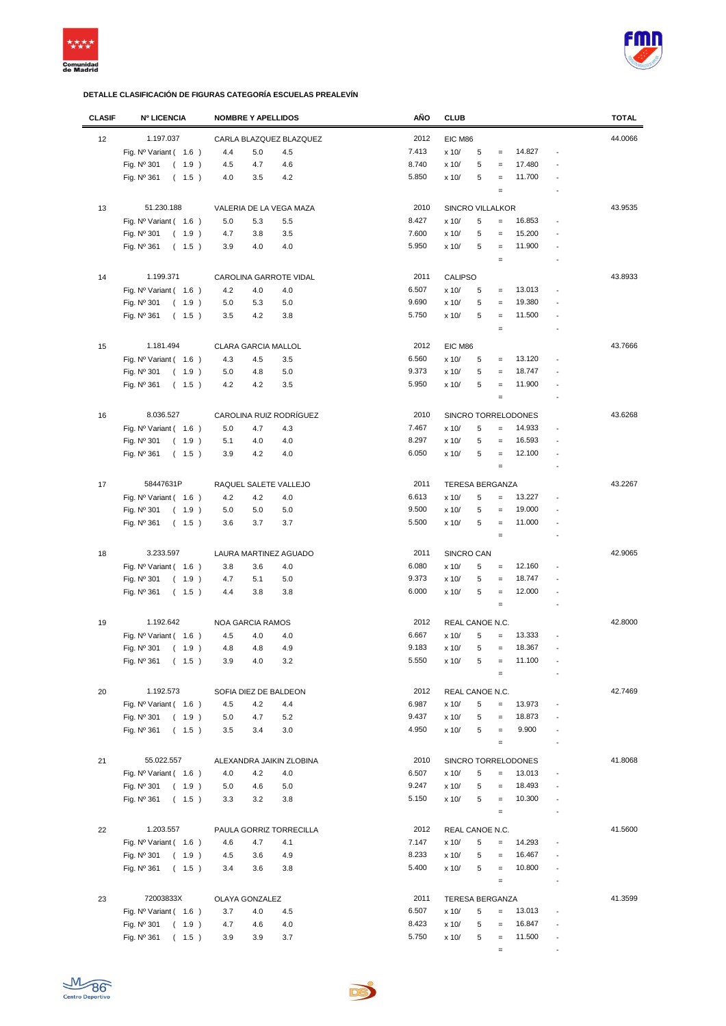



| <b>CLASIF</b> | <b>Nº LICENCIA</b>             | <b>NOMBRE Y APELLIDOS</b> |         | AÑO   | <b>CLUB</b>             |   |                   |                     |                          | <b>TOTAL</b> |
|---------------|--------------------------------|---------------------------|---------|-------|-------------------------|---|-------------------|---------------------|--------------------------|--------------|
| 12            | 1.197.037                      | CARLA BLAZQUEZ BLAZQUEZ   |         | 2012  | EIC M86                 |   |                   |                     |                          | 44.0066      |
|               | Fig. $N^{\circ}$ Variant (1.6) | 4.4<br>5.0                | 4.5     | 7.413 | x 10/                   | 5 | $=$               | 14.827              | $\overline{a}$           |              |
|               |                                |                           |         | 8.740 |                         | 5 | $=$               | 17.480              |                          |              |
|               | Fig. Nº 301<br>(1.9)           | 4.5<br>4.7                | 4.6     | 5.850 | x 10/                   | 5 |                   | 11.700              |                          |              |
|               | Fig. Nº 361<br>(1.5)           | 4.0<br>3.5                | 4.2     |       | x 10/                   |   | $=$               |                     |                          |              |
|               |                                |                           |         |       |                         |   | $\qquad \qquad =$ |                     |                          |              |
| 13            | 51.230.188                     | VALERIA DE LA VEGA MAZA   |         | 2010  | <b>SINCRO VILLALKOR</b> |   |                   |                     |                          | 43.9535      |
|               | Fig. Nº Variant (1.6)          | 5.0<br>5.3                | 5.5     | 8.427 | x 10/                   | 5 | $=$               | 16.853              |                          |              |
|               | Fig. Nº 301<br>(1.9)           | 4.7<br>3.8                | 3.5     | 7.600 | x 10/                   | 5 | $=$               | 15.200              |                          |              |
|               | Fig. Nº 361<br>(1.5)           | 3.9<br>4.0                | 4.0     | 5.950 | x 10/                   | 5 | $=$               | 11.900              |                          |              |
|               |                                |                           |         |       |                         |   | $=$               |                     |                          |              |
|               |                                |                           |         |       |                         |   |                   |                     |                          |              |
| 14            | 1.199.371                      | CAROLINA GARROTE VIDAL    |         | 2011  | <b>CALIPSO</b>          |   |                   |                     |                          | 43.8933      |
|               | Fig. Nº Variant (1.6)          | 4.2<br>4.0                | 4.0     | 6.507 | x 10/                   | 5 | $\qquad \qquad =$ | 13.013              |                          |              |
|               | Fig. Nº 301<br>(1.9)           | 5.0<br>5.3                | 5.0     | 9.690 | x 10/                   | 5 | $\qquad \qquad =$ | 19.380              |                          |              |
|               | Fig. Nº 361<br>(1.5)           | 3.5<br>4.2                | 3.8     | 5.750 | x 10/                   | 5 | $\qquad \qquad =$ | 11.500              |                          |              |
|               |                                |                           |         |       |                         |   | $\qquad \qquad =$ |                     | $\overline{a}$           |              |
| 15            | 1.181.494                      | CLARA GARCIA MALLOL       |         | 2012  | EIC M86                 |   |                   |                     |                          | 43.7666      |
|               | Fig. $N^{\circ}$ Variant (1.6) | 4.3<br>4.5                | 3.5     | 6.560 | x 10/                   | 5 | $\qquad \qquad =$ | 13.120              |                          |              |
|               | Fig. Nº 301<br>(1.9)           | 5.0<br>4.8                | 5.0     | 9.373 | x 10/                   | 5 | $\qquad \qquad =$ | 18.747              |                          |              |
|               | Fig. Nº 361<br>(1.5)           | 4.2<br>4.2                | 3.5     | 5.950 | x 10/                   | 5 | $=$               | 11.900              |                          |              |
|               |                                |                           |         |       |                         |   | $\qquad \qquad =$ |                     |                          |              |
|               |                                |                           |         |       |                         |   |                   |                     |                          |              |
| 16            | 8.036.527                      | CAROLINA RUIZ RODRÍGUEZ   |         | 2010  |                         |   |                   | SINCRO TORRELODONES |                          | 43.6268      |
|               | Fig. Nº Variant (1.6)          | 5.0<br>4.7                | 4.3     | 7.467 | x 10/                   | 5 | $\qquad \qquad =$ | 14.933              |                          |              |
|               | Fig. $N^{\circ}$ 301<br>(1.9)  | 5.1<br>4.0                | 4.0     | 8.297 | x 10/                   | 5 | $=$               | 16.593              |                          |              |
|               | Fig. $N^{\circ}$ 361<br>(1.5)  | 3.9<br>4.2                | 4.0     | 6.050 | x 10/                   | 5 | $=$               | 12.100              |                          |              |
|               |                                |                           |         |       |                         |   | $\qquad \qquad =$ |                     | $\overline{a}$           |              |
| 17            | 58447631P                      | RAQUEL SALETE VALLEJO     |         | 2011  | <b>TERESA BERGANZA</b>  |   |                   |                     |                          | 43.2267      |
|               |                                |                           | 4.0     | 6.613 | x 10/                   | 5 | $=$               | 13.227              |                          |              |
|               | Fig. Nº Variant (1.6)          | 4.2<br>4.2                |         | 9.500 |                         | 5 |                   |                     |                          |              |
|               | Fig. Nº 301<br>(1.9)           | 5.0<br>5.0                | 5.0     |       | x 10/                   |   | $\qquad \qquad =$ | 19.000              |                          |              |
|               | Fig. $N^{\circ}$ 361<br>(1.5)  | 3.7<br>3.6                | 3.7     | 5.500 | x 10/                   | 5 | $\qquad \qquad =$ | 11.000              |                          |              |
|               |                                |                           |         |       |                         |   | $\qquad \qquad =$ |                     |                          |              |
| 18            | 3.233.597                      | LAURA MARTINEZ AGUADO     |         | 2011  | SINCRO CAN              |   |                   |                     |                          | 42.9065      |
|               | Fig. Nº Variant (1.6)          | 3.8<br>3.6                | 4.0     | 6.080 | x 10/                   | 5 | $\qquad \qquad =$ | 12.160              |                          |              |
|               | Fig. $N^{\circ}$ 301<br>(1.9)  | 4.7<br>5.1                | 5.0     | 9.373 | x 10/                   | 5 | $\qquad \qquad =$ | 18.747              |                          |              |
|               | Fig. $N^{\circ}$ 361<br>(1.5)  | 3.8<br>4.4                | 3.8     | 6.000 | x 10/                   | 5 | $\qquad \qquad =$ | 12.000              | ÷,                       |              |
|               |                                |                           |         |       |                         |   | $\qquad \qquad =$ |                     |                          |              |
| 19            | 1.192.642                      |                           |         | 2012  |                         |   |                   |                     |                          | 42.8000      |
|               |                                | NOA GARCIA RAMOS          |         | 6.667 | REAL CANOE N.C.         | 5 |                   | 13.333              |                          |              |
|               | Fig. $N^{\circ}$ Variant (1.6) | 4.5<br>4.0                | 4.0     |       | x 10/                   |   | $=$               |                     |                          |              |
|               | Fig. Nº 301<br>(1.9)           | 4.8<br>4.8                | 4.9     | 9.183 | x 10/                   | 5 | $=$               | 18.367              |                          |              |
|               | (1.5)<br>Fig. Nº 361           | $4.0\,$<br>3.9            | $3.2\,$ | 5.550 | x 10/                   | 5 |                   | 11.100              |                          |              |
|               |                                |                           |         |       |                         |   | $=$               |                     |                          |              |
| 20            | 1.192.573                      | SOFIA DIEZ DE BALDEON     |         | 2012  | REAL CANOE N.C.         |   |                   |                     |                          | 42.7469      |
|               | Fig. $N^{\circ}$ Variant (1.6) | 4.5<br>4.2                | 4.4     | 6.987 | x 10/                   | 5 | $=$               | 13.973              |                          |              |
|               | Fig. Nº 301<br>(1.9)           | 5.0<br>4.7                | 5.2     | 9.437 | x 10/                   | 5 | $\qquad \qquad =$ | 18.873              |                          |              |
|               | Fig. $N^{\circ}$ 361<br>(1.5)  | 3.5<br>3.4                | 3.0     | 4.950 | x 10/                   | 5 | $\qquad \qquad =$ | 9.900               | ÷,                       |              |
|               |                                |                           |         |       |                         |   | $\qquad \qquad =$ |                     |                          |              |
|               |                                |                           |         |       |                         |   |                   |                     |                          |              |
| 21            | 55.022.557                     | ALEXANDRA JAIKIN ZLOBINA  |         | 2010  |                         |   |                   | SINCRO TORRELODONES |                          | 41.8068      |
|               | Fig. $N^{\circ}$ Variant (1.6) | 4.0<br>4.2                | 4.0     | 6.507 | x 10/                   | 5 | $\qquad \qquad =$ | 13.013              | $\overline{a}$           |              |
|               | Fig. Nº 301<br>(1.9)           | 4.6<br>5.0                | 5.0     | 9.247 | x 10/                   | 5 | $\qquad \qquad =$ | 18.493              |                          |              |
|               | Fig. Nº 361<br>(1.5)           | 3.2<br>3.3                | 3.8     | 5.150 | x 10/                   | 5 | $\qquad \qquad =$ | 10.300              |                          |              |
|               |                                |                           |         |       |                         |   | $\qquad \qquad =$ |                     |                          |              |
| 22            | 1.203.557                      | PAULA GORRIZ TORRECILLA   |         | 2012  | REAL CANOE N.C.         |   |                   |                     |                          | 41.5600      |
|               | Fig. $N^{\circ}$ Variant (1.6) | 4.7<br>4.6                | 4.1     | 7.147 | x 10/                   | 5 | $=$               | 14.293              |                          |              |
|               | Fig. Nº 301<br>(1.9)           | 4.5<br>3.6                | 4.9     | 8.233 | x 10/                   | 5 | $=$               | 16.467              |                          |              |
|               | Fig. Nº 361<br>(1.5)           | 3.6<br>3.4                | 3.8     | 5.400 | x 10/                   | 5 | $\qquad \qquad =$ | 10.800              |                          |              |
|               |                                |                           |         |       |                         |   | $\equiv$          |                     |                          |              |
|               |                                |                           |         |       |                         |   |                   |                     |                          |              |
| 23            | 72003833X                      | OLAYA GONZALEZ            |         | 2011  | <b>TERESA BERGANZA</b>  |   |                   |                     |                          | 41.3599      |
|               | Fig. $N^{\circ}$ Variant (1.6) | 3.7<br>4.0                | 4.5     | 6.507 | x 10/                   | 5 | $=$               | 13.013              |                          |              |
|               | Fig. Nº 301<br>(1.9)           | 4.7<br>4.6                | 4.0     | 8.423 | x 10/                   | 5 | $\equiv$          | 16.847              |                          |              |
|               | Fig. Nº 361<br>(1.5)           | 3.9<br>3.9                | 3.7     | 5.750 | x 10/                   | 5 | $=$               | 11.500              | $\overline{\phantom{a}}$ |              |
|               |                                |                           |         |       |                         |   | $=$               |                     | $\overline{\phantom{a}}$ |              |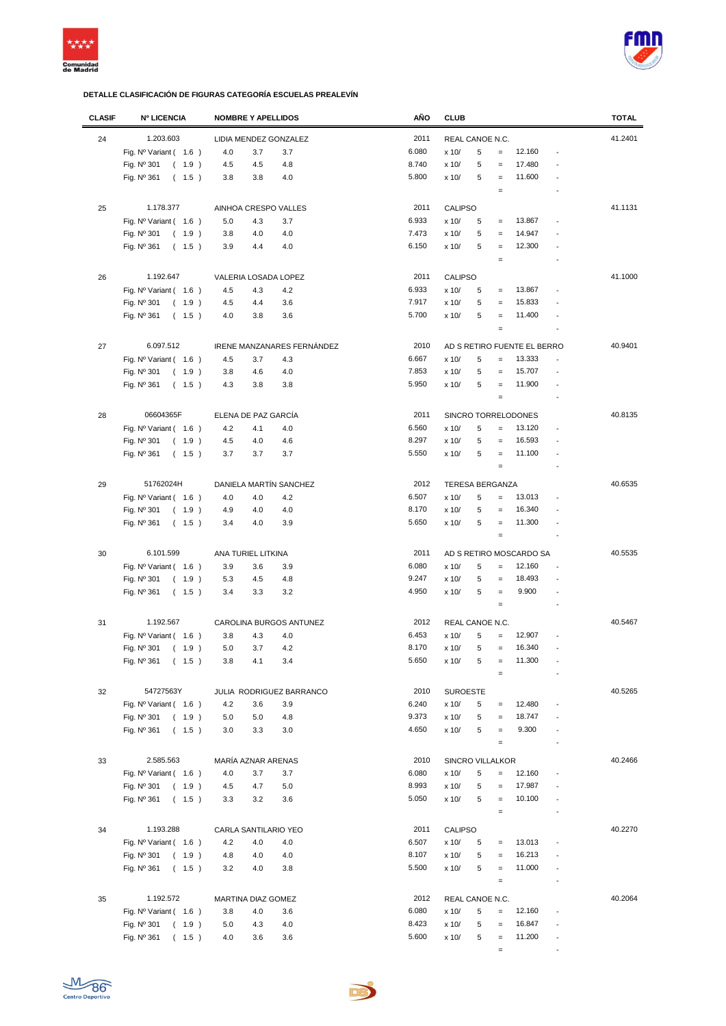



| <b>CLASIF</b> | <b>Nº LICENCIA</b>             | <b>NOMBRE Y APELLIDOS</b>  | AÑO   | <b>CLUB</b>                                                  | <b>TOTAL</b> |
|---------------|--------------------------------|----------------------------|-------|--------------------------------------------------------------|--------------|
| 24            | 1.203.603                      | LIDIA MENDEZ GONZALEZ      | 2011  | REAL CANOE N.C.                                              | 41.2401      |
|               | Fig. $N^{\circ}$ Variant (1.6) | 4.0<br>3.7<br>3.7          | 6.080 | 12.160<br>5<br>x 10/<br>$=$<br>$\overline{a}$                |              |
|               |                                |                            | 8.740 |                                                              |              |
|               | Fig. Nº 301<br>(1.9)           | 4.5<br>4.5<br>4.8          |       | 17.480<br>x 10/<br>5<br>$=$                                  |              |
|               | Fig. $N^{\circ}$ 361<br>(1.5)  | 4.0<br>3.8<br>3.8          | 5.800 | 11.600<br>x 10/<br>5<br>$\qquad \qquad =$                    |              |
|               |                                |                            |       | $\qquad \qquad =$                                            |              |
| 25            | 1.178.377                      | AINHOA CRESPO VALLES       | 2011  | <b>CALIPSO</b>                                               | 41.1131      |
|               | Fig. Nº Variant (1.6)          | 5.0<br>4.3<br>3.7          | 6.933 | 13.867<br>x 10/<br>5<br>$\qquad \qquad =$                    |              |
|               | Fig. Nº 301<br>(1.9)           | 4.0<br>4.0<br>3.8          | 7.473 | 5<br>14.947<br>x 10/<br>$\qquad \qquad =$                    |              |
|               | Fig. Nº 361<br>(1.5)           | 3.9<br>4.4<br>4.0          | 6.150 | 12.300<br>5<br>x 10/<br>$=$                                  |              |
|               |                                |                            |       | $\qquad \qquad =$                                            |              |
| 26            | 1.192.647                      | VALERIA LOSADA LOPEZ       | 2011  | <b>CALIPSO</b>                                               | 41.1000      |
|               | Fig. $N^{\circ}$ Variant (1.6) | 4.2<br>4.5<br>4.3          | 6.933 | 13.867<br>x 10/<br>5<br>$\qquad \qquad =$<br>$\overline{a}$  |              |
|               |                                |                            | 7.917 | 15.833                                                       |              |
|               | Fig. Nº 301<br>(1.9)           | 3.6<br>4.5<br>4.4          |       | x 10/<br>5<br>$\qquad \qquad =$                              |              |
|               | Fig. $N^{\circ}$ 361<br>(1.5)  | 4.0<br>3.8<br>3.6          | 5.700 | 11.400<br>x 10/<br>5<br>$=$<br>$\overline{a}$                |              |
|               |                                |                            |       | $\equiv$<br>$\overline{a}$                                   |              |
| 27            | 6.097.512                      | IRENE MANZANARES FERNÁNDEZ | 2010  | AD S RETIRO FUENTE EL BERRO                                  | 40.9401      |
|               | Fig. Nº Variant ( 1.6 )        | 4.5<br>3.7<br>4.3          | 6.667 | 13.333<br>x 10/<br>5<br>$\qquad \qquad =$                    |              |
|               | Fig. Nº 301<br>(1.9)           | 3.8<br>4.6<br>4.0          | 7.853 | 5<br>15.707<br>x 10/<br>$=$<br>$\overline{a}$                |              |
|               | Fig. Nº 361<br>(1.5)           | 4.3<br>3.8<br>3.8          | 5.950 | 11.900<br>5<br>x 10/<br>$\equiv$<br>$\overline{a}$           |              |
|               |                                |                            |       | $\equiv$<br>$\overline{a}$                                   |              |
|               |                                |                            |       |                                                              |              |
| 28            | 06604365F                      | ELENA DE PAZ GARCÍA        | 2011  | SINCRO TORRELODONES                                          | 40.8135      |
|               | Fig. $N^{\circ}$ Variant (1.6) | 4.2<br>4.1<br>4.0          | 6.560 | 5<br>13.120<br>x 10/<br>$\qquad \qquad =$<br>$\overline{a}$  |              |
|               | Fig. Nº 301<br>(1.9)           | 4.5<br>4.0<br>4.6          | 8.297 | 16.593<br>x 10/<br>5<br>$=$                                  |              |
|               | Fig. Nº 361<br>(1.5)           | 3.7<br>3.7<br>3.7          | 5.550 | 5<br>x 10/<br>11.100<br>$=$<br>$\overline{a}$                |              |
|               |                                |                            |       | $\equiv$<br>$\overline{a}$                                   |              |
| 29            | 51762024H                      | DANIELA MARTÍN SANCHEZ     | 2012  | <b>TERESA BERGANZA</b>                                       | 40.6535      |
|               | Fig. $N^{\circ}$ Variant (1.6) | 4.2<br>4.0<br>4.0          | 6.507 | 5<br>13.013<br>x 10/<br>$=$                                  |              |
|               | Fig. Nº 301<br>(1.9)           | 4.0<br>4.0<br>4.9          | 8.170 | 5<br>16.340<br>x 10/<br>$=$                                  |              |
|               | Fig. Nº 361<br>(1.5)           | 3.9<br>3.4<br>4.0          | 5.650 | 5<br>11.300<br>x 10/<br>$\qquad \qquad =$                    |              |
|               |                                |                            |       | $\equiv$                                                     |              |
|               |                                |                            |       |                                                              |              |
| 30            | 6.101.599                      | ANA TURIEL LITKINA         | 2011  | AD S RETIRO MOSCARDO SA                                      | 40.5535      |
|               | Fig. $N^{\circ}$ Variant (1.6) | 3.9<br>3.6<br>3.9          | 6.080 | 12.160<br>x 10/<br>5<br>$\qquad \qquad =$                    |              |
|               | Fig. Nº 301<br>(1.9)           | 5.3<br>4.5<br>4.8          | 9.247 | 18.493<br>x 10/<br>5<br>$\qquad \qquad =$                    |              |
|               | Fig. Nº 361<br>(1.5)           | 3.2<br>3.4<br>3.3          | 4.950 | 5<br>9.900<br>x 10/<br>$\equiv$<br>$\overline{a}$            |              |
|               |                                |                            |       | $\equiv$<br>$\overline{a}$                                   |              |
| 31            | 1.192.567                      | CAROLINA BURGOS ANTUNEZ    | 2012  | REAL CANOE N.C.                                              | 40.5467      |
|               | Fig. $N^{\circ}$ Variant (1.6) | 3.8<br>4.3<br>4.0          | 6.453 | 5<br>12.907<br>x 10/<br>$=$                                  |              |
|               | Fig. Nº 301<br>(1.9)           | 3.7<br>4.2<br>5.0          | 8.170 | x 10/<br>5<br>16.340<br>$\qquad \qquad =$<br>$\overline{a}$  |              |
|               | Fig. Nº 361<br>(1.5)           | 3.8<br>3.4<br>4.1          | 5.650 | x 10/<br>5<br>11.300                                         |              |
|               |                                |                            |       | $=$                                                          |              |
|               |                                |                            |       |                                                              |              |
| 32            | 54727563Y                      | JULIA RODRIGUEZ BARRANCO   | 2010  | <b>SUROESTE</b>                                              | 40.5265      |
|               | Fig. $N^{\circ}$ Variant (1.6) | 4.2<br>3.6<br>3.9          | 6.240 | x 10/<br>12.480<br>5<br>$\qquad \qquad =$                    |              |
|               | Fig. $N^{\circ}$ 301<br>(1.9)  | 5.0<br>5.0<br>4.8          | 9.373 | x 10/<br>5<br>18.747<br>$=$                                  |              |
|               | Fig. $N^{\circ}$ 361<br>(1.5)  | 3.0<br>3.3<br>3.0          | 4.650 | 5<br>9.300<br>x 10/<br>$\equiv$<br>$\overline{a}$            |              |
|               |                                |                            |       | $\equiv$<br>$\overline{a}$                                   |              |
| 33            | 2.585.563                      | MARÍA AZNAR ARENAS         | 2010  | <b>SINCRO VILLALKOR</b>                                      | 40.2466      |
|               | Fig. $N^{\circ}$ Variant (1.6) | 4.0<br>3.7<br>3.7          | 6.080 | 12.160<br>5<br>x 10/<br>$=$                                  |              |
|               | Fig. Nº 301<br>(1.9)           | 4.5<br>4.7<br>5.0          | 8.993 | 17.987<br>x 10/<br>5<br>$\qquad \qquad =$<br>$\overline{a}$  |              |
|               | Fig. Nº 361<br>(1.5)           | 3.2<br>3.6<br>3.3          | 5.050 | 10.100<br>x 10/<br>5<br>$=$                                  |              |
|               |                                |                            |       | $\equiv$<br>$\overline{a}$                                   |              |
|               |                                |                            |       |                                                              |              |
| 34            | 1.193.288                      | CARLA SANTILARIO YEO       | 2011  | CALIPSO                                                      | 40.2270      |
|               | Fig. $N^{\circ}$ Variant (1.6) | 4.2<br>4.0<br>4.0          | 6.507 | 13.013<br>x 10/<br>5<br>$\equiv$                             |              |
|               | Fig. Nº 301<br>(1.9)           | 4.8<br>4.0<br>4.0          | 8.107 | 5<br>16.213<br>x 10/<br>$\qquad \qquad =$                    |              |
|               | Fig. Nº 361<br>(1.5)           | 3.2<br>4.0<br>3.8          | 5.500 | 5<br>11.000<br>x 10/<br>$\equiv$<br>$\overline{a}$           |              |
|               |                                |                            |       | $\equiv$<br>$\overline{a}$                                   |              |
| 35            | 1.192.572                      | MARTINA DIAZ GOMEZ         | 2012  | REAL CANOE N.C.                                              | 40.2064      |
|               | Fig. Nº Variant (1.6)          | 3.8<br>4.0<br>3.6          | 6.080 | 5<br>12.160<br>x 10/<br>$=$<br>$\overline{\phantom{a}}$      |              |
|               | Fig. Nº 301<br>(1.9)           | 5.0<br>4.3<br>4.0          | 8.423 | 16.847<br>x 10/<br>5<br>$\qquad \qquad =$<br>$\overline{a}$  |              |
|               | Fig. Nº 361<br>(1.5)           | 4.0<br>3.6<br>3.6          | 5.600 | x 10/<br>5<br>11.200<br>$\equiv$<br>$\overline{\phantom{a}}$ |              |
|               |                                |                            |       | $\overline{a}$                                               |              |
|               |                                |                            |       | $\equiv$                                                     |              |

De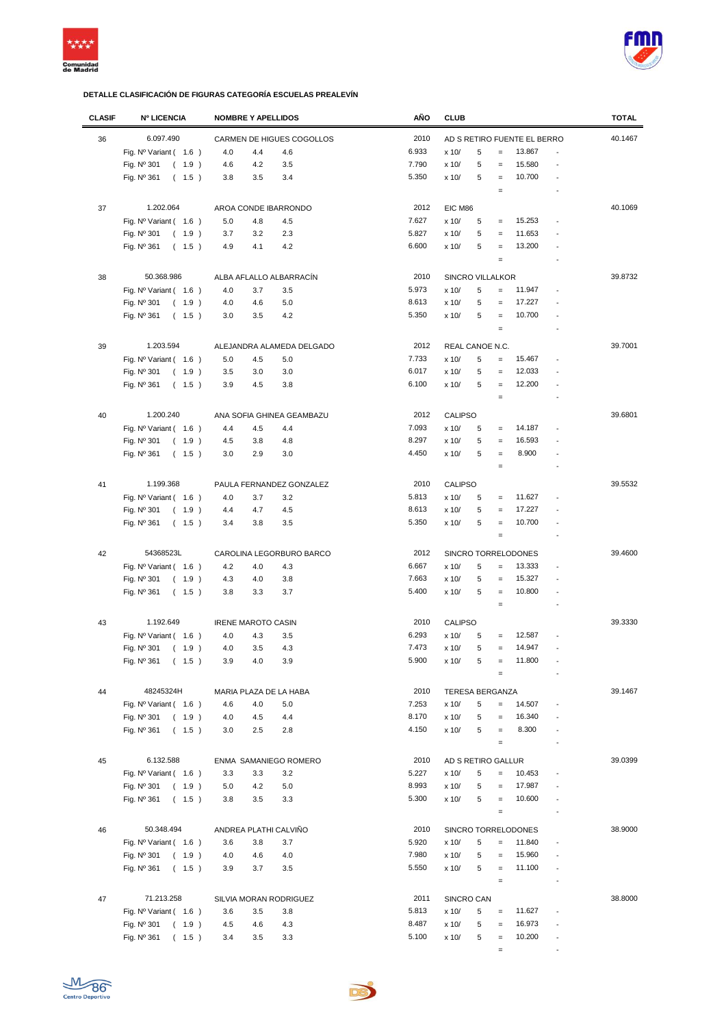



| <b>CLASIF</b> | <b>Nº LICENCIA</b>             | <b>NOMBRE Y APELLIDOS</b>               |                           | AÑO   | <b>CLUB</b>            |        |                   |                             |                          | <b>TOTAL</b> |
|---------------|--------------------------------|-----------------------------------------|---------------------------|-------|------------------------|--------|-------------------|-----------------------------|--------------------------|--------------|
| 36            | 6.097.490                      |                                         | CARMEN DE HIGUES COGOLLOS | 2010  |                        |        |                   | AD S RETIRO FUENTE EL BERRO |                          | 40.1467      |
|               | Fig. $N^{\circ}$ Variant (1.6) | 4.0<br>4.4                              | 4.6                       | 6.933 | x 10/                  | 5      | $\qquad \qquad =$ | 13.867                      |                          |              |
|               |                                |                                         |                           |       |                        |        |                   |                             |                          |              |
|               | Fig. Nº 301<br>(1.9)           | 4.6<br>4.2                              | 3.5                       | 7.790 | x 10/                  | 5      | $=$               | 15.580                      |                          |              |
|               | Fig. Nº 361<br>(1.5)           | 3.8<br>3.5                              | 3.4                       | 5.350 | x 10/                  | 5      | $=$               | 10.700                      |                          |              |
|               |                                |                                         |                           |       |                        |        | $\qquad \qquad =$ |                             |                          |              |
| 37            | 1.202.064                      | AROA CONDE IBARRONDO                    |                           | 2012  | EIC M86                |        |                   |                             |                          | 40.1069      |
|               | Fig. $N^{\circ}$ Variant (1.6) | 5.0<br>4.8                              | 4.5                       | 7.627 | x 10/                  | 5      | $\qquad \qquad =$ | 15.253                      |                          |              |
|               | Fig. Nº 301<br>(1.9)           | 3.7<br>3.2                              | 2.3                       | 5.827 | x 10/                  | 5      | $\qquad \qquad =$ | 11.653                      |                          |              |
|               | Fig. Nº 361<br>(1.5)           | 4.9<br>4.1                              | 4.2                       | 6.600 | x 10/                  | 5      | $\qquad \qquad =$ | 13.200                      |                          |              |
|               |                                |                                         |                           |       |                        |        | $\qquad \qquad =$ |                             |                          |              |
| 38            | 50.368.986                     | ALBA AFLALLO ALBARRACÍN                 |                           | 2010  | SINCRO VILLALKOR       |        |                   |                             |                          | 39.8732      |
|               | Fig. Nº Variant (1.6)          | 3.7<br>4.0                              | 3.5                       | 5.973 | x 10/                  | 5      | $\qquad \qquad =$ | 11.947                      |                          |              |
|               | Fig. Nº 301<br>(1.9)           | 4.6<br>4.0                              | 5.0                       | 8.613 | x 10/                  | 5      | $\qquad \qquad =$ | 17.227                      |                          |              |
|               |                                | 3.0<br>3.5                              | 4.2                       | 5.350 | x 10/                  | 5      | $=$               | 10.700                      |                          |              |
|               | Fig. Nº 361<br>(1.5)           |                                         |                           |       |                        |        | $\qquad \qquad =$ |                             |                          |              |
|               |                                |                                         |                           |       |                        |        |                   |                             |                          |              |
| 39            | 1.203.594                      |                                         | ALEJANDRA ALAMEDA DELGADO | 2012  | REAL CANOE N.C.        |        |                   |                             |                          | 39.7001      |
|               | Fig. $N^{\circ}$ Variant (1.6) | 5.0<br>4.5                              | 5.0                       | 7.733 | x 10/                  | 5      | $\qquad \qquad =$ | 15.467                      |                          |              |
|               | Fig. Nº 301<br>(1.9)           | 3.5<br>3.0                              | 3.0                       | 6.017 | x 10/                  | 5      | $\qquad \qquad =$ | 12.033                      |                          |              |
|               | Fig. Nº 361<br>(1.5)           | 3.9<br>4.5                              | 3.8                       | 6.100 | x 10/                  | 5      | $\qquad \qquad =$ | 12.200                      | ÷,                       |              |
|               |                                |                                         |                           |       |                        |        | $\qquad \qquad =$ |                             |                          |              |
| 40            | 1.200.240                      | ANA SOFIA GHINEA GEAMBAZU               |                           | 2012  | <b>CALIPSO</b>         |        |                   |                             |                          | 39.6801      |
|               | Fig. $N^{\circ}$ Variant (1.6) | 4.4<br>4.5                              | 4.4                       | 7.093 | x 10/                  | 5      | $\qquad \qquad =$ | 14.187                      |                          |              |
|               | Fig. Nº 301<br>(1.9)           | 4.5<br>3.8                              | 4.8                       | 8.297 | x 10/                  | 5      | $\qquad \qquad =$ | 16.593                      |                          |              |
|               |                                | 3.0<br>2.9                              | 3.0                       | 4.450 | x 10/                  | 5      | $=$               | 8.900                       |                          |              |
|               | Fig. Nº 361<br>(1.5)           |                                         |                           |       |                        |        |                   |                             |                          |              |
|               |                                |                                         |                           |       |                        |        | $\qquad \qquad =$ |                             |                          |              |
| 41            | 1.199.368                      | PAULA FERNANDEZ GONZALEZ                |                           | 2010  | <b>CALIPSO</b>         |        |                   |                             |                          | 39.5532      |
|               | Fig. $N^{\circ}$ Variant (1.6) | 4.0<br>3.7                              | 3.2                       | 5.813 | x 10/                  | 5      | $\qquad \qquad =$ | 11.627                      |                          |              |
|               | Fig. Nº 301<br>(1.9)           | 4.4<br>4.7                              | 4.5                       | 8.613 | x 10/                  | 5      | $\qquad \qquad =$ | 17.227                      |                          |              |
|               | Fig. Nº 361<br>(1.5)           | 3.4<br>3.8                              | 3.5                       | 5.350 | x 10/                  | 5      | $\qquad \qquad =$ | 10.700                      |                          |              |
|               |                                |                                         |                           |       |                        |        | $\qquad \qquad =$ |                             |                          |              |
| 42            | 54368523L                      | CAROLINA LEGORBURO BARCO                |                           | 2012  |                        |        |                   | SINCRO TORRELODONES         |                          | 39.4600      |
|               | Fig. $N^{\circ}$ Variant (1.6) | 4.2<br>4.0                              | 4.3                       | 6.667 | x 10/                  | 5      | $\qquad \qquad =$ | 13.333                      |                          |              |
|               | Fig. Nº 301<br>(1.9)           | 4.3<br>4.0                              | 3.8                       | 7.663 | x 10/                  | 5      | $=$               | 15.327                      |                          |              |
|               | Fig. $N^{\circ}$ 361<br>(1.5)  | 3.8<br>3.3                              | 3.7                       | 5.400 | x 10/                  | 5      | $=$               | 10.800                      |                          |              |
|               |                                |                                         |                           |       |                        |        | $=$               |                             | $\overline{\phantom{a}}$ |              |
| 43            | 1.192.649                      |                                         |                           | 2010  | <b>CALIPSO</b>         |        |                   |                             |                          | 39.3330      |
|               | Fig. $N^{\circ}$ Variant (1.6) | <b>IRENE MAROTO CASIN</b><br>4.0<br>4.3 | 3.5                       | 6.293 | x 10/                  | 5      | $=$               | 12.587                      |                          |              |
|               | Fig. Nº 301<br>(1.9)           | 4.0<br>3.5                              | 4.3                       | 7.473 | x 10/                  | 5      | $\qquad \qquad =$ | 14.947                      |                          |              |
|               | (1.5)                          |                                         |                           | 5.900 |                        |        |                   | 11.800                      |                          |              |
|               | Fig. $N^{\circ}$ 361           | 3.9<br>4.0                              | 3.9                       |       | x 10/                  | 5      | $\qquad \qquad =$ |                             |                          |              |
|               |                                |                                         |                           |       |                        |        |                   |                             |                          |              |
| 44            | 48245324H                      | MARIA PLAZA DE LA HABA                  |                           | 2010  | <b>TERESA BERGANZA</b> |        |                   |                             |                          | 39.1467      |
|               | Fig. Nº Variant (1.6)          | 4.6<br>4.0                              | 5.0                       | 7.253 | x 10/                  | 5      | $\qquad \qquad =$ | 14.507                      |                          |              |
|               | Fig. Nº 301<br>(1.9)           | 4.0<br>4.5                              | 4.4                       | 8.170 | x 10/                  | 5      | $\qquad \qquad =$ | 16.340                      |                          |              |
|               | Fig. Nº 361<br>(1.5)           | 3.0<br>2.5                              | 2.8                       | 4.150 | x 10/                  | 5      | $\qquad \qquad =$ | 8.300                       |                          |              |
|               |                                |                                         |                           |       |                        |        | $\qquad \qquad =$ |                             |                          |              |
| 45            | 6.132.588                      | ENMA SAMANIEGO ROMERO                   |                           | 2010  | AD S RETIRO GALLUR     |        |                   |                             |                          | 39.0399      |
|               | Fig. $N^{\circ}$ Variant (1.6) | 3.3<br>3.3                              | 3.2                       | 5.227 | x 10/                  | 5      | $\qquad \qquad =$ | 10.453                      | $\overline{a}$           |              |
|               | Fig. Nº 301<br>(1.9)           | 5.0<br>4.2                              | 5.0                       | 8.993 | x 10/                  | 5      | $=$               | 17.987                      |                          |              |
|               | Fig. Nº 361<br>(1.5)           | 3.8<br>3.5                              | 3.3                       | 5.300 | x 10/                  | 5      | $\qquad \qquad =$ | 10.600                      |                          |              |
|               |                                |                                         |                           |       |                        |        | $\equiv$          |                             |                          |              |
| 46            | 50.348.494                     | ANDREA PLATHI CALVIÑO                   |                           | 2010  |                        |        |                   | SINCRO TORRELODONES         |                          | 38.9000      |
|               | Fig. $N^{\circ}$ Variant (1.6) | 3.6<br>3.8                              | 3.7                       | 5.920 | x 10/                  | 5      | $\qquad \qquad =$ | 11.840                      |                          |              |
|               |                                |                                         |                           | 7.980 |                        |        |                   | 15.960                      |                          |              |
|               | Fig. Nº 301<br>(1.9)           | 4.0<br>4.6                              | 4.0                       | 5.550 | x 10/                  | 5<br>5 | $=$               |                             |                          |              |
|               | Fig. Nº 361<br>(1.5)           | 3.7<br>3.9                              | 3.5                       |       | x 10/                  |        | $\equiv$          | 11.100                      |                          |              |
|               |                                |                                         |                           |       |                        |        | $\equiv$          |                             |                          |              |
| 47            | 71.213.258                     | SILVIA MORAN RODRIGUEZ                  |                           | 2011  | SINCRO CAN             |        |                   |                             |                          | 38.8000      |
|               | Fig. $N^{\circ}$ Variant (1.6) | 3.6<br>3.5                              | 3.8                       | 5.813 | x 10/                  | 5      | $\qquad \qquad =$ | 11.627                      |                          |              |
|               | Fig. Nº 301<br>(1.9)           | 4.5<br>4.6                              | 4.3                       | 8.487 | x 10/                  | 5      | $\qquad \qquad =$ | 16.973                      |                          |              |
|               | Fig. Nº 361<br>(1.5)           | 3.5<br>3.4                              | 3.3                       | 5.100 | x 10/                  | 5      | $\qquad \qquad =$ | 10.200                      | ÷,                       |              |
|               |                                |                                         |                           |       |                        |        | $\qquad \qquad =$ |                             | $\overline{\phantom{a}}$ |              |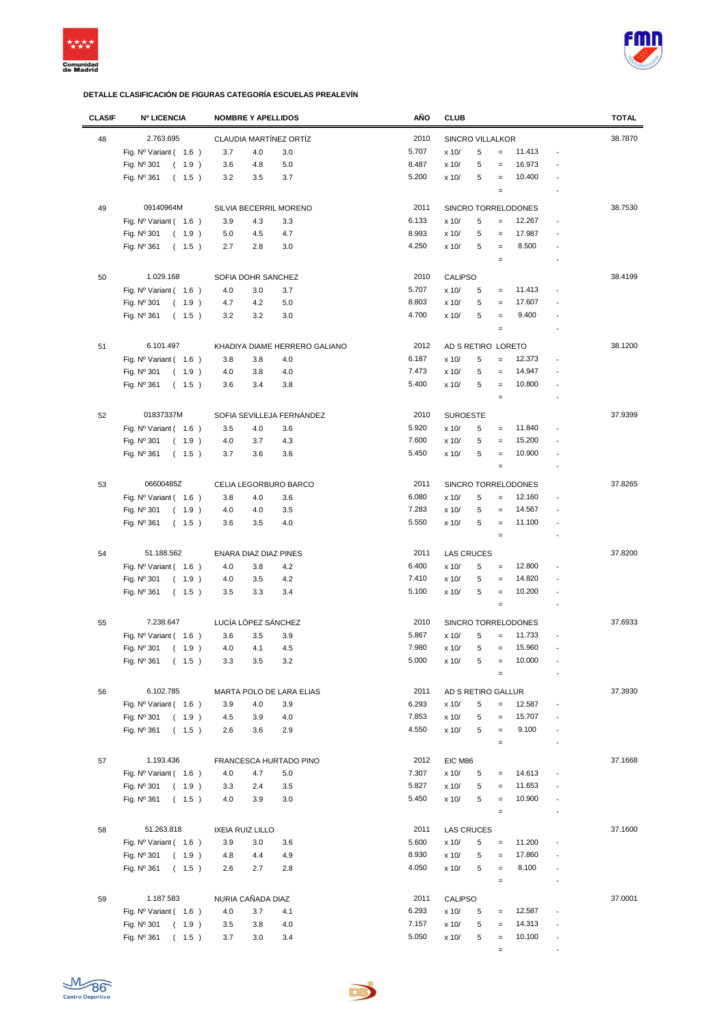



| <b>CLASIF</b> | <b>Nº LICENCIA</b>                 | <b>NOMBRE Y APELLIDOS</b>     |         | AÑO   | <b>CLUB</b>             |   |                                        |                     |                          | <b>TOTAL</b> |
|---------------|------------------------------------|-------------------------------|---------|-------|-------------------------|---|----------------------------------------|---------------------|--------------------------|--------------|
| 48            | 2.763.695                          | CLAUDIA MARTÍNEZ ORTÍZ        |         | 2010  | <b>SINCRO VILLALKOR</b> |   |                                        |                     |                          | 38.7870      |
|               | Fig. $N^{\circ}$ Variant ( $1.6$ ) | 3.7<br>4.0                    | 3.0     | 5.707 | x 10/                   | 5 | $\qquad \qquad =$                      | 11.413              | $\overline{a}$           |              |
|               |                                    |                               |         | 8.487 |                         |   |                                        | 16.973              |                          |              |
|               | Fig. Nº 301<br>(1.9)               | 3.6<br>4.8                    | 5.0     |       | x 10/                   | 5 | $\equiv$                               |                     |                          |              |
|               | Fig. Nº 361<br>(1.5)               | 3.2<br>3.5                    | 3.7     | 5.200 | x 10/                   | 5 | $\qquad \qquad =$<br>$\qquad \qquad =$ | 10.400              |                          |              |
|               |                                    |                               |         |       |                         |   |                                        |                     |                          |              |
| 49            | 09140964M                          | SILVIA BECERRIL MORENO        |         | 2011  |                         |   |                                        | SINCRO TORRELODONES |                          | 38.7530      |
|               | Fig. $N^{\circ}$ Variant (1.6)     | 3.9<br>4.3                    | 3.3     | 6.133 | x 10/                   | 5 | $\qquad \qquad =$                      | 12.267              |                          |              |
|               | Fig. Nº 301<br>(1.9)               | 5.0<br>4.5                    | 4.7     | 8.993 | x 10/                   | 5 | $=$                                    | 17.987              |                          |              |
|               | Fig. Nº 361<br>(1.5)               | 2.7<br>2.8                    | 3.0     | 4.250 | x 10/                   | 5 | $\equiv$                               | 8.500               |                          |              |
|               |                                    |                               |         |       |                         |   | $\qquad \qquad =$                      |                     |                          |              |
| 50            | 1.029.168                          | SOFIA DOHR SANCHEZ            |         | 2010  | <b>CALIPSO</b>          |   |                                        |                     |                          | 38.4199      |
|               | Fig. $N^{\circ}$ Variant (1.6)     | 4.0<br>3.0                    | 3.7     | 5.707 | x 10/                   | 5 | $=$                                    | 11.413              |                          |              |
|               | Fig. Nº 301<br>(1.9)               | 4.7<br>4.2                    | 5.0     | 8.803 | x 10/                   | 5 | $\qquad \qquad =$                      | 17.607              |                          |              |
|               |                                    | 3.2<br>3.2                    |         | 4.700 | x 10/                   | 5 | $=$                                    | 9.400               |                          |              |
|               | Fig. Nº 361<br>(1.5)               |                               | 3.0     |       |                         |   | $\qquad \qquad =$                      |                     |                          |              |
|               |                                    |                               |         |       |                         |   |                                        |                     |                          |              |
| 51            | 6.101.497                          | KHADIYA DIAME HERRERO GALIANO |         | 2012  | AD S RETIRO LORETO      |   |                                        |                     |                          | 38.1200      |
|               | Fig. $N^{\circ}$ Variant (1.6)     | 3.8<br>3.8                    | 4.0     | 6.187 | x 10/                   | 5 | $\qquad \qquad =$                      | 12.373              |                          |              |
|               | Fig. Nº 301<br>(1.9)               | 4.0<br>3.8                    | 4.0     | 7.473 | x 10/                   | 5 | $=$                                    | 14.947              |                          |              |
|               | Fig. Nº 361<br>(1.5)               | 3.6<br>3.4                    | 3.8     | 5.400 | x 10/                   | 5 | $\qquad \qquad =$                      | 10.800              |                          |              |
|               |                                    |                               |         |       |                         |   | $\qquad \qquad =$                      |                     |                          |              |
| 52            | 01837337M                          | SOFIA SEVILLEJA FERNÁNDEZ     |         | 2010  | <b>SUROESTE</b>         |   |                                        |                     |                          | 37.9399      |
|               | Fig. Nº Variant (1.6)              | 3.5<br>4.0                    | 3.6     | 5.920 | x 10/                   | 5 | $\qquad \qquad =$                      | 11.840              |                          |              |
|               |                                    |                               |         |       |                         |   |                                        |                     |                          |              |
|               | Fig. Nº 301<br>(1.9)               | 4.0<br>3.7                    | $4.3\,$ | 7.600 | x 10/                   | 5 | $\qquad \qquad =$                      | 15.200              |                          |              |
|               | Fig. Nº 361<br>(1.5)               | 3.7<br>3.6                    | 3.6     | 5.450 | x 10/                   | 5 | $\qquad \qquad =$                      | 10.900              |                          |              |
|               |                                    |                               |         |       |                         |   | $\qquad \qquad =$                      |                     |                          |              |
| 53            | 06600485Z                          | CELIA LEGORBURO BARCO         |         | 2011  |                         |   |                                        | SINCRO TORRELODONES |                          | 37.8265      |
|               | Fig. $N^{\circ}$ Variant (1.6)     | 3.8<br>4.0                    | 3.6     | 6.080 | x 10/                   | 5 | $=$                                    | 12.160              |                          |              |
|               | Fig. Nº 301<br>(1.9)               | 4.0<br>4.0                    | 3.5     | 7.283 | x 10/                   | 5 | $\qquad \qquad =$                      | 14.567              |                          |              |
|               | Fig. Nº 361<br>(1.5)               | 3.6<br>3.5                    | 4.0     | 5.550 | x 10/                   | 5 | $\equiv$                               | 11.100              |                          |              |
|               |                                    |                               |         |       |                         |   | $\qquad \qquad =$                      |                     |                          |              |
| 54            | 51.188.562                         | ENARA DIAZ DIAZ PINES         |         | 2011  | <b>LAS CRUCES</b>       |   |                                        |                     |                          | 37.8200      |
|               | Fig. Nº Variant (1.6)              | 4.0<br>3.8                    | 4.2     | 6.400 | x 10/                   | 5 | $\qquad \qquad =$                      | 12.800              |                          |              |
|               |                                    |                               |         | 7.410 |                         | 5 |                                        |                     |                          |              |
|               | Fig. Nº 301<br>(1.9)               | 4.0<br>3.5                    | 4.2     |       | x 10/                   |   | $\qquad \qquad =$                      | 14.820              |                          |              |
|               | Fig. $N^{\circ}$ 361<br>(1.5)      | 3.5<br>3.3                    | 3.4     | 5.100 | x 10/                   | 5 | $=$                                    | 10.200              | $\overline{\phantom{a}}$ |              |
|               |                                    |                               |         |       |                         |   | $\qquad \qquad =$                      |                     |                          |              |
| 55            | 7.238.647                          | LUCÍA LÓPEZ SÁNCHEZ           |         | 2010  |                         |   |                                        | SINCRO TORRELODONES |                          | 37.6933      |
|               | Fig. $N^{\circ}$ Variant (1.6)     | 3.6<br>3.5                    | 3.9     | 5.867 | x 10/                   | 5 | $\qquad \qquad =$                      | 11.733              |                          |              |
|               | Fig. Nº 301<br>(1.9)               | 4.1<br>4.0                    | 4.5     | 7.980 | x 10/                   | 5 | $\qquad \qquad =$                      | 15.960              |                          |              |
|               | Fig. Nº 361<br>(1.5)               | 3.3<br>3.5                    | 3.2     | 5.000 | x 10/                   | 5 | $=$                                    | 10.000              |                          |              |
|               |                                    |                               |         |       |                         |   | $\qquad \qquad =$                      |                     |                          |              |
| 56            | 6.102.785                          | MARTA POLO DE LARA ELIAS      |         | 2011  | AD S RETIRO GALLUR      |   |                                        |                     |                          | 37.3930      |
|               | Fig. $N^{\circ}$ Variant (1.6)     | 3.9<br>4.0                    | 3.9     | 6.293 | x 10/                   | 5 | $\qquad \qquad =$                      | 12.587              |                          |              |
|               | Fig. $N^{\circ}$ 301<br>(1.9)      | 4.5<br>3.9                    | 4.0     | 7.853 | x 10/                   | 5 | $\qquad \qquad =$                      | 15.707              |                          |              |
|               |                                    |                               |         | 4.550 |                         | 5 |                                        | 9.100               |                          |              |
|               | Fig. Nº 361<br>(1.5)               | 3.6<br>2.6                    | 2.9     |       | x 10/                   |   | $\qquad \qquad =$<br>$\qquad \qquad =$ |                     |                          |              |
|               |                                    |                               |         |       |                         |   |                                        |                     |                          |              |
| 57            | 1.193.436                          | FRANCESCA HURTADO PINO        |         | 2012  | EIC M86                 |   |                                        |                     |                          | 37.1668      |
|               | Fig. $N^{\circ}$ Variant (1.6)     | 4.0<br>4.7                    | 5.0     | 7.307 | x 10/                   | 5 | $\qquad \qquad =$                      | 14.613              |                          |              |
|               | Fig. Nº 301<br>(1.9)               | 3.3<br>2.4                    | 3.5     | 5.827 | x 10/                   | 5 | $\equiv$                               | 11.653              |                          |              |
|               | Fig. Nº 361<br>(1.5)               | 4.0<br>3.9                    | 3.0     | 5.450 | x 10/                   | 5 | $=$                                    | 10.900              |                          |              |
|               |                                    |                               |         |       |                         |   | $\equiv$                               |                     |                          |              |
| 58            | 51.263.818                         | <b>IXEIA RUIZ LILLO</b>       |         | 2011  | <b>LAS CRUCES</b>       |   |                                        |                     |                          | 37.1600      |
|               | Fig. $N^{\circ}$ Variant (1.6)     | 3.9<br>3.0                    | 3.6     | 5.600 | x 10/                   | 5 | $\equiv$                               | 11.200              |                          |              |
|               | Fig. Nº 301<br>(1.9)               | 4.8<br>4.4                    | 4.9     | 8.930 | x 10/                   | 5 | $=$                                    | 17.860              |                          |              |
|               | Fig. Nº 361<br>(1.5)               | 2.6<br>2.7                    | 2.8     | 4.050 | x 10/                   | 5 | $\equiv$                               | 8.100               |                          |              |
|               |                                    |                               |         |       |                         |   |                                        |                     |                          |              |
|               |                                    |                               |         |       |                         |   | $\qquad \qquad =$                      |                     |                          |              |
| 59            | 1.187.583                          | NURIA CAÑADA DIAZ             |         | 2011  | <b>CALIPSO</b>          |   |                                        |                     |                          | 37.0001      |
|               | Fig. $N^{\circ}$ Variant (1.6)     | 4.0<br>3.7                    | 4.1     | 6.293 | x 10/                   | 5 | $\quad =$                              | 12.587              |                          |              |
|               | Fig. Nº 301<br>(1.9)               | 3.5<br>3.8                    | 4.0     | 7.157 | x 10/                   | 5 | $=$                                    | 14.313              |                          |              |
|               | Fig. Nº 361<br>(1.5)               | 3.7<br>3.0                    | 3.4     | 5.050 | x 10/                   | 5 | $\qquad \qquad =$                      | 10.100              |                          |              |
|               |                                    |                               |         |       |                         |   | $\qquad \qquad =$                      |                     |                          |              |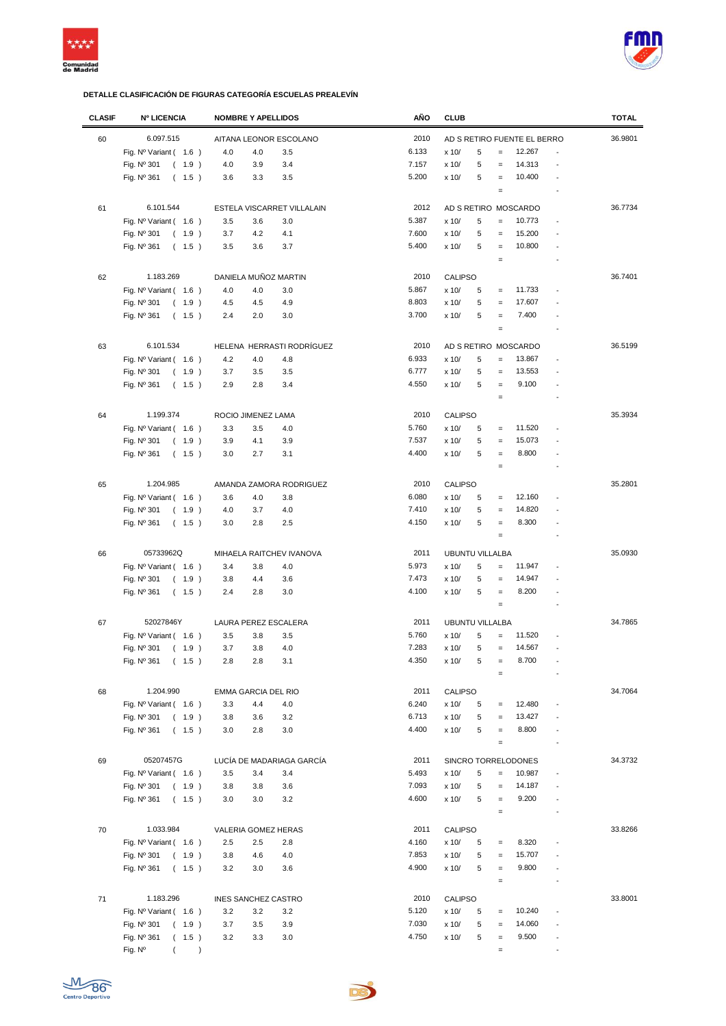



| <b>CLASIF</b> | <b>Nº LICENCIA</b>                          | <b>NOMBRE Y APELLIDOS</b>  | AÑO   | <b>CLUB</b>                                        | <b>TOTAL</b> |
|---------------|---------------------------------------------|----------------------------|-------|----------------------------------------------------|--------------|
| 60            | 6.097.515                                   | AITANA LEONOR ESCOLANO     | 2010  | AD S RETIRO FUENTE EL BERRO                        | 36.9801      |
|               |                                             |                            | 6.133 | 12.267<br>$\overline{a}$                           |              |
|               | Fig. Nº Variant (1.6)                       | 4.0<br>4.0<br>3.5          |       | 5<br>x 10/<br>$\equiv$                             |              |
|               | Fig. Nº 301<br>(1.9)                        | 3.4<br>4.0<br>3.9          | 7.157 | 14.313<br>5<br>x 10/<br>$\equiv$<br>$\overline{a}$ |              |
|               | Fig. Nº 361<br>(1.5)                        | 3.6<br>3.3<br>3.5          | 5.200 | 10.400<br>x 10/<br>5<br>$\equiv$                   |              |
|               |                                             |                            |       | $\equiv$<br>$\overline{\phantom{a}}$               |              |
| 61            | 6.101.544                                   | ESTELA VISCARRET VILLALAIN | 2012  | AD S RETIRO MOSCARDO                               | 36.7734      |
|               | Fig. $N^{\circ}$ Variant (1.6)              | 3.5<br>3.6<br>3.0          | 5.387 | 5<br>10.773<br>x 10/<br>$\equiv$                   |              |
|               | Fig. Nº 301<br>(1.9)                        | 4.1<br>3.7<br>4.2          | 7.600 | 15.200<br>5<br>x 10/<br>$\equiv$                   |              |
|               | Fig. Nº 361<br>(1.5)                        | 3.7<br>3.5<br>3.6          | 5.400 | 10.800<br>x 10/<br>5<br>$\equiv$                   |              |
|               |                                             |                            |       | $\equiv$                                           |              |
|               |                                             |                            |       |                                                    |              |
| 62            | 1.183.269                                   | DANIELA MUÑOZ MARTIN       | 2010  | <b>CALIPSO</b>                                     | 36.7401      |
|               | Fig. $N^{\circ}$ Variant (1.6)              | 4.0<br>4.0<br>3.0          | 5.867 | 11.733<br>x 10/<br>5<br>$=$                        |              |
|               | Fig. Nº 301<br>(1.9)                        | 4.5<br>4.5<br>4.9          | 8.803 | 17.607<br>x 10/<br>5<br>$=$                        |              |
|               | Fig. Nº 361<br>(1.5)                        | 2.4<br>2.0<br>3.0          | 3.700 | 7.400<br>5<br>x 10/<br>$\equiv$                    |              |
|               |                                             |                            |       | $\equiv$                                           |              |
| 63            | 6.101.534                                   | HELENA HERRASTI RODRÍGUEZ  | 2010  | AD S RETIRO MOSCARDO                               | 36.5199      |
|               | Fig. $N^{\circ}$ Variant (1.6)              | 4.2<br>4.0<br>4.8          | 6.933 | 5<br>x 10/<br>$\equiv$<br>13.867                   |              |
|               |                                             |                            | 6.777 |                                                    |              |
|               | Fig. Nº 301<br>(1.9)                        | 3.7<br>3.5<br>3.5          |       | 5<br>13.553<br>x 10/<br>$\equiv$                   |              |
|               | Fig. Nº 361<br>(1.5)                        | 2.9<br>2.8<br>3.4          | 4.550 | 9.100<br>5<br>x 10/<br>$\equiv$                    |              |
|               |                                             |                            |       | $\equiv$                                           |              |
| 64            | 1.199.374                                   | ROCIO JIMENEZ LAMA         | 2010  | <b>CALIPSO</b>                                     | 35.3934      |
|               | Fig. $N^{\circ}$ Variant (1.6)              | 3.3<br>3.5<br>4.0          | 5.760 | 11.520<br>x 10/<br>5<br>$\equiv$<br>$\overline{a}$ |              |
|               | Fig. Nº 301<br>(1.9)                        | 3.9<br>3.9<br>4.1          | 7.537 | 5<br>15.073<br>x 10/<br>$=$                        |              |
|               | Fig. Nº 361<br>(1.5)                        | 2.7<br>3.0<br>3.1          | 4.400 | 5<br>8.800<br>x 10/<br>$\equiv$<br>$\overline{a}$  |              |
|               |                                             |                            |       | $\equiv$<br>$\overline{a}$                         |              |
|               |                                             |                            |       |                                                    |              |
| 65            | 1.204.985                                   | AMANDA ZAMORA RODRIGUEZ    | 2010  | <b>CALIPSO</b>                                     | 35.2801      |
|               | Fig. $N^{\circ}$ Variant (1.6)              | 3.6<br>4.0<br>3.8          | 6.080 | 12.160<br>x 10/<br>5<br>$\equiv$                   |              |
|               | Fig. Nº 301<br>(1.9)                        | 4.0<br>4.0<br>3.7          | 7.410 | x 10/<br>5<br>14.820<br>$\equiv$                   |              |
|               | Fig. Nº 361<br>(1.5)                        | 3.0<br>2.8<br>2.5          | 4.150 | 8.300<br>x 10/<br>5<br>$\equiv$                    |              |
|               |                                             |                            |       | $\equiv$                                           |              |
| 66            | 05733962Q                                   | MIHAELA RAITCHEV IVANOVA   | 2011  | <b>UBUNTU VILLALBA</b>                             | 35.0930      |
|               |                                             | 3.4<br>3.8<br>4.0          | 5.973 | x 10/<br>5<br>11.947<br>$=$                        |              |
|               | Fig. Nº Variant (1.6)                       |                            |       |                                                    |              |
|               | Fig. Nº 301<br>(1.9)                        | 3.8<br>4.4<br>3.6          | 7.473 | x 10/<br>5<br>14.947<br>$\equiv$                   |              |
|               | Fig. Nº 361<br>(1.5)                        | 2.4<br>2.8<br>3.0          | 4.100 | 5<br>8.200<br>x 10/<br>$\equiv$                    |              |
|               |                                             |                            |       | $\equiv$<br>$\overline{a}$                         |              |
| 67            | 52027846Y                                   | LAURA PEREZ ESCALERA       | 2011  | <b>UBUNTU VILLALBA</b>                             | 34.7865      |
|               | Fig. $N^{\circ}$ Variant (1.6)              | 3.5<br>3.8<br>3.5          | 5.760 | 5<br>11.520<br>x 10/<br>$\qquad \qquad =$          |              |
|               | Fig. Nº 301<br>(1.9)                        | 3.7<br>3.8<br>4.0          | 7.283 | 5<br>14.567<br>x 10/<br>$\equiv$                   |              |
|               | Fig. $N^{\circ}$ 361<br>$\left($<br>$1.5$ ) | 2.8<br>2.8<br>3.1          | 4.350 | x 10/<br>5<br>$\qquad \qquad =$<br>8.700           |              |
|               |                                             |                            |       | $\equiv$                                           |              |
|               |                                             |                            |       |                                                    |              |
| 68            | 1.204.990                                   | EMMA GARCIA DEL RIO        | 2011  | <b>CALIPSO</b>                                     | 34.7064      |
|               | Fig. $N^{\circ}$ Variant (1.6)              | 3.3<br>4.4<br>4.0          | 6.240 | 12.480<br>x 10/<br>5<br>$\equiv$                   |              |
|               | Fig. Nº 301<br>(1.9)                        | 3.8<br>3.2<br>3.6          | 6.713 | 5<br>13.427<br>x 10/<br>$\equiv$                   |              |
|               | (1.5)<br>Fig. Nº 361                        | 3.0<br>2.8<br>3.0          | 4.400 | 8.800<br>x 10/<br>5<br>$\equiv$<br>$\overline{a}$  |              |
|               |                                             |                            |       | $\equiv$<br>$\overline{a}$                         |              |
| 69            | 05207457G                                   | LUCÍA DE MADARIAGA GARCÍA  | 2011  | SINCRO TORRELODONES                                | 34.3732      |
|               | Fig. Nº Variant (1.6)                       | 3.5<br>3.4<br>3.4          | 5.493 | 10.987<br>5<br>x 10/<br>$\equiv$<br>$\overline{a}$ |              |
|               | Fig. Nº 301<br>(1.9)                        | 3.6<br>3.8<br>3.8          | 7.093 | x 10/<br>14.187<br>5<br>$\qquad \qquad =$          |              |
|               | Fig. Nº 361<br>(1.5)                        | 3.0<br>3.0<br>3.2          | 4.600 | 9.200<br>x 10/<br>5<br>$=$                         |              |
|               |                                             |                            |       | $\equiv$<br>$\overline{a}$                         |              |
|               |                                             |                            |       |                                                    |              |
| 70            | 1.033.984                                   | VALERIA GOMEZ HERAS        | 2011  | <b>CALIPSO</b>                                     | 33.8266      |
|               | Fig. $N^{\circ}$ Variant (1.6)              | 2.5<br>2.5<br>2.8          | 4.160 | 8.320<br>x 10/<br>5<br>$=$                         |              |
|               | Fig. Nº 301<br>(1.9)                        | 4.0<br>3.8<br>4.6          | 7.853 | 15.707<br>x 10/<br>5<br>$\equiv$                   |              |
|               | Fig. Nº 361<br>(1.5)                        | 3.2<br>3.0<br>3.6          | 4.900 | 5<br>9.800<br>x 10/<br>$\equiv$                    |              |
|               |                                             |                            |       | $\equiv$                                           |              |
| 71            | 1.183.296                                   | <b>INES SANCHEZ CASTRO</b> | 2010  | <b>CALIPSO</b>                                     | 33.8001      |
|               | Fig. $N^{\circ}$ Variant (1.6)              | 3.2<br>3.2<br>3.2          | 5.120 | 10.240<br>x 10/<br>5                               |              |
|               |                                             |                            | 7.030 | $\equiv$<br>14.060<br>$=$                          |              |
|               | Fig. Nº 301<br>(1.9)                        | 3.7<br>3.5<br>3.9          | 4.750 | x 10/<br>5<br>5<br>9.500                           |              |
|               | Fig. Nº 361<br>(1.5)                        | 3.2<br>3.3<br>3.0          |       | x 10/<br>$\equiv$                                  |              |
|               | Fig. Nº<br>$\lambda$                        |                            |       | $\equiv$<br>$\overline{\phantom{a}}$               |              |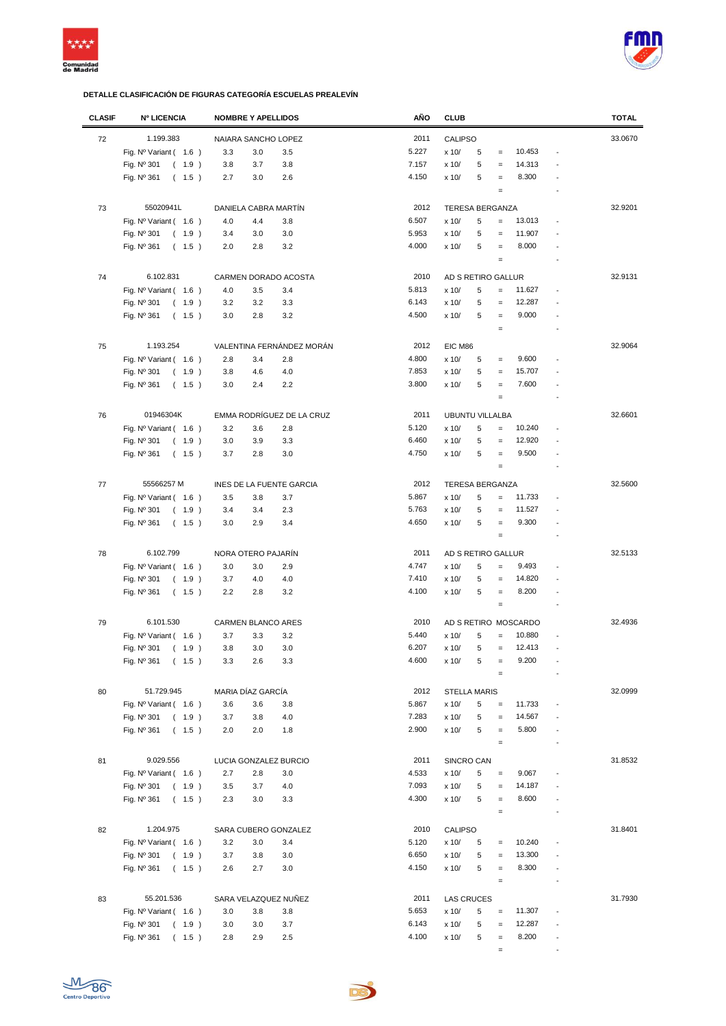



| <b>CLASIF</b> | <b>Nº LICENCIA</b>             | <b>NOMBRE Y APELLIDOS</b> | AÑO   | <b>CLUB</b>                               | <b>TOTAL</b>             |
|---------------|--------------------------------|---------------------------|-------|-------------------------------------------|--------------------------|
| 72            | 1.199.383                      | NAIARA SANCHO LOPEZ       | 2011  | CALIPSO                                   | 33.0670                  |
|               | Fig. Nº Variant ( 1.6 )        | 3.3<br>3.0<br>3.5         | 5.227 | 10.453<br>5<br>x 10/<br>$\qquad \qquad =$ |                          |
|               |                                |                           | 7.157 |                                           |                          |
|               | Fig. Nº 301<br>(1.9)           | 3.8<br>3.7<br>3.8         |       | 14.313<br>x 10/<br>5<br>$\qquad \qquad =$ |                          |
|               | Fig. Nº 361<br>(1.5)           | 2.7<br>2.6<br>3.0         | 4.150 | 8.300<br>x 10/<br>5<br>$\qquad \qquad =$  |                          |
|               |                                |                           |       | $\qquad \qquad =$                         |                          |
| 73            | 55020941L                      | DANIELA CABRA MARTÍN      | 2012  | <b>TERESA BERGANZA</b>                    | 32.9201                  |
|               | Fig. $N^{\circ}$ Variant (1.6) | 4.0<br>4.4<br>3.8         | 6.507 | 5<br>13.013<br>x 10/<br>$=$               |                          |
|               | Fig. Nº 301<br>(1.9)           | 3.0<br>3.4<br>3.0         | 5.953 | 5<br>11.907<br>x 10/<br>$=$               |                          |
|               | Fig. Nº 361<br>(1.5)           | 3.2<br>2.0<br>2.8         | 4.000 | 8.000<br>5<br>x 10/<br>$=$                |                          |
|               |                                |                           |       | $\qquad \qquad =$                         |                          |
| 74            | 6.102.831                      | CARMEN DORADO ACOSTA      | 2010  | AD S RETIRO GALLUR                        | 32.9131                  |
|               |                                |                           |       |                                           |                          |
|               | Fig. Nº Variant ( 1.6 )        | 4.0<br>3.4<br>3.5         | 5.813 | 5<br>11.627<br>x 10/<br>$\qquad \qquad =$ | $\overline{a}$           |
|               | Fig. Nº 301<br>(1.9)           | 3.2<br>3.3<br>3.2         | 6.143 | 12.287<br>x 10/<br>5<br>$\qquad \qquad =$ |                          |
|               | Fig. $N^{\circ}$ 361<br>(1.5)  | 3.2<br>3.0<br>2.8         | 4.500 | 9.000<br>x 10/<br>5<br>$\qquad \qquad =$  |                          |
|               |                                |                           |       | $\qquad \qquad =$                         |                          |
| 75            | 1.193.254                      | VALENTINA FERNÁNDEZ MORÁN | 2012  | EIC M86                                   | 32.9064                  |
|               | Fig. Nº Variant (1.6)          | 2.8<br>3.4<br>2.8         | 4.800 | x 10/<br>9.600<br>5<br>$\qquad \qquad =$  |                          |
|               | Fig. Nº 301<br>(1.9)           | 4.0<br>3.8<br>4.6         | 7.853 | 5<br>15.707<br>x 10/<br>$\qquad \qquad =$ |                          |
|               | Fig. Nº 361<br>(1.5)           | 3.0<br>2.4<br>2.2         | 3.800 | 7.600<br>x 10/<br>5<br>$\qquad \qquad =$  |                          |
|               |                                |                           |       | $\qquad \qquad =$                         |                          |
|               |                                |                           |       |                                           |                          |
| 76            | 01946304K                      | EMMA RODRÍGUEZ DE LA CRUZ | 2011  | <b>UBUNTU VILLALBA</b>                    | 32.6601                  |
|               | Fig. $N^{\circ}$ Variant (1.6) | 3.2<br>3.6<br>2.8         | 5.120 | 5<br>10.240<br>x 10/<br>$\qquad \qquad =$ |                          |
|               | Fig. Nº 301<br>(1.9)           | 3.0<br>3.9<br>3.3         | 6.460 | 12.920<br>x 10/<br>5<br>$=$               |                          |
|               | Fig. Nº 361<br>(1.5)           | 3.7<br>2.8<br>3.0         | 4.750 | 5<br>9.500<br>x 10/<br>$=$                |                          |
|               |                                |                           |       | $\qquad \qquad =$                         |                          |
| 77            | 55566257 M                     | INES DE LA FUENTE GARCIA  | 2012  | <b>TERESA BERGANZA</b>                    | 32.5600                  |
|               |                                | 3.5<br>3.8<br>3.7         | 5.867 | 5<br>11.733<br>x 10/<br>$=$               |                          |
|               | Fig. $N^{\circ}$ Variant (1.6) |                           |       |                                           |                          |
|               | Fig. Nº 301<br>(1.9)           | 2.3<br>3.4<br>3.4         | 5.763 | 5<br>11.527<br>x 10/<br>$=$               |                          |
|               | Fig. Nº 361<br>(1.5)           | 2.9<br>3.4<br>3.0         | 4.650 | 5<br>9.300<br>x 10/<br>$\qquad \qquad =$  |                          |
|               |                                |                           |       | $\qquad \qquad =$                         |                          |
| 78            | 6.102.799                      | NORA OTERO PAJARÍN        | 2011  | AD S RETIRO GALLUR                        | 32.5133                  |
|               | Fig. Nº Variant ( 1.6 )        | 3.0<br>2.9<br>3.0         | 4.747 | x 10/<br>5<br>9.493<br>$\qquad \qquad =$  |                          |
|               | Fig. Nº 301<br>(1.9)           | 3.7<br>4.0<br>4.0         | 7.410 | x 10/<br>5<br>14.820<br>$\equiv$          |                          |
|               | (1.5)<br>Fig. Nº 361           | 2.2<br>3.2<br>2.8         | 4.100 | 5<br>8.200<br>x 10/<br>$\qquad \qquad =$  |                          |
|               |                                |                           |       | $\qquad \qquad =$                         | $\overline{\phantom{a}}$ |
| 79            | 6.101.530                      | <b>CARMEN BLANCO ARES</b> | 2010  | AD S RETIRO MOSCARDO                      | 32.4936                  |
|               | Fig. $N^{\circ}$ Variant (1.6) | 3.7<br>3.3<br>3.2         | 5.440 | 10.880<br>x 10/<br>5<br>$\qquad \qquad =$ |                          |
|               | Fig. Nº 301<br>(1.9)           | 3.0<br>3.8<br>3.0         | 6.207 | x 10/<br>12.413<br>5<br>$\qquad \qquad =$ |                          |
|               | Fig. Nº 361                    | 3.3                       | 4.600 | x 10/<br>5<br>9.200                       |                          |
|               | (1.5)                          | 3.3<br>2.6                |       | $\quad =$                                 |                          |
|               |                                |                           |       |                                           |                          |
| 80            | 51.729.945                     | MARIA DÍAZ GARCÍA         | 2012  | <b>STELLA MARIS</b>                       | 32.0999                  |
|               | Fig. $N^{\circ}$ Variant (1.6) | 3.6<br>3.6<br>3.8         | 5.867 | x 10/<br>11.733<br>5<br>$=$               |                          |
|               | Fig. Nº 301<br>(1.9)           | 3.7<br>3.8<br>4.0         | 7.283 | 5<br>14.567<br>x 10/<br>$\qquad \qquad =$ |                          |
|               | Fig. Nº 361<br>(1.5)           | 2.0<br>2.0<br>1.8         | 2.900 | 5.800<br>x 10/<br>5<br>$\equiv$           |                          |
|               |                                |                           |       | $\qquad \qquad =$                         | $\overline{\phantom{a}}$ |
| 81            | 9.029.556                      | LUCIA GONZALEZ BURCIO     | 2011  | SINCRO CAN                                | 31.8532                  |
|               | Fig. $N^{\circ}$ Variant (1.6) | 2.7<br>2.8<br>3.0         | 4.533 | 9.067<br>5<br>x 10/<br>$\qquad \qquad =$  |                          |
|               | Fig. Nº 301<br>(1.9)           | 3.5<br>3.7<br>4.0         | 7.093 | 14.187<br>x 10/<br>5<br>$\qquad \qquad =$ |                          |
|               | Fig. Nº 361                    |                           | 4.300 | 8.600                                     |                          |
|               | (1.5)                          | 3.3<br>2.3<br>3.0         |       | x 10/<br>5<br>$\qquad \qquad =$           |                          |
|               |                                |                           |       | $\equiv$                                  |                          |
| 82            | 1.204.975                      | SARA CUBERO GONZALEZ      | 2010  | CALIPSO                                   | 31.8401                  |
|               | Fig. $N^{\circ}$ Variant (1.6) | 3.2<br>3.4<br>3.0         | 5.120 | 10.240<br>x 10/<br>5<br>$\equiv$          |                          |
|               | Fig. Nº 301<br>(1.9)           | 3.7<br>3.8<br>3.0         | 6.650 | 5<br>13.300<br>x 10/<br>$\qquad \qquad =$ |                          |
|               | Fig. Nº 361<br>(1.5)           | 2.6<br>2.7<br>3.0         | 4.150 | 5<br>8.300<br>x 10/<br>$\qquad \qquad =$  |                          |
|               |                                |                           |       | $\qquad \qquad =$                         |                          |
| 83            | 55.201.536                     | SARA VELAZQUEZ NUÑEZ      | 2011  | <b>LAS CRUCES</b>                         | 31.7930                  |
|               | Fig. $N^{\circ}$ Variant (1.6) | 3.0<br>3.8<br>3.8         | 5.653 | 11.307<br>x 10/<br>5<br>$\equiv$          | ÷,                       |
|               | Fig. Nº 301<br>(1.9)           | 3.7<br>3.0<br>3.0         | 6.143 | 12.287<br>x 10/<br>5<br>$\qquad \qquad =$ |                          |
|               | Fig. Nº 361<br>(1.5)           | 2.8<br>2.9<br>2.5         | 4.100 | 8.200<br>x 10/<br>5<br>$\qquad \qquad =$  | $\overline{\phantom{a}}$ |
|               |                                |                           |       | $\qquad \qquad =$                         | $\overline{\phantom{a}}$ |
|               |                                |                           |       |                                           |                          |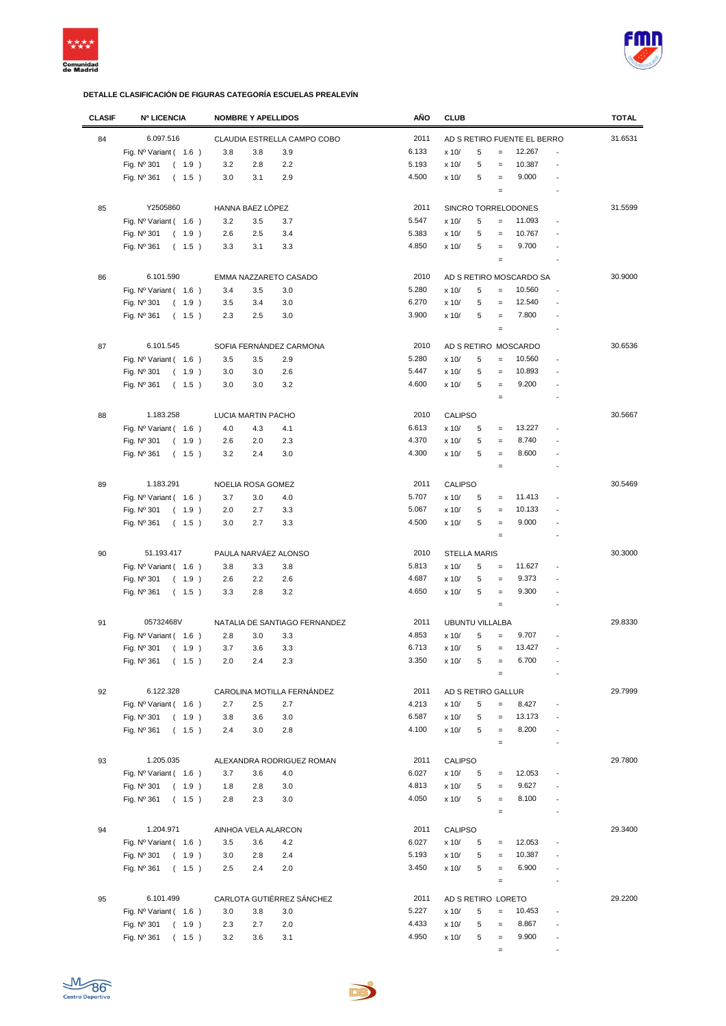



| <b>CLASIF</b> | <b>Nº LICENCIA</b>             | <b>NOMBRE Y APELLIDOS</b> |                               | AÑO   | <b>CLUB</b>            |   |                                        |                             |                          | <b>TOTAL</b> |
|---------------|--------------------------------|---------------------------|-------------------------------|-------|------------------------|---|----------------------------------------|-----------------------------|--------------------------|--------------|
| 84            | 6.097.516                      |                           | CLAUDIA ESTRELLA CAMPO COBO   | 2011  |                        |   |                                        | AD S RETIRO FUENTE EL BERRO |                          | 31.6531      |
|               | Fig. $N^{\circ}$ Variant (1.6) | 3.8<br>3.8                | 3.9                           | 6.133 | x 10/                  | 5 | $\qquad \qquad =$                      | 12.267                      |                          |              |
|               |                                |                           |                               | 5.193 |                        | 5 | $=$                                    | 10.387                      |                          |              |
|               | Fig. Nº 301<br>(1.9)           | 3.2<br>2.8                | 2.2                           | 4.500 | x 10/                  | 5 |                                        | 9.000                       |                          |              |
|               | Fig. Nº 361<br>(1.5)           | 3.0<br>3.1                | 2.9                           |       | x 10/                  |   | $\qquad \qquad =$<br>$\qquad \qquad =$ |                             |                          |              |
|               |                                |                           |                               |       |                        |   |                                        |                             |                          |              |
| 85            | Y2505860                       | HANNA BAEZ LÓPEZ          |                               | 2011  |                        |   |                                        | SINCRO TORRELODONES         |                          | 31.5599      |
|               | Fig. Nº Variant (1.6)          | 3.2<br>3.5                | 3.7                           | 5.547 | x 10/                  | 5 | $=$                                    | 11.093                      |                          |              |
|               | Fig. Nº 301<br>(1.9)           | 2.6<br>2.5                | 3.4                           | 5.383 | x 10/                  | 5 | $=$                                    | 10.767                      |                          |              |
|               | Fig. Nº 361<br>(1.5)           | 3.3<br>3.1                | 3.3                           | 4.850 | x 10/                  | 5 | $\qquad \qquad =$                      | 9.700                       |                          |              |
|               |                                |                           |                               |       |                        |   | $\qquad \qquad =$                      |                             |                          |              |
| 86            | 6.101.590                      | EMMA NAZZARETO CASADO     |                               | 2010  |                        |   |                                        | AD S RETIRO MOSCARDO SA     |                          | 30.9000      |
|               | Fig. $N^{\circ}$ Variant (1.6) | 3.5<br>3.4                | 3.0                           | 5.280 | x 10/                  | 5 | $\qquad \qquad =$                      | 10.560                      |                          |              |
|               | Fig. Nº 301<br>(1.9)           | 3.5<br>3.4                | 3.0                           | 6.270 | x 10/                  | 5 | $\qquad \qquad =$                      | 12.540                      |                          |              |
|               | Fig. Nº 361<br>(1.5)           | 2.3<br>2.5                | 3.0                           | 3.900 | x 10/                  | 5 | $=$                                    | 7.800                       |                          |              |
|               |                                |                           |                               |       |                        |   | $\qquad \qquad =$                      |                             | $\overline{\phantom{a}}$ |              |
| 87            | 6.101.545                      | SOFIA FERNÁNDEZ CARMONA   |                               | 2010  |                        |   |                                        | AD S RETIRO MOSCARDO        |                          | 30.6536      |
|               | Fig. $N^{\circ}$ Variant (1.6) | 3.5<br>3.5                | 2.9                           | 5.280 | x 10/                  | 5 | $=$                                    | 10.560                      |                          |              |
|               | Fig. Nº 301<br>(1.9)           | 3.0<br>3.0                | 2.6                           | 5.447 | x 10/                  | 5 | $\qquad \qquad =$                      | 10.893                      |                          |              |
|               | Fig. Nº 361<br>(1.5)           | 3.0<br>3.0                | 3.2                           | 4.600 | x 10/                  | 5 | $\qquad \qquad =$                      | 9.200                       |                          |              |
|               |                                |                           |                               |       |                        |   | $\qquad \qquad =$                      |                             |                          |              |
|               |                                |                           |                               |       |                        |   |                                        |                             |                          |              |
| 88            | 1.183.258                      | LUCIA MARTIN PACHO        |                               | 2010  | <b>CALIPSO</b>         |   |                                        |                             |                          | 30.5667      |
|               | Fig. Nº Variant (1.6)          | 4.0<br>4.3                | 4.1                           | 6.613 | x 10/                  | 5 | $\qquad \qquad =$                      | 13.227                      |                          |              |
|               | Fig. Nº 301<br>(1.9)           | 2.6<br>2.0                | 2.3                           | 4.370 | x 10/                  | 5 | $=$                                    | 8.740                       |                          |              |
|               | Fig. $N^{\circ}$ 361<br>(1.5)  | 3.2<br>2.4                | 3.0                           | 4.300 | x 10/                  | 5 | $\qquad \qquad =$                      | 8.600                       |                          |              |
|               |                                |                           |                               |       |                        |   | $\qquad \qquad =$                      |                             |                          |              |
| 89            | 1.183.291                      | NOELIA ROSA GOMEZ         |                               | 2011  | <b>CALIPSO</b>         |   |                                        |                             |                          | 30.5469      |
|               | Fig. $N^{\circ}$ Variant (1.6) | 3.7<br>3.0                | 4.0                           | 5.707 | x 10/                  | 5 | $\qquad \qquad =$                      | 11.413                      |                          |              |
|               | Fig. Nº 301<br>(1.9)           | 2.7<br>2.0                | 3.3                           | 5.067 | x 10/                  | 5 | $\qquad \qquad =$                      | 10.133                      |                          |              |
|               | Fig. Nº 361<br>(1.5)           | 2.7<br>3.0                | 3.3                           | 4.500 | x 10/                  | 5 | $\qquad \qquad =$                      | 9.000                       |                          |              |
|               |                                |                           |                               |       |                        |   | $\qquad \qquad =$                      |                             |                          |              |
| 90            | 51.193.417                     | PAULA NARVÁEZ ALONSO      |                               | 2010  | <b>STELLA MARIS</b>    |   |                                        |                             |                          | 30.3000      |
|               | Fig. Nº Variant (1.6)          | 3.8<br>3.3                | 3.8                           | 5.813 | x 10/                  | 5 | $\qquad \qquad =$                      | 11.627                      |                          |              |
|               | Fig. Nº 301<br>(1.9)           | 2.6<br>2.2                | 2.6                           | 4.687 | x 10/                  | 5 | $\qquad \qquad =$                      | 9.373                       |                          |              |
|               | Fig. $N^{\circ}$ 361<br>(1.5)  | 3.3<br>2.8                | 3.2                           | 4.650 | x 10/                  | 5 | $\qquad \qquad =$                      | 9.300                       |                          |              |
|               |                                |                           |                               |       |                        |   | $\qquad \qquad =$                      |                             |                          |              |
|               |                                |                           |                               |       |                        |   |                                        |                             |                          |              |
| 91            | 05732468V                      |                           | NATALIA DE SANTIAGO FERNANDEZ | 2011  | <b>UBUNTU VILLALBA</b> |   |                                        |                             |                          | 29.8330      |
|               | Fig. $N^{\circ}$ Variant (1.6) | 2.8<br>3.0                | 3.3                           | 4.853 | x 10/                  | 5 | $\qquad \qquad =$                      | 9.707                       |                          |              |
|               | Fig. Nº 301<br>(1.9)           | 3.7<br>3.6                | 3.3                           | 6.713 | x 10/                  | 5 | $\qquad \qquad =$                      | 13.427                      |                          |              |
|               | (1.5)<br>Fig. $N^{\circ}$ 361  | 2.0<br>2.4                | 2.3                           | 3.350 | x 10/                  | 5 |                                        | 6.700                       |                          |              |
|               |                                |                           |                               |       |                        |   | $\qquad \qquad =$                      |                             |                          |              |
| 92            | 6.122.328                      |                           | CAROLINA MOTILLA FERNÁNDEZ    | 2011  | AD S RETIRO GALLUR     |   |                                        |                             |                          | 29.7999      |
|               | Fig. $N^{\circ}$ Variant (1.6) | 2.7<br>2.5                | 2.7                           | 4.213 | x 10/                  | 5 | $=$                                    | 8.427                       |                          |              |
|               | Fig. Nº 301<br>(1.9)           | 3.8<br>3.6                | 3.0                           | 6.587 | x 10/                  | 5 | $\qquad \qquad =$                      | 13.173                      |                          |              |
|               | Fig. Nº 361<br>(1.5)           | 2.4<br>3.0                | 2.8                           | 4.100 | x 10/                  | 5 | $\equiv$                               | 8.200                       |                          |              |
|               |                                |                           |                               |       |                        |   | $\qquad \qquad =$                      |                             |                          |              |
| 93            | 1.205.035                      |                           | ALEXANDRA RODRIGUEZ ROMAN     | 2011  | CALIPSO                |   |                                        |                             |                          | 29.7800      |
|               | Fig. $N^{\circ}$ Variant (1.6) | 3.7<br>3.6                | 4.0                           | 6.027 | x 10/                  | 5 | $\quad =$                              | 12.053                      |                          |              |
|               | Fig. Nº 301<br>(1.9)           | 2.8<br>1.8                | 3.0                           | 4.813 | x 10/                  | 5 | $\qquad \qquad =$                      | 9.627                       |                          |              |
|               | Fig. Nº 361<br>(1.5)           | 2.8<br>2.3                | 3.0                           | 4.050 | x 10/                  | 5 | $\qquad \qquad =$                      | 8.100                       |                          |              |
|               |                                |                           |                               |       |                        |   | $\qquad \qquad =$                      |                             |                          |              |
| 94            | 1.204.971                      | AINHOA VELA ALARCON       |                               | 2011  | CALIPSO                |   |                                        |                             |                          | 29.3400      |
|               | Fig. $N^{\circ}$ Variant (1.6) | 3.5<br>3.6                | 4.2                           | 6.027 | x 10/                  | 5 | $\qquad \qquad =$                      | 12.053                      |                          |              |
|               | Fig. Nº 301<br>(1.9)           | 2.8<br>3.0                | 2.4                           | 5.193 | x 10/                  | 5 | $\qquad \qquad =$                      | 10.387                      |                          |              |
|               | Fig. Nº 361<br>(1.5)           | 2.5<br>2.4                | 2.0                           | 3.450 | x 10/                  | 5 | $\equiv$                               | 6.900                       |                          |              |
|               |                                |                           |                               |       |                        |   | $\qquad \qquad =$                      |                             |                          |              |
|               |                                |                           |                               |       |                        |   |                                        |                             |                          |              |
| 95            | 6.101.499                      |                           | CARLOTA GUTIÉRREZ SÁNCHEZ     | 2011  | AD S RETIRO LORETO     |   |                                        |                             |                          | 29.2200      |
|               | Fig. $N^{\circ}$ Variant (1.6) | 3.0<br>3.8                | 3.0                           | 5.227 | x 10/                  | 5 | $\equiv$                               | 10.453                      |                          |              |
|               | Fig. Nº 301<br>(1.9)           | 2.3<br>2.7                | 2.0                           | 4.433 | x 10/                  | 5 | $\qquad \qquad =$                      | 8.867                       |                          |              |
|               | Fig. Nº 361<br>(1.5)           | 3.2<br>3.6                | 3.1                           | 4.950 | x 10/                  | 5 | $=$                                    | 9.900                       |                          |              |
|               |                                |                           |                               |       |                        |   | $\equiv$                               |                             | $\overline{\phantom{a}}$ |              |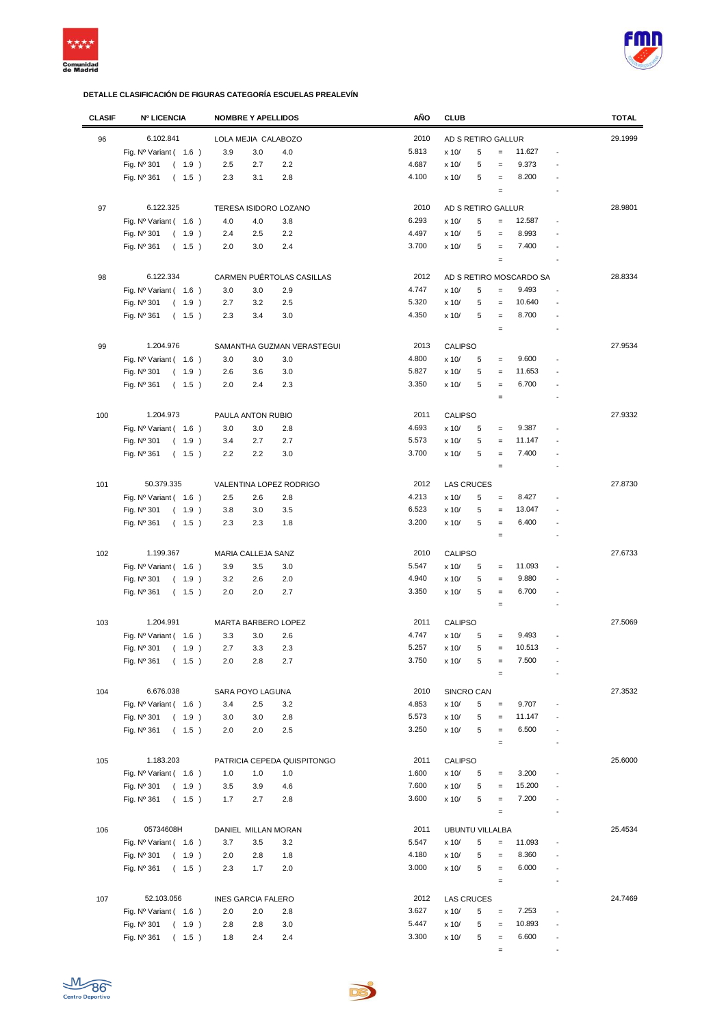



| <b>CLASIF</b> | <b>Nº LICENCIA</b>                    | <b>NOMBRE Y APELLIDOS</b>   | AÑO   | <b>CLUB</b>                     |                                   | <b>TOTAL</b> |
|---------------|---------------------------------------|-----------------------------|-------|---------------------------------|-----------------------------------|--------------|
| 96            | 6.102.841                             | LOLA MEJIA CALABOZO         | 2010  | AD S RETIRO GALLUR              |                                   | 29.1999      |
|               | Fig. Nº Variant (1.6)                 | 3.9<br>3.0<br>4.0           | 5.813 | 5<br>$=$<br>x 10/               | 11.627<br>$\overline{a}$          |              |
|               |                                       |                             |       |                                 |                                   |              |
|               | Fig. Nº 301<br>(1.9)                  | 2.2<br>2.5<br>2.7           | 4.687 | 5<br>x 10/<br>$=$               | 9.373                             |              |
|               | Fig. Nº 361<br>(1.5)                  | 2.8<br>2.3<br>3.1           | 4.100 | x 10/<br>5<br>$\qquad \qquad =$ | 8.200                             |              |
|               |                                       |                             |       | $\qquad \qquad =$               | $\overline{a}$                    |              |
| 97            | 6.122.325                             | TERESA ISIDORO LOZANO       | 2010  | AD S RETIRO GALLUR              |                                   | 28.9801      |
|               | Fig. Nº Variant (1.6)                 | 4.0<br>4.0<br>3.8           | 6.293 | x 10/<br>5<br>$\qquad \qquad =$ | 12.587                            |              |
|               | Fig. Nº 301<br>(1.9)                  | 2.2<br>2.4<br>2.5           | 4.497 | 5<br>x 10/<br>$\qquad \qquad =$ | 8.993                             |              |
|               | Fig. Nº 361<br>(1.5)                  | 2.4<br>2.0<br>3.0           | 3.700 | 5<br>x 10/<br>$\qquad \qquad =$ | 7.400                             |              |
|               |                                       |                             |       | $\equiv$                        |                                   |              |
|               | 6.122.334                             |                             |       |                                 |                                   |              |
| 98            |                                       | CARMEN PUÉRTOLAS CASILLAS   | 2012  | AD S RETIRO MOSCARDO SA         |                                   | 28.8334      |
|               | Fig. $N^{\circ}$ Variant (1.6)        | 3.0<br>3.0<br>2.9           | 4.747 | x 10/<br>5<br>$=$               | 9.493<br>$\overline{a}$           |              |
|               | Fig. Nº 301<br>(1.9)                  | 2.7<br>2.5<br>3.2           | 5.320 | x 10/<br>5<br>$=$               | 10.640                            |              |
|               | Fig. Nº 361<br>(1.5)                  | 2.3<br>3.4<br>3.0           | 4.350 | 5<br>x 10/<br>$\qquad \qquad =$ | 8.700                             |              |
|               |                                       |                             |       | $\equiv$                        | $\overline{a}$                    |              |
| 99            | 1.204.976                             | SAMANTHA GUZMAN VERASTEGUI  | 2013  | <b>CALIPSO</b>                  |                                   | 27.9534      |
|               | Fig. $N^{\circ}$ Variant (1.6)        | 3.0<br>3.0<br>3.0           | 4.800 | x 10/<br>5<br>$\quad =$         | 9.600                             |              |
|               | Fig. Nº 301<br>(1.9)                  | 2.6<br>3.6<br>3.0           | 5.827 | 5<br>x 10/<br>$\qquad \qquad =$ | 11.653                            |              |
|               | Fig. Nº 361<br>(1.5)                  | 2.0<br>2.4<br>2.3           | 3.350 | 5<br>x 10/<br>$\equiv$          | 6.700                             |              |
|               |                                       |                             |       | $\equiv$                        |                                   |              |
|               |                                       |                             |       |                                 |                                   |              |
| 100           | 1.204.973                             | PAULA ANTON RUBIO           | 2011  | <b>CALIPSO</b>                  |                                   | 27.9332      |
|               | Fig. $N^{\circ}$ Variant (1.6)        | 3.0<br>3.0<br>2.8           | 4.693 | x 10/<br>5<br>$=$               | 9.387                             |              |
|               | Fig. Nº 301<br>(1.9)                  | 3.4<br>2.7<br>2.7           | 5.573 | x 10/<br>5<br>$\qquad \qquad =$ | 11.147                            |              |
|               | Fig. Nº 361<br>(1.5)                  | 2.2<br>2.2<br>3.0           | 3.700 | 5<br>x 10/<br>$\qquad \qquad =$ | 7.400                             |              |
|               |                                       |                             |       | $\equiv$                        |                                   |              |
| 101           | 50.379.335<br>VALENTINA LOPEZ RODRIGO |                             | 2012  | <b>LAS CRUCES</b>               |                                   | 27.8730      |
|               | Fig. $N^{\circ}$ Variant (1.6)        | 2.5<br>2.6<br>2.8           | 4.213 | 5<br>x 10/<br>$\equiv$          | 8.427                             |              |
|               | Fig. Nº 301<br>(1.9)                  | 3.5<br>3.8<br>3.0           | 6.523 | 5<br>x 10/<br>$\equiv$          | 13.047                            |              |
|               | Fig. Nº 361<br>(1.5)                  | 2.3<br>2.3<br>1.8           | 3.200 | 5<br>x 10/<br>$\qquad \qquad =$ | 6.400                             |              |
|               |                                       |                             |       | $\equiv$                        |                                   |              |
|               |                                       |                             |       |                                 |                                   |              |
| 102           | 1.199.367                             | MARIA CALLEJA SANZ          | 2010  | <b>CALIPSO</b>                  |                                   | 27.6733      |
|               | Fig. $N^{\circ}$ Variant (1.6)        | 3.9<br>3.5<br>3.0           | 5.547 | x 10/<br>5<br>$=$               | 11.093                            |              |
|               | Fig. Nº 301<br>(1.9)                  | 3.2<br>2.6<br>2.0           | 4.940 | 5<br>x 10/<br>$=$               | 9.880                             |              |
|               | Fig. Nº 361<br>(1.5)                  | 2.7<br>2.0<br>2.0           | 3.350 | 5<br>x 10/<br>$\equiv$          | 6.700<br>$\overline{a}$           |              |
|               |                                       |                             |       | $\qquad \qquad =$               | $\overline{a}$                    |              |
| 103           | 1.204.991                             | MARTA BARBERO LOPEZ         | 2011  | <b>CALIPSO</b>                  |                                   | 27.5069      |
|               | Fig. $N^{\circ}$ Variant (1.6)        | 3.3<br>3.0<br>2.6           | 4.747 | x 10/<br>5<br>$=$               | 9.493                             |              |
|               | Fig. Nº 301<br>(1.9)                  | 2.7<br>3.3<br>2.3           | 5.257 | 5<br>x 10/<br>$=$               | 10.513                            |              |
|               | Fig. Nº 361                           | 2.7                         | 3.750 | x 10/<br>5                      | 7.500                             |              |
|               | (1.5)                                 | 2.0<br>2.8                  |       | $\equiv$                        |                                   |              |
|               |                                       |                             |       |                                 |                                   |              |
| 104           | 6.676.038                             | SARA POYO LAGUNA            | 2010  | SINCRO CAN                      |                                   | 27.3532      |
|               | Fig. Nº Variant ( 1.6 )               | 3.4<br>2.5<br>3.2           | 4.853 | x 10/<br>5<br>$\equiv$          | 9.707                             |              |
|               | Fig. Nº 301<br>(1.9)                  | 3.0<br>3.0<br>2.8           | 5.573 | 5<br>x 10/<br>$\qquad \qquad =$ | 11.147                            |              |
|               | Fig. Nº 361<br>(1.5)                  | 2.0<br>2.0<br>2.5           | 3.250 | 5<br>x 10/<br>$\equiv$          | 6.500                             |              |
|               |                                       |                             |       | $\equiv$                        | Ĭ.                                |              |
| 105           | 1.183.203                             | PATRICIA CEPEDA QUISPITONGO | 2011  | <b>CALIPSO</b>                  |                                   | 25.6000      |
|               | Fig. Nº Variant (1.6)                 | 1.0<br>1.0<br>1.0           | 1.600 | x 10/<br>5<br>$\qquad \qquad =$ | 3.200                             |              |
|               | Fig. Nº 301<br>(1.9)                  | 3.5<br>3.9<br>4.6           | 7.600 | x 10/<br>5<br>$\qquad \qquad =$ | 15.200<br>$\overline{a}$          |              |
|               |                                       | 2.7<br>2.8                  | 3.600 | 5<br>x 10/                      | 7.200<br>$\overline{a}$           |              |
|               | Fig. Nº 361<br>(1.5)                  | 1.7                         |       | $\equiv$                        | Ĭ.                                |              |
|               |                                       |                             |       | $\qquad \qquad =$               |                                   |              |
| 106           | 05734608H                             | DANIEL MILLAN MORAN         | 2011  | <b>UBUNTU VILLALBA</b>          |                                   | 25.4534      |
|               | Fig. Nº Variant (1.6)                 | 3.7<br>3.5<br>3.2           | 5.547 | x 10/<br>5<br>$=$               | 11.093<br>$\overline{a}$          |              |
|               | Fig. Nº 301<br>(1.9)                  | 2.0<br>2.8<br>1.8           | 4.180 | 5<br>x 10/<br>$\qquad \qquad =$ | 8.360                             |              |
|               | Fig. Nº 361<br>(1.5)                  | 2.3<br>1.7<br>2.0           | 3.000 | 5<br>x 10/<br>$\equiv$          | 6.000<br>$\overline{a}$           |              |
|               |                                       |                             |       | $\equiv$                        | $\overline{a}$                    |              |
| 107           | 52.103.056                            | <b>INES GARCIA FALERO</b>   | 2012  | <b>LAS CRUCES</b>               |                                   | 24.7469      |
|               | Fig. $N^{\circ}$ Variant (1.6)        | 2.0<br>2.0<br>2.8           | 3.627 | x 10/<br>5<br>$\equiv$          | 7.253<br>$\overline{\phantom{a}}$ |              |
|               |                                       | 2.8                         | 5.447 | 5                               | 10.893<br>$\overline{a}$          |              |
|               | Fig. Nº 301<br>(1.9)                  | 2.8<br>3.0                  |       | x 10/<br>$\equiv$               |                                   |              |
|               | Fig. Nº 361<br>(1.5)                  | 1.8<br>2.4<br>2.4           | 3.300 | 5<br>x 10/<br>$\equiv$          | 6.600<br>$\overline{a}$           |              |
|               |                                       |                             |       | $\equiv$                        | $\overline{\phantom{a}}$          |              |

D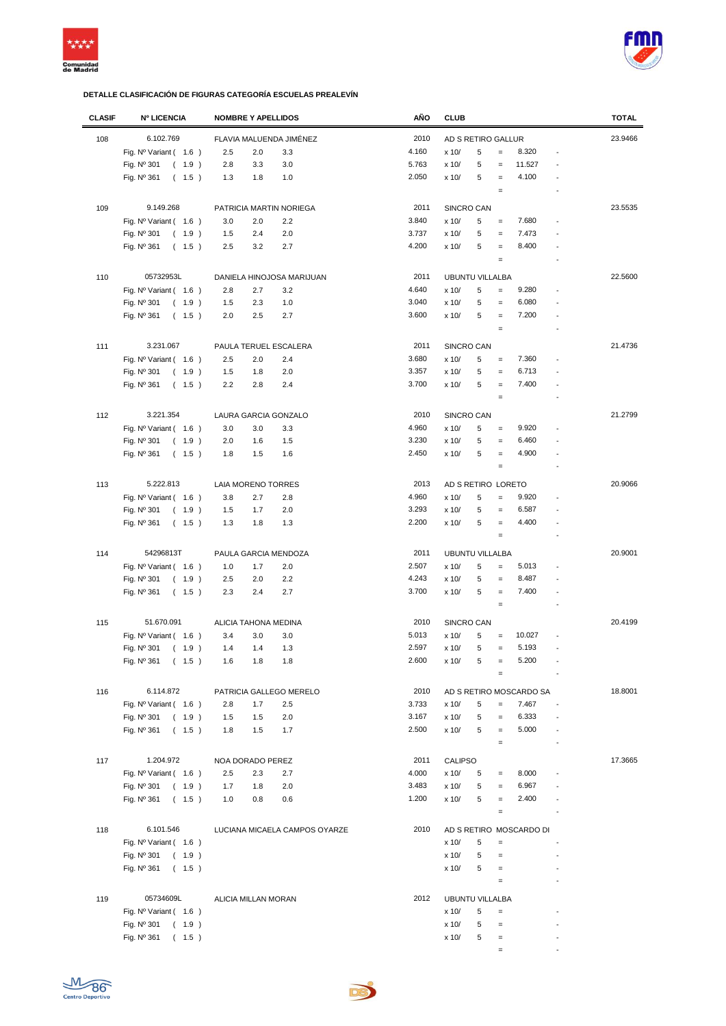



| <b>CLASIF</b> | <b>Nº LICENCIA</b>                | <b>NOMBRE Y APELLIDOS</b> |                               | AÑO                    | <b>CLUB</b>            |   |                   |                                  |                | <b>TOTAL</b> |
|---------------|-----------------------------------|---------------------------|-------------------------------|------------------------|------------------------|---|-------------------|----------------------------------|----------------|--------------|
| 108           | 6.102.769                         | FLAVIA MALUENDA JIMÉNEZ   |                               | 2010                   | AD S RETIRO GALLUR     |   |                   |                                  |                | 23.9466      |
|               | Fig. Nº Variant (1.6)             | 2.5<br>2.0                | 3.3                           | 4.160                  | x 10/                  | 5 | $=$               | 8.320                            | $\overline{a}$ |              |
|               |                                   |                           |                               | 5.763                  |                        |   |                   | 11.527                           |                |              |
|               | Fig. Nº 301<br>(1.9)              | 2.8<br>3.3                | 3.0                           |                        | x 10/                  | 5 | $=$               |                                  | Ĭ.             |              |
|               | Fig. Nº 361<br>(1.5)              | 1.3<br>1.8                | 1.0                           | 2.050                  | x 10/                  | 5 | $\equiv$          | 4.100                            |                |              |
|               |                                   |                           |                               |                        |                        |   | $\qquad \qquad =$ |                                  | $\overline{a}$ |              |
| 109           | 9.149.268                         | PATRICIA MARTIN NORIEGA   |                               | 2011                   | SINCRO CAN             |   |                   |                                  |                | 23.5535      |
|               | Fig. Nº Variant (1.6)             | 3.0<br>2.0                | 2.2                           | 3.840                  | x 10/                  | 5 | $\equiv$          | 7.680                            | $\overline{a}$ |              |
|               | Fig. Nº 301<br>(1.9)              | 2.4<br>1.5                | 2.0                           | 3.737                  | x 10/                  | 5 | $\equiv$          | 7.473                            | $\overline{a}$ |              |
|               |                                   | 3.2                       | 2.7                           | 4.200                  | x 10/                  | 5 |                   | 8.400                            | $\overline{a}$ |              |
|               | Fig. Nº 361<br>(1.5)              | 2.5                       |                               |                        |                        |   | $\qquad \qquad =$ |                                  |                |              |
|               |                                   |                           |                               |                        |                        |   | $\equiv$          |                                  |                |              |
| 110           | 05732953L                         | DANIELA HINOJOSA MARIJUAN |                               | 2011                   | <b>UBUNTU VILLALBA</b> |   |                   |                                  |                | 22.5600      |
|               | Fig. $N^{\circ}$ Variant (1.6)    | 2.8<br>2.7                | 3.2                           | 4.640                  | x 10/                  | 5 | $=$               | 9.280                            | Ĭ.             |              |
|               | Fig. Nº 301<br>(1.9)              | 1.5<br>2.3                | 1.0                           | 3.040                  | x 10/                  | 5 | $\equiv$          | 6.080                            |                |              |
|               | Fig. Nº 361<br>(1.5)              | 2.0<br>2.5                | 2.7                           | 3.600                  | x 10/                  | 5 | $\equiv$          | 7.200                            |                |              |
|               |                                   |                           |                               |                        |                        |   | $\equiv$          |                                  | Ĭ.             |              |
|               |                                   |                           |                               |                        |                        |   |                   |                                  |                |              |
| 111           | 3.231.067                         | PAULA TERUEL ESCALERA     |                               | 2011                   | SINCRO CAN             |   |                   |                                  |                | 21.4736      |
|               | Fig. $N^{\circ}$ Variant (1.6)    | 2.5<br>2.0                | 2.4                           | 3.680                  | x 10/                  | 5 | $\equiv$          | 7.360                            |                |              |
|               | Fig. Nº 301<br>(1.9)              | 1.5<br>1.8                | 2.0                           | 3.357                  | x 10/                  | 5 | $\qquad \qquad =$ | 6.713                            |                |              |
|               | Fig. Nº 361<br>(1.5)              | 2.2<br>2.8                | 2.4                           | 3.700                  | x 10/                  | 5 | $\qquad \qquad =$ | 7.400                            |                |              |
|               |                                   |                           |                               |                        |                        |   | $\equiv$          |                                  |                |              |
|               |                                   |                           |                               |                        |                        |   |                   |                                  |                |              |
| 112           | 3.221.354                         | LAURA GARCIA GONZALO      |                               | 2010                   | SINCRO CAN             |   |                   |                                  |                | 21.2799      |
|               | Fig. $N^{\circ}$ Variant (1.6)    | 3.0<br>3.0                | 3.3                           | 4.960                  | x 10/                  | 5 | $\qquad \qquad =$ | 9.920                            | Ĭ.             |              |
|               | Fig. Nº 301<br>(1.9)              | 2.0<br>1.6                | 1.5                           | 3.230                  | x 10/                  | 5 | $\qquad \qquad =$ | 6.460                            |                |              |
|               | Fig. Nº 361<br>(1.5)              | 1.8<br>1.5                | 1.6                           | 2.450                  | x 10/                  | 5 | $\equiv$          | 4.900                            | Ĭ.             |              |
|               |                                   |                           |                               |                        |                        |   | $\qquad \qquad =$ |                                  |                |              |
| 113           | 5.222.813                         | LAIA MORENO TORRES        |                               | 2013                   | AD S RETIRO LORETO     |   |                   |                                  |                | 20.9066      |
|               | Fig. $N^{\circ}$ Variant (1.6)    | 3.8<br>2.7                | 2.8                           | 4.960                  | x 10/                  | 5 | $=$               | 9.920                            | $\overline{a}$ |              |
|               |                                   | 1.5<br>1.7                | 2.0                           | 3.293                  | x 10/                  | 5 |                   | 6.587                            | $\overline{a}$ |              |
|               | Fig. Nº 301<br>(1.9)              |                           |                               |                        |                        |   | $\qquad \qquad =$ |                                  |                |              |
|               | Fig. Nº 361<br>(1.5)              | 1.3<br>1.8                | 1.3                           | 2.200                  | x 10/                  | 5 | $\qquad \qquad =$ | 4.400                            | ÷              |              |
|               |                                   |                           |                               |                        |                        |   | $\equiv$          |                                  | $\overline{a}$ |              |
| 114           | 54296813T<br>PAULA GARCIA MENDOZA |                           | 2011                          | <b>UBUNTU VILLALBA</b> |                        |   |                   |                                  | 20.9001        |              |
|               | Fig. Nº Variant (1.6)             | 1.0<br>1.7                | 2.0                           | 2.507                  | x 10/                  | 5 | $=$               | 5.013                            |                |              |
|               | Fig. Nº 301<br>(1.9)              | 2.5<br>2.0                | 2.2                           | 4.243                  | x 10/                  | 5 | $\equiv$          | 8.487                            |                |              |
|               | Fig. Nº 361<br>(1.5)              | 2.3<br>2.4                | 2.7                           | 3.700                  | x 10/                  | 5 | $\equiv$          | 7.400                            | $\overline{a}$ |              |
|               |                                   |                           |                               |                        |                        |   | $\equiv$          |                                  | Ĭ.             |              |
|               |                                   |                           |                               |                        |                        |   |                   |                                  |                |              |
| 115           | 51.670.091                        | ALICIA TAHONA MEDINA      |                               | 2010                   | SINCRO CAN             |   |                   |                                  |                | 20.4199      |
|               | Fig. $N^{\circ}$ Variant (1.6)    | 3.4<br>3.0                | 3.0                           | 5.013                  | x 10/                  | 5 | $\qquad \qquad =$ | 10.027                           |                |              |
|               | Fig. Nº 301<br>(1.9)              | 1.4<br>1.4                | 1.3                           | 2.597                  | x 10/                  | 5 | $=$               | 5.193                            | Ĭ.             |              |
|               | Fig. $N^{\circ}$ 361<br>(1.5)     | 1.6<br>1.8                | 1.8                           | 2.600                  | x 10/                  | 5 | $=$               | 5.200                            |                |              |
|               |                                   |                           |                               |                        |                        |   | $\qquad \qquad =$ |                                  |                |              |
| 116           | 6.114.872                         | PATRICIA GALLEGO MERELO   |                               | 2010                   |                        |   |                   |                                  |                | 18.8001      |
|               |                                   |                           |                               | 3.733                  |                        |   |                   | AD S RETIRO MOSCARDO SA<br>7.467 |                |              |
|               | Fig. Nº Variant ( 1.6 )           | 2.8<br>1.7                | 2.5                           |                        | x 10/                  | 5 | $=$               |                                  | $\blacksquare$ |              |
|               | (1.9)<br>Fig. Nº 301              | 1.5<br>1.5                | 2.0                           | 3.167                  | x 10/                  | 5 | $=$               | 6.333                            | $\overline{a}$ |              |
|               | Fig. Nº 361<br>(1.5)              | 1.5<br>1.8                | 1.7                           | 2.500                  | x 10/                  | 5 | $\equiv$          | 5.000                            | ÷,             |              |
|               |                                   |                           |                               |                        |                        |   | $\equiv$          |                                  | $\overline{a}$ |              |
| 117           | 1.204.972                         | NOA DORADO PEREZ          |                               | 2011                   | <b>CALIPSO</b>         |   |                   |                                  |                | 17.3665      |
|               | Fig. Nº Variant (1.6)             | 2.5<br>2.3                | 2.7                           | 4.000                  | x 10/                  | 5 | $=$               | 8.000                            | $\overline{a}$ |              |
|               | (1.9)<br>Fig. Nº 301              | 1.7<br>1.8                | 2.0                           | 3.483                  | x 10/                  | 5 | $=$               | 6.967                            |                |              |
|               | Fig. Nº 361<br>(1.5)              | 1.0<br>0.8                | 0.6                           | 1.200                  | x 10/                  | 5 | $=$               | 2.400                            |                |              |
|               |                                   |                           |                               |                        |                        |   |                   |                                  | $\overline{a}$ |              |
|               |                                   |                           |                               |                        |                        |   | $\equiv$          |                                  |                |              |
| 118           | 6.101.546                         |                           | LUCIANA MICAELA CAMPOS OYARZE | 2010                   |                        |   |                   | AD S RETIRO MOSCARDO DI          |                |              |
|               | Fig. $N^{\circ}$ Variant (1.6)    |                           |                               |                        | x 10/                  | 5 | $\qquad \qquad =$ |                                  |                |              |
|               | Fig. $N^{\circ}$ 301<br>(1.9)     |                           |                               |                        | x 10/                  | 5 | $=$               |                                  |                |              |
|               | Fig. Nº 361<br>(1.5)              |                           |                               |                        | x 10/                  | 5 | $\qquad \qquad =$ |                                  | $\overline{a}$ |              |
|               |                                   |                           |                               |                        |                        |   | $\equiv$          |                                  |                |              |
|               |                                   |                           |                               |                        |                        |   |                   |                                  |                |              |
| 119           | 05734609L                         | ALICIA MILLAN MORAN       |                               | 2012                   | <b>UBUNTU VILLALBA</b> |   |                   |                                  |                |              |
|               | Fig. Nº Variant (1.6)             |                           |                               |                        | x 10/                  | 5 | $\qquad \qquad =$ |                                  | $\overline{a}$ |              |
|               | Fig. Nº 301<br>(1.9)              |                           |                               |                        | x 10/                  | 5 | $\equiv$          |                                  |                |              |
|               | Fig. Nº 361<br>(1.5)              |                           |                               |                        | x 10/                  | 5 | $\qquad \qquad =$ |                                  |                |              |
|               |                                   |                           |                               |                        |                        |   | $\equiv$          |                                  |                |              |

De